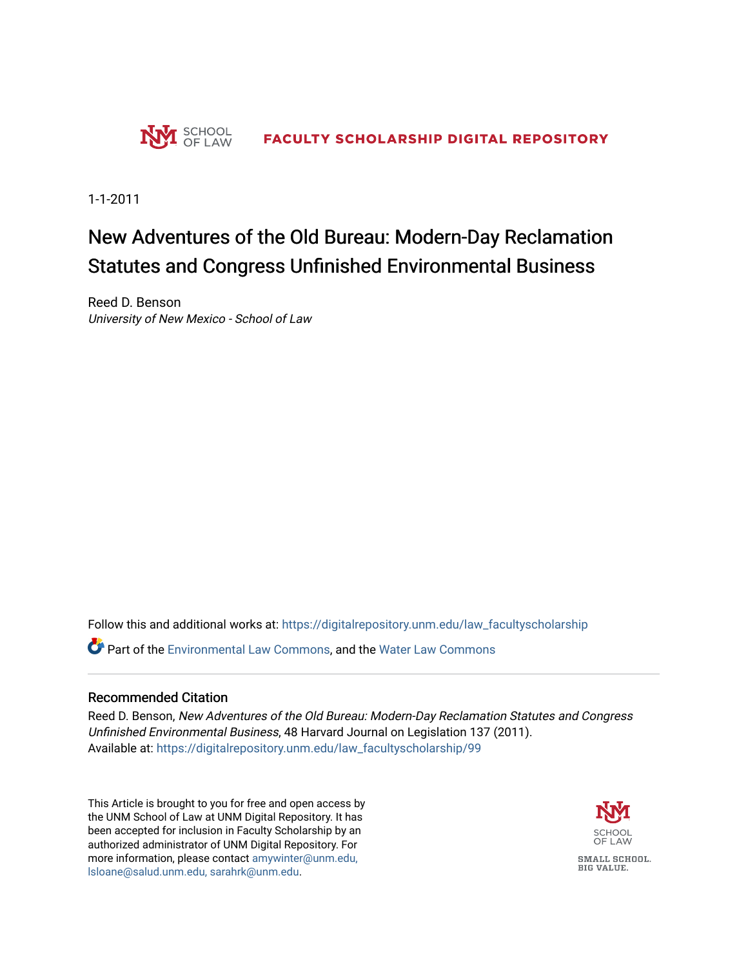

1-1-2011

# New Adventures of the Old Bureau: Modern-Day Reclamation Statutes and Congress Unfinished Environmental Business

Reed D. Benson University of New Mexico - School of Law

Follow this and additional works at: [https://digitalrepository.unm.edu/law\\_facultyscholarship](https://digitalrepository.unm.edu/law_facultyscholarship?utm_source=digitalrepository.unm.edu%2Flaw_facultyscholarship%2F99&utm_medium=PDF&utm_campaign=PDFCoverPages) 

Part of the [Environmental Law Commons](http://network.bepress.com/hgg/discipline/599?utm_source=digitalrepository.unm.edu%2Flaw_facultyscholarship%2F99&utm_medium=PDF&utm_campaign=PDFCoverPages), and the [Water Law Commons](http://network.bepress.com/hgg/discipline/887?utm_source=digitalrepository.unm.edu%2Flaw_facultyscholarship%2F99&utm_medium=PDF&utm_campaign=PDFCoverPages) 

# Recommended Citation

Reed D. Benson, New Adventures of the Old Bureau: Modern-Day Reclamation Statutes and Congress Unfinished Environmental Business, 48 Harvard Journal on Legislation 137 (2011). Available at: [https://digitalrepository.unm.edu/law\\_facultyscholarship/99](https://digitalrepository.unm.edu/law_facultyscholarship/99?utm_source=digitalrepository.unm.edu%2Flaw_facultyscholarship%2F99&utm_medium=PDF&utm_campaign=PDFCoverPages)

This Article is brought to you for free and open access by the UNM School of Law at UNM Digital Repository. It has been accepted for inclusion in Faculty Scholarship by an authorized administrator of UNM Digital Repository. For more information, please contact [amywinter@unm.edu,](mailto:amywinter@unm.edu,%20lsloane@salud.unm.edu,%20sarahrk@unm.edu)  [lsloane@salud.unm.edu, sarahrk@unm.edu.](mailto:amywinter@unm.edu,%20lsloane@salud.unm.edu,%20sarahrk@unm.edu)

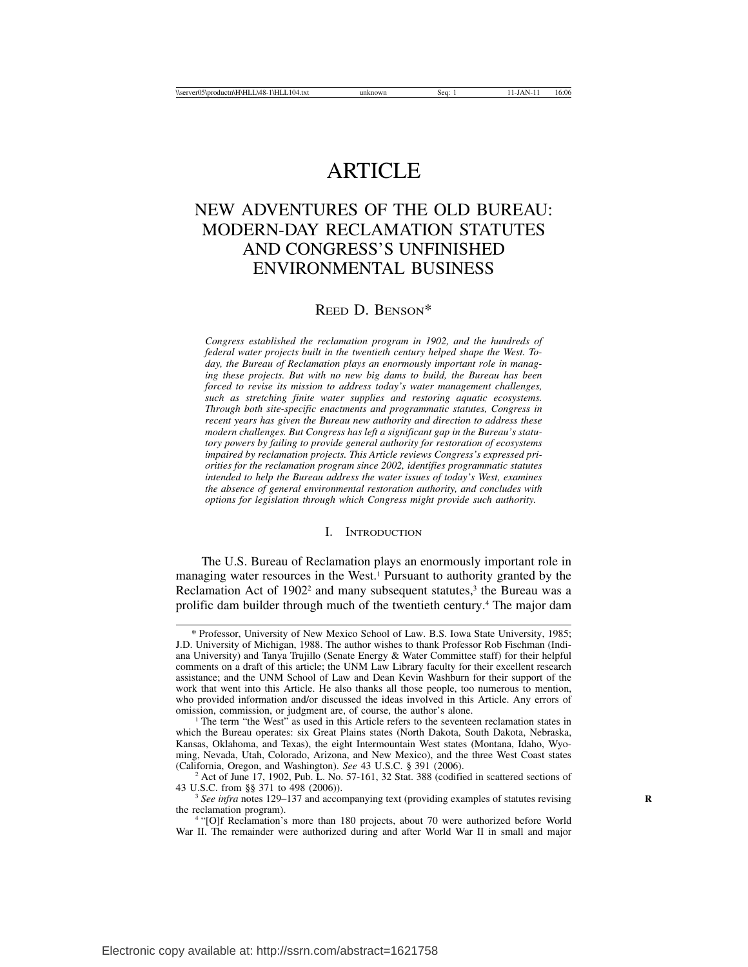# ARTICLE

# NEW ADVENTURES OF THE OLD BUREAU: MODERN-DAY RECLAMATION STATUTES AND CONGRESS'S UNFINISHED ENVIRONMENTAL BUSINESS

# REED D. BENSON\*

*Congress established the reclamation program in 1902, and the hundreds of federal water projects built in the twentieth century helped shape the West. Today, the Bureau of Reclamation plays an enormously important role in managing these projects. But with no new big dams to build, the Bureau has been forced to revise its mission to address today's water management challenges, such as stretching finite water supplies and restoring aquatic ecosystems. Through both site-specific enactments and programmatic statutes, Congress in recent years has given the Bureau new authority and direction to address these modern challenges. But Congress has left a significant gap in the Bureau's statutory powers by failing to provide general authority for restoration of ecosystems impaired by reclamation projects. This Article reviews Congress's expressed priorities for the reclamation program since 2002, identifies programmatic statutes intended to help the Bureau address the water issues of today's West, examines the absence of general environmental restoration authority, and concludes with options for legislation through which Congress might provide such authority.*

#### I. INTRODUCTION

The U.S. Bureau of Reclamation plays an enormously important role in managing water resources in the West.<sup>1</sup> Pursuant to authority granted by the Reclamation Act of  $1902<sup>2</sup>$  and many subsequent statutes,<sup>3</sup> the Bureau was a prolific dam builder through much of the twentieth century.4 The major dam

<sup>\*</sup> Professor, University of New Mexico School of Law. B.S. Iowa State University, 1985; J.D. University of Michigan, 1988. The author wishes to thank Professor Rob Fischman (Indiana University) and Tanya Trujillo (Senate Energy & Water Committee staff) for their helpful comments on a draft of this article; the UNM Law Library faculty for their excellent research assistance; and the UNM School of Law and Dean Kevin Washburn for their support of the work that went into this Article. He also thanks all those people, too numerous to mention, who provided information and/or discussed the ideas involved in this Article. Any errors of omission, commission, or judgment are, of course, the author's alone.

<sup>&</sup>lt;sup>1</sup> The term "the West" as used in this Article refers to the seventeen reclamation states in which the Bureau operates: six Great Plains states (North Dakota, South Dakota, Nebraska, Kansas, Oklahoma, and Texas), the eight Intermountain West states (Montana, Idaho, Wyoming, Nevada, Utah, Colorado, Arizona, and New Mexico), and the three West Coast states (California, Oregon, and Washington). See 43 U.S.C. § 391 (2006).

<sup>&</sup>lt;sup>2</sup> Act of June 17, 1902, Pub. L. No. 57-161, 32 Stat. 388 (codified in scattered sections of 43 U.S.C. from §§ 371 to 498 (2006)).

<sup>&</sup>lt;sup>3</sup> See infra notes 129–137 and accompanying text (providing examples of statutes revising the reclamation program).

<sup>&</sup>lt;sup>4</sup> "[O]f Reclamation's more than 180 projects, about 70 were authorized before World War II. The remainder were authorized during and after World War II in small and major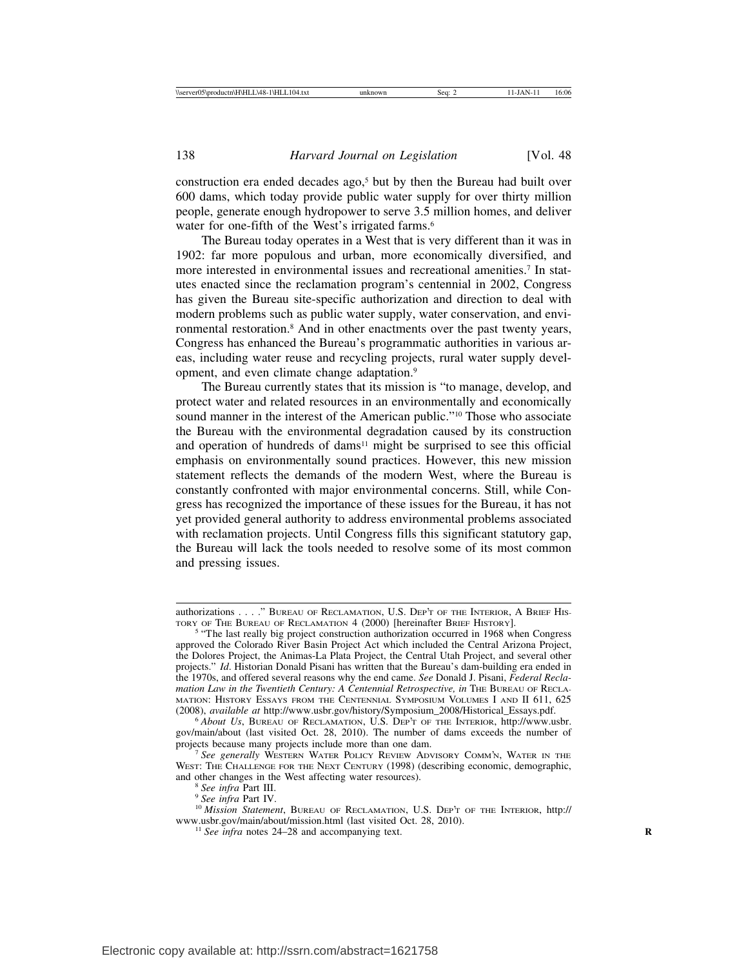construction era ended decades ago,<sup>5</sup> but by then the Bureau had built over 600 dams, which today provide public water supply for over thirty million people, generate enough hydropower to serve 3.5 million homes, and deliver water for one-fifth of the West's irrigated farms.<sup>6</sup>

The Bureau today operates in a West that is very different than it was in 1902: far more populous and urban, more economically diversified, and more interested in environmental issues and recreational amenities.7 In statutes enacted since the reclamation program's centennial in 2002, Congress has given the Bureau site-specific authorization and direction to deal with modern problems such as public water supply, water conservation, and environmental restoration.8 And in other enactments over the past twenty years, Congress has enhanced the Bureau's programmatic authorities in various areas, including water reuse and recycling projects, rural water supply development, and even climate change adaptation.9

The Bureau currently states that its mission is "to manage, develop, and protect water and related resources in an environmentally and economically sound manner in the interest of the American public."<sup>10</sup> Those who associate the Bureau with the environmental degradation caused by its construction and operation of hundreds of dams<sup>11</sup> might be surprised to see this official emphasis on environmentally sound practices. However, this new mission statement reflects the demands of the modern West, where the Bureau is constantly confronted with major environmental concerns. Still, while Congress has recognized the importance of these issues for the Bureau, it has not yet provided general authority to address environmental problems associated with reclamation projects. Until Congress fills this significant statutory gap, the Bureau will lack the tools needed to resolve some of its most common and pressing issues.

and other changes in the West affecting water resources). <sup>8</sup> *See infra* Part III. <sup>9</sup> *See infra* Part IV. <sup>10</sup> *Mission Statement*, BUREAU OF RECLAMATION, U.S. DEP'T OF THE INTERIOR, http:// www.usbr.gov/main/about/mission.html (last visited Oct. 28, 2010). <sup>11</sup> *See infra* notes 24–28 and accompanying text. **<sup>R</sup>**

authorizations . . . ." BUREAU OF RECLAMATION, U.S. DEP'T OF THE INTERIOR, A BRIEF HISTORY I.

<sup>&</sup>lt;sup>5</sup> "The last really big project construction authorization occurred in 1968 when Congress approved the Colorado River Basin Project Act which included the Central Arizona Project, the Dolores Project, the Animas-La Plata Project, the Central Utah Project, and several other projects." *Id*. Historian Donald Pisani has written that the Bureau's dam-building era ended in the 1970s, and offered several reasons why the end came. *See* Donald J. Pisani, *Federal Reclamation Law in the Twentieth Century: A Centennial Retrospective, in THE BUREAU OF RECLA-*MATION: HISTORY ESSAYS FROM THE CENTENNIAL SYMPOSIUM VOLUMES I AND II 611, 625 (2008), *available at http://www.usbr.gov/history/Symposium\_2008/Historical\_Essays.pdf.* 

<sup>&</sup>lt;sup>6</sup> About Us, BUREAU OF RECLAMATION, U.S. DEP'T OF THE INTERIOR, http://www.usbr. gov/main/about (last visited Oct. 28, 2010). The number of dams exceeds the number of

<sup>&</sup>lt;sup>7</sup> See generally WESTERN WATER POLICY REVIEW ADVISORY COMM'N, WATER IN THE WEST: THE CHALLENGE FOR THE NEXT CENTURY (1998) (describing economic, demographic, and other changes in the West affecting water resources).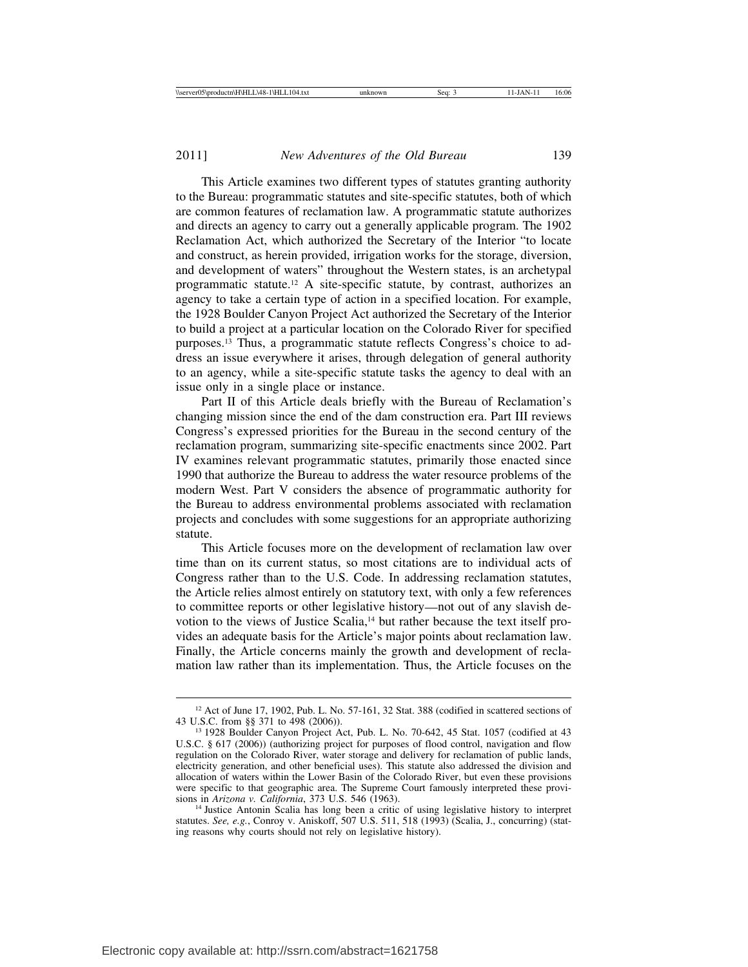This Article examines two different types of statutes granting authority to the Bureau: programmatic statutes and site-specific statutes, both of which are common features of reclamation law. A programmatic statute authorizes and directs an agency to carry out a generally applicable program. The 1902 Reclamation Act, which authorized the Secretary of the Interior "to locate and construct, as herein provided, irrigation works for the storage, diversion, and development of waters" throughout the Western states, is an archetypal programmatic statute.12 A site-specific statute, by contrast, authorizes an agency to take a certain type of action in a specified location. For example, the 1928 Boulder Canyon Project Act authorized the Secretary of the Interior to build a project at a particular location on the Colorado River for specified purposes.13 Thus, a programmatic statute reflects Congress's choice to address an issue everywhere it arises, through delegation of general authority to an agency, while a site-specific statute tasks the agency to deal with an issue only in a single place or instance.

Part II of this Article deals briefly with the Bureau of Reclamation's changing mission since the end of the dam construction era. Part III reviews Congress's expressed priorities for the Bureau in the second century of the reclamation program, summarizing site-specific enactments since 2002. Part IV examines relevant programmatic statutes, primarily those enacted since 1990 that authorize the Bureau to address the water resource problems of the modern West. Part V considers the absence of programmatic authority for the Bureau to address environmental problems associated with reclamation projects and concludes with some suggestions for an appropriate authorizing statute.

This Article focuses more on the development of reclamation law over time than on its current status, so most citations are to individual acts of Congress rather than to the U.S. Code. In addressing reclamation statutes, the Article relies almost entirely on statutory text, with only a few references to committee reports or other legislative history—not out of any slavish devotion to the views of Justice Scalia,<sup>14</sup> but rather because the text itself provides an adequate basis for the Article's major points about reclamation law. Finally, the Article concerns mainly the growth and development of reclamation law rather than its implementation. Thus, the Article focuses on the

<sup>&</sup>lt;sup>12</sup> Act of June 17, 1902, Pub. L. No. 57-161, 32 Stat. 388 (codified in scattered sections of 43 U.S.C. from §§ 371 to 498 (2006)).

<sup>&</sup>lt;sup>13</sup> 1928 Boulder Canyon Project Act, Pub. L. No. 70-642, 45 Stat. 1057 (codified at 43 U.S.C. § 617 (2006)) (authorizing project for purposes of flood control, navigation and flow regulation on the Colorado River, water storage and delivery for reclamation of public lands, electricity generation, and other beneficial uses). This statute also addressed the division and allocation of waters within the Lower Basin of the Colorado River, but even these provisions were specific to that geographic area. The Supreme Court famously interpreted these provisions in Arizona v. California, 373 U.S. 546 (1963).

<sup>&</sup>lt;sup>14</sup> Justice Antonin Scalia has long been a critic of using legislative history to interpret statutes. *See, e.g.*, Conroy v. Aniskoff, 507 U.S. 511, 518 (1993) (Scalia, J., concurring) (stating reasons why courts should not rely on legislative history).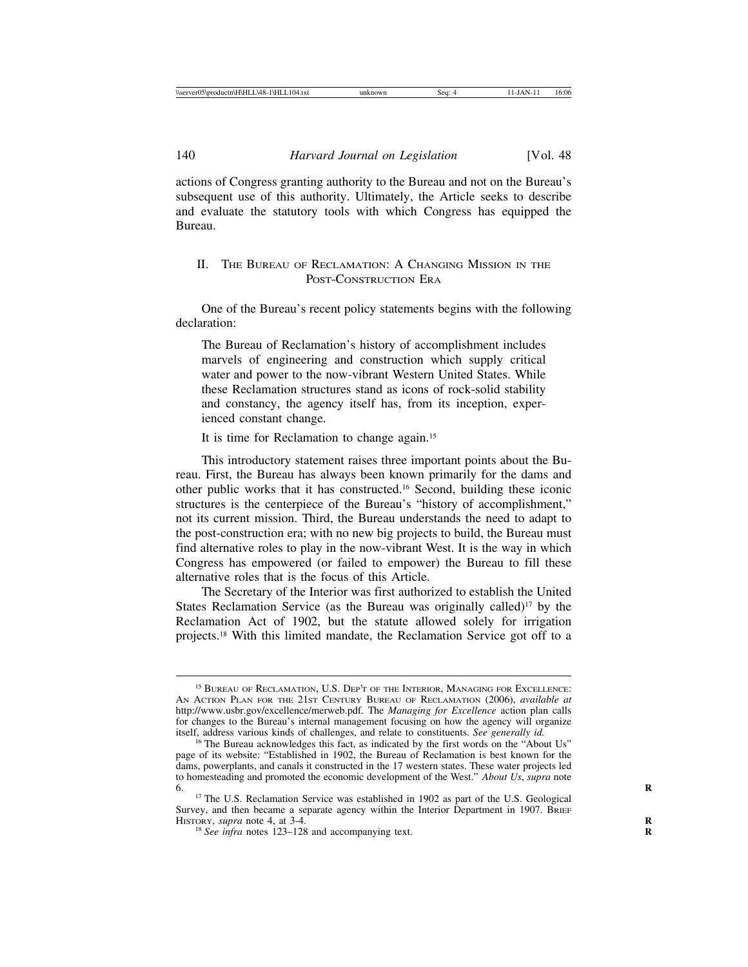actions of Congress granting authority to the Bureau and not on the Bureau's subsequent use of this authority. Ultimately, the Article seeks to describe and evaluate the statutory tools with which Congress has equipped the Bureau.

# II. THE BUREAU OF RECLAMATION: A CHANGING MISSION IN THE POST-CONSTRUCTION ERA

One of the Bureau's recent policy statements begins with the following declaration:

The Bureau of Reclamation's history of accomplishment includes marvels of engineering and construction which supply critical water and power to the now-vibrant Western United States. While these Reclamation structures stand as icons of rock-solid stability and constancy, the agency itself has, from its inception, experienced constant change.

It is time for Reclamation to change again.15

This introductory statement raises three important points about the Bureau. First, the Bureau has always been known primarily for the dams and other public works that it has constructed.16 Second, building these iconic structures is the centerpiece of the Bureau's "history of accomplishment," not its current mission. Third, the Bureau understands the need to adapt to the post-construction era; with no new big projects to build, the Bureau must find alternative roles to play in the now-vibrant West. It is the way in which Congress has empowered (or failed to empower) the Bureau to fill these alternative roles that is the focus of this Article.

The Secretary of the Interior was first authorized to establish the United States Reclamation Service (as the Bureau was originally called)<sup>17</sup> by the Reclamation Act of 1902, but the statute allowed solely for irrigation projects.18 With this limited mandate, the Reclamation Service got off to a

<sup>15</sup> BUREAU OF RECLAMATION, U.S. DEP'T OF THE INTERIOR, MANAGING FOR EXCELLENCE: AN ACTION PLAN FOR THE 21ST CENTURY BUREAU OF RECLAMATION (2006), *available at* http://www.usbr.gov/excellence/merweb.pdf. The *Managing for Excellence* action plan calls for changes to the Bureau's internal management focusing on how the agency will organize itself, address various kinds of challenges, and relate to constituents. See generally id.

itself, address various kinds of challenges, and relate to constituents. *See generally id.* <sup>16</sup> The Bureau acknowledges this fact, as indicated by the first words on the "About Us" page of its website: "Established in 1902, the Bureau of Reclamation is best known for the dams, powerplants, and canals it constructed in the 17 western states. These water projects led to homesteading and promoted the economic development of the West." *About Us*, *supra* note 6. **<sup>R</sup>** <sup>17</sup> The U.S. Reclamation Service was established in 1902 as part of the U.S. Geological

Survey, and then became a separate agency within the Interior Department in 1907. BRIEF HISTORY, *supra* note 4, at  $3-4$ .

<sup>&</sup>lt;sup>18</sup> *See infra notes* 123–128 and accompanying text.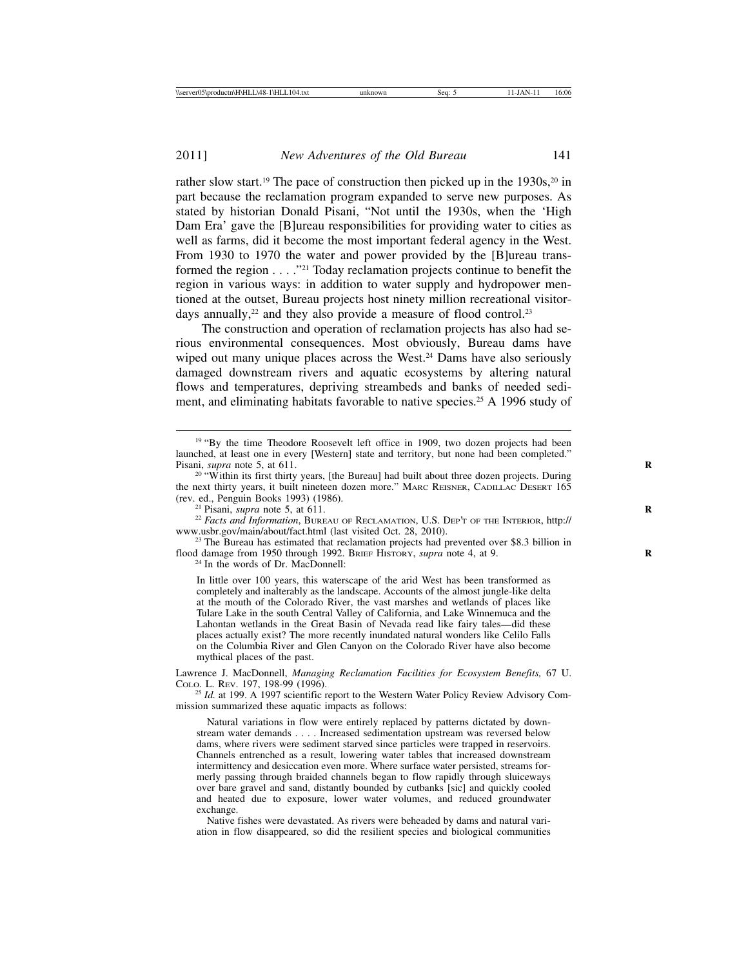rather slow start.<sup>19</sup> The pace of construction then picked up in the  $1930s$ ,<sup>20</sup> in part because the reclamation program expanded to serve new purposes. As stated by historian Donald Pisani, "Not until the 1930s, when the 'High Dam Era' gave the [B]ureau responsibilities for providing water to cities as well as farms, did it become the most important federal agency in the West. From 1930 to 1970 the water and power provided by the [B]ureau transformed the region . . . ."21 Today reclamation projects continue to benefit the region in various ways: in addition to water supply and hydropower mentioned at the outset, Bureau projects host ninety million recreational visitordays annually, $2<sup>2</sup>$  and they also provide a measure of flood control. $2<sup>3</sup>$ 

The construction and operation of reclamation projects has also had serious environmental consequences. Most obviously, Bureau dams have wiped out many unique places across the West.<sup>24</sup> Dams have also seriously damaged downstream rivers and aquatic ecosystems by altering natural flows and temperatures, depriving streambeds and banks of needed sediment, and eliminating habitats favorable to native species.25 A 1996 study of

<sup>21</sup> Pisani, *supra* note 5, at 611.<br><sup>22</sup> *Facts and Information*, BUREAU OF RECLAMATION, U.S. DEP'T OF THE INTERIOR, http://<br>www.usbr.gov/main/about/fact.html (last visited Oct. 28, 2010).

 $23$  The Bureau has estimated that reclamation projects had prevented over \$8.3 billion in flood damage from 1950 through 1992. BRIEF HISTORY, *supra* note 4, at 9. <sup>24</sup> In the words of Dr. MacDonnell:

In little over 100 years, this waterscape of the arid West has been transformed as completely and inalterably as the landscape. Accounts of the almost jungle-like delta at the mouth of the Colorado River, the vast marshes and wetlands of places like Tulare Lake in the south Central Valley of California, and Lake Winnemuca and the Lahontan wetlands in the Great Basin of Nevada read like fairy tales—did these places actually exist? The more recently inundated natural wonders like Celilo Falls on the Columbia River and Glen Canyon on the Colorado River have also become mythical places of the past.

Lawrence J. MacDonnell, *Managing Reclamation Facilities for Ecosystem Benefits*, 67 U. COLO. L. REV. 197, 198-99 (1996).

<sup>25</sup> *Id.* at 199. A 1997 scientific report to the Western Water Policy Review Advisory Commission summarized these aquatic impacts as follows:

Natural variations in flow were entirely replaced by patterns dictated by downstream water demands . . . . Increased sedimentation upstream was reversed below dams, where rivers were sediment starved since particles were trapped in reservoirs. Channels entrenched as a result, lowering water tables that increased downstream intermittency and desiccation even more. Where surface water persisted, streams formerly passing through braided channels began to flow rapidly through sluiceways over bare gravel and sand, distantly bounded by cutbanks [sic] and quickly cooled and heated due to exposure, lower water volumes, and reduced groundwater exchange.

Native fishes were devastated. As rivers were beheaded by dams and natural variation in flow disappeared, so did the resilient species and biological communities

<sup>&</sup>lt;sup>19</sup> "By the time Theodore Roosevelt left office in 1909, two dozen projects had been launched, at least one in every [Western] state and territory, but none had been completed."

Pisani, *supra* note 5, at 611.<br><sup>20</sup> "Within its first thirty years, [the Bureau] had built about three dozen projects. During the next thirty years, it built nineteen dozen more." MARC REISNER, CADILLAC DESERT 165 (rev. ed., Penguin Books 1993) (1986).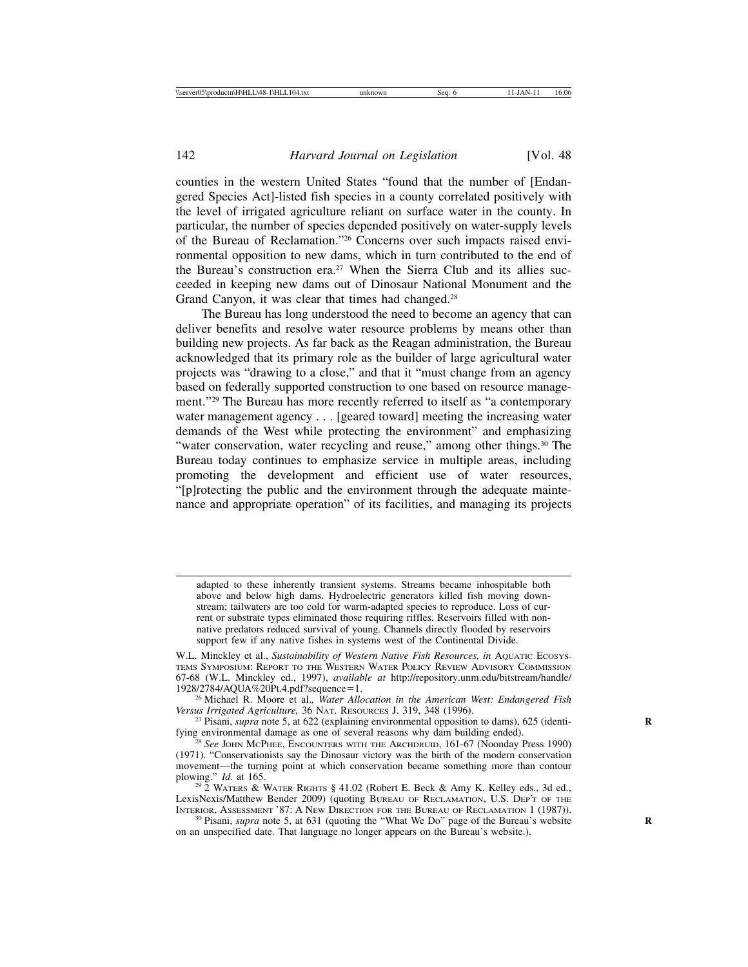counties in the western United States "found that the number of [Endangered Species Act]-listed fish species in a county correlated positively with the level of irrigated agriculture reliant on surface water in the county. In particular, the number of species depended positively on water-supply levels of the Bureau of Reclamation."26 Concerns over such impacts raised environmental opposition to new dams, which in turn contributed to the end of the Bureau's construction era.27 When the Sierra Club and its allies succeeded in keeping new dams out of Dinosaur National Monument and the Grand Canyon, it was clear that times had changed.<sup>28</sup>

The Bureau has long understood the need to become an agency that can deliver benefits and resolve water resource problems by means other than building new projects. As far back as the Reagan administration, the Bureau acknowledged that its primary role as the builder of large agricultural water projects was "drawing to a close," and that it "must change from an agency based on federally supported construction to one based on resource management."29 The Bureau has more recently referred to itself as "a contemporary water management agency . . . [geared toward] meeting the increasing water demands of the West while protecting the environment" and emphasizing "water conservation, water recycling and reuse," among other things.<sup>30</sup> The Bureau today continues to emphasize service in multiple areas, including promoting the development and efficient use of water resources, "[p]rotecting the public and the environment through the adequate maintenance and appropriate operation" of its facilities, and managing its projects

adapted to these inherently transient systems. Streams became inhospitable both above and below high dams. Hydroelectric generators killed fish moving downstream; tailwaters are too cold for warm-adapted species to reproduce. Loss of current or substrate types eliminated those requiring riffles. Reservoirs filled with nonnative predators reduced survival of young. Channels directly flooded by reservoirs support few if any native fishes in systems west of the Continental Divide.

W.L. Minckley et al., *Sustainability of Western Native Fish Resources, in* AQUATIC ECOSYS-TEMS SYMPOSIUM: REPORT TO THE WESTERN WATER POLICY REVIEW ADVISORY COMMISSION 67-68 (W.L. Minckley ed., 1997), *available at* http://repository.unm.edu/bitstream/handle/

<sup>&</sup>lt;sup>26</sup> Michael R. Moore et al., *Water Allocation in the American West: Endangered Fish Versus Irrigated Agriculture*, 36 NAT. RESOURCES J. 319, 348 (1996).

<sup>&</sup>lt;sup>27</sup> Pisani, *supra* note 5, at 622 (explaining environmental opposition to dams), 625 (identifying environmental damage as one of several reasons why dam building ended). <sup>28</sup> *See* JOHN MCPHEE, ENCOUNTERS WITH THE ARCHDRUID, 161-67 (Noonday Press 1990)

<sup>(1971). &</sup>quot;Conservationists say the Dinosaur victory was the birth of the modern conservation movement—the turning point at which conservation became something more than contour

plowing." *Id.* at 165.<br><sup>29</sup> 2 WATERS & WATER RIGHTS § 41.02 (Robert E. Beck & Amy K. Kelley eds., 3d ed., <sup>29</sup> 2 WATERS & WATER RIGHTS § 41.02 (Robert E. Beck & Amy K. Kelley eds., 3d ed., LexisNexis/Matthew Bender 2009) (quoting BUREAU OF RECLAMATION, U.S. DEP'T OF THE INTERIOR, ASSESSMENT '87: A NEW DIRECTION FOR THE BUREAU OF RECLAMATION 1 (1987)).

<sup>&</sup>lt;sup>30</sup> Pisani, *supra* note 5, at 631 (quoting the "What We Do" page of the Bureau's website on an unspecified date. That language no longer appears on the Bureau's website.).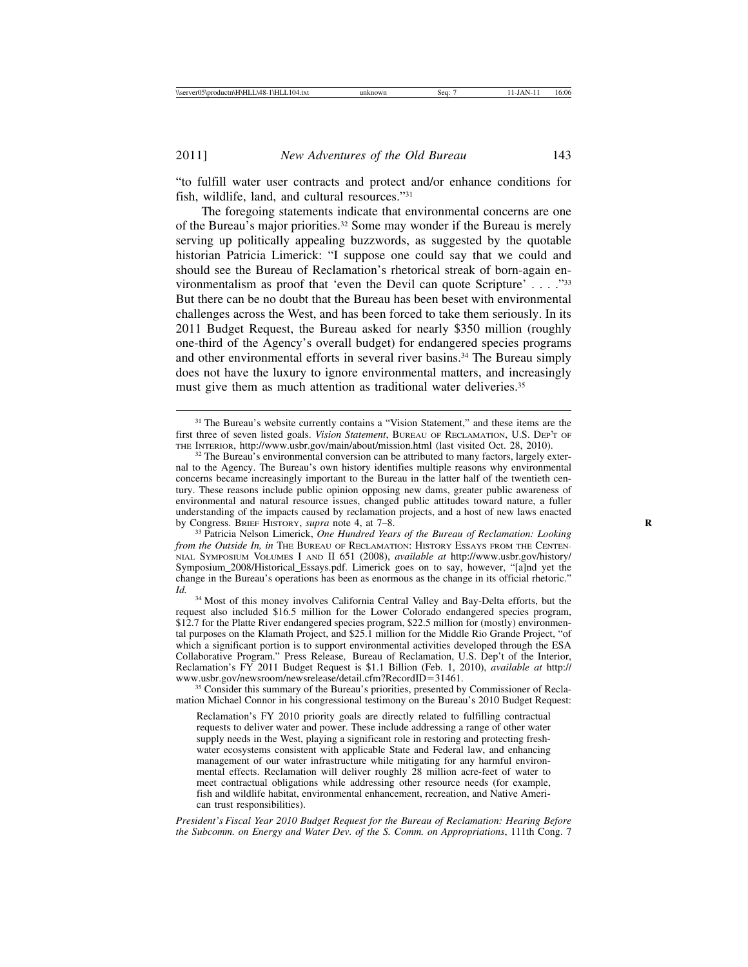"to fulfill water user contracts and protect and/or enhance conditions for fish, wildlife, land, and cultural resources."31

The foregoing statements indicate that environmental concerns are one of the Bureau's major priorities.32 Some may wonder if the Bureau is merely serving up politically appealing buzzwords, as suggested by the quotable historian Patricia Limerick: "I suppose one could say that we could and should see the Bureau of Reclamation's rhetorical streak of born-again environmentalism as proof that 'even the Devil can quote Scripture' . . . ."33 But there can be no doubt that the Bureau has been beset with environmental challenges across the West, and has been forced to take them seriously. In its 2011 Budget Request, the Bureau asked for nearly \$350 million (roughly one-third of the Agency's overall budget) for endangered species programs and other environmental efforts in several river basins.<sup>34</sup> The Bureau simply does not have the luxury to ignore environmental matters, and increasingly must give them as much attention as traditional water deliveries.<sup>35</sup>

request also included \$16.5 million for the Lower Colorado endangered species program, \$12.7 for the Platte River endangered species program, \$22.5 million for (mostly) environmental purposes on the Klamath Project, and \$25.1 million for the Middle Rio Grande Project, "of which a significant portion is to support environmental activities developed through the ESA Collaborative Program." Press Release, Bureau of Reclamation, U.S. Dep't of the Interior, Reclamation's FY 2011 Budget Request is \$1.1 Billion (Feb. 1, 2010), *available at* http://

<sup>35</sup> Consider this summary of the Bureau's priorities, presented by Commissioner of Reclamation Michael Connor in his congressional testimony on the Bureau's 2010 Budget Request:

Reclamation's FY 2010 priority goals are directly related to fulfilling contractual requests to deliver water and power. These include addressing a range of other water supply needs in the West, playing a significant role in restoring and protecting freshwater ecosystems consistent with applicable State and Federal law, and enhancing management of our water infrastructure while mitigating for any harmful environmental effects. Reclamation will deliver roughly 28 million acre-feet of water to meet contractual obligations while addressing other resource needs (for example, fish and wildlife habitat, environmental enhancement, recreation, and Native American trust responsibilities).

*President's Fiscal Year 2010 Budget Request for the Bureau of Reclamation: Hearing Before the Subcomm. on Energy and Water Dev. of the S. Comm. on Appropriations*, 111th Cong. 7

<sup>&</sup>lt;sup>31</sup> The Bureau's website currently contains a "Vision Statement," and these items are the first three of seven listed goals. *Vision Statement*, BUREAU OF RECLAMATION, U.S. DEP'T OF

<sup>&</sup>lt;sup>32</sup> The Bureau's environmental conversion can be attributed to many factors, largely external to the Agency. The Bureau's own history identifies multiple reasons why environmental concerns became increasingly important to the Bureau in the latter half of the twentieth century. These reasons include public opinion opposing new dams, greater public awareness of environmental and natural resource issues, changed public attitudes toward nature, a fuller understanding of the impacts caused by reclamation projects, and a host of new laws enacted by Congress. BRIEF HISTORY, *supra* note 4, at  $7-8$ .

<sup>&</sup>lt;sup>33</sup> Patricia Nelson Limerick, *One Hundred Years of the Bureau of Reclamation: Looking from the Outside In, in* The BUREAU OF RECLAMATION: HISTORY ESSAYS FROM THE CENTEN-NIAL SYMPOSIUM VOLUMES I AND II 651 (2008), *available at* http://www.usbr.gov/history/ Symposium\_2008/Historical\_Essays.pdf. Limerick goes on to say, however, "[a]nd yet the change in the Bureau's operations has been as enormous as the change in its official rhetoric." *Id.* <sup>34</sup> Most of this money involves California Central Valley and Bay-Delta efforts, but the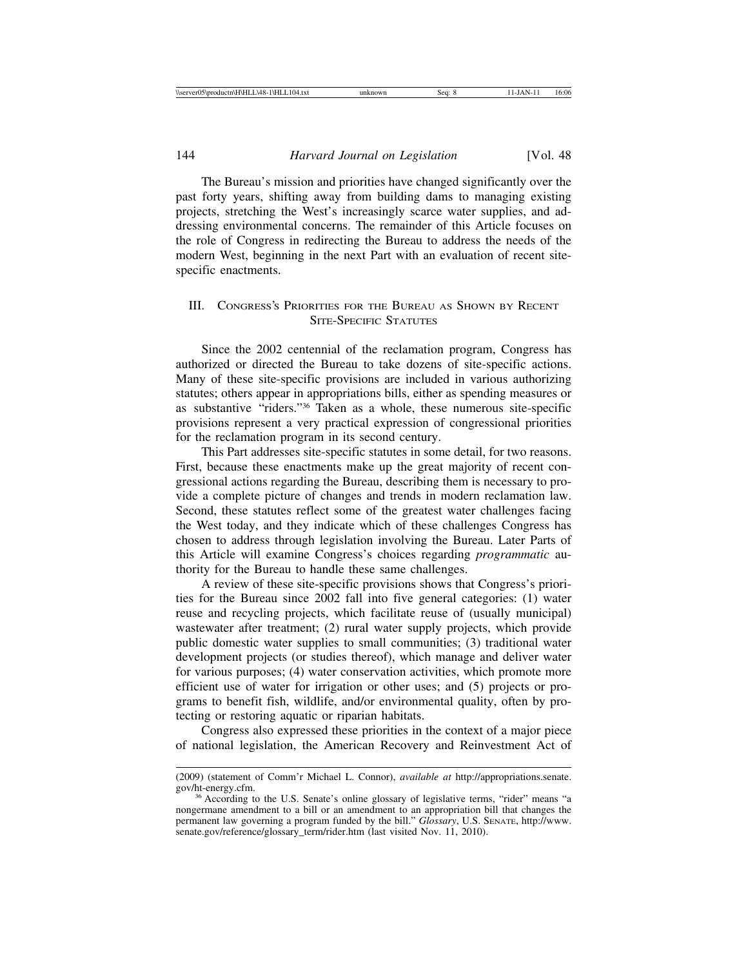The Bureau's mission and priorities have changed significantly over the past forty years, shifting away from building dams to managing existing projects, stretching the West's increasingly scarce water supplies, and addressing environmental concerns. The remainder of this Article focuses on the role of Congress in redirecting the Bureau to address the needs of the modern West, beginning in the next Part with an evaluation of recent sitespecific enactments.

# III. CONGRESS'S PRIORITIES FOR THE BUREAU AS SHOWN BY RECENT SITE-SPECIFIC STATUTES

Since the 2002 centennial of the reclamation program, Congress has authorized or directed the Bureau to take dozens of site-specific actions. Many of these site-specific provisions are included in various authorizing statutes; others appear in appropriations bills, either as spending measures or as substantive "riders."36 Taken as a whole, these numerous site-specific provisions represent a very practical expression of congressional priorities for the reclamation program in its second century.

This Part addresses site-specific statutes in some detail, for two reasons. First, because these enactments make up the great majority of recent congressional actions regarding the Bureau, describing them is necessary to provide a complete picture of changes and trends in modern reclamation law. Second, these statutes reflect some of the greatest water challenges facing the West today, and they indicate which of these challenges Congress has chosen to address through legislation involving the Bureau. Later Parts of this Article will examine Congress's choices regarding *programmatic* authority for the Bureau to handle these same challenges.

A review of these site-specific provisions shows that Congress's priorities for the Bureau since 2002 fall into five general categories: (1) water reuse and recycling projects, which facilitate reuse of (usually municipal) wastewater after treatment; (2) rural water supply projects, which provide public domestic water supplies to small communities; (3) traditional water development projects (or studies thereof), which manage and deliver water for various purposes; (4) water conservation activities, which promote more efficient use of water for irrigation or other uses; and (5) projects or programs to benefit fish, wildlife, and/or environmental quality, often by protecting or restoring aquatic or riparian habitats.

Congress also expressed these priorities in the context of a major piece of national legislation, the American Recovery and Reinvestment Act of

<sup>(2009) (</sup>statement of Comm'r Michael L. Connor), *available at* http://appropriations.senate.

<sup>&</sup>lt;sup>36</sup> According to the U.S. Senate's online glossary of legislative terms, "rider" means "a nongermane amendment to a bill or an amendment to an appropriation bill that changes the permanent law governing a program funded by the bill." *Glossary*, U.S. SENATE, http://www. senate.gov/reference/glossary\_term/rider.htm (last visited Nov. 11, 2010).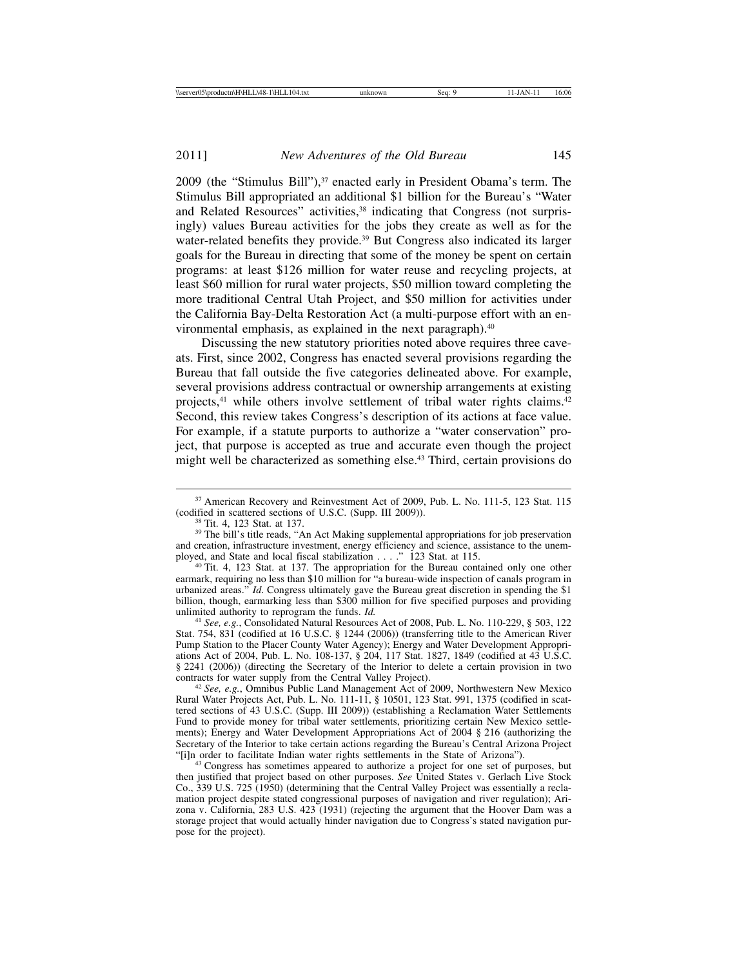2009 (the "Stimulus Bill"),<sup>37</sup> enacted early in President Obama's term. The Stimulus Bill appropriated an additional \$1 billion for the Bureau's "Water and Related Resources" activities,<sup>38</sup> indicating that Congress (not surprisingly) values Bureau activities for the jobs they create as well as for the water-related benefits they provide.<sup>39</sup> But Congress also indicated its larger goals for the Bureau in directing that some of the money be spent on certain programs: at least \$126 million for water reuse and recycling projects, at least \$60 million for rural water projects, \$50 million toward completing the more traditional Central Utah Project, and \$50 million for activities under the California Bay-Delta Restoration Act (a multi-purpose effort with an environmental emphasis, as explained in the next paragraph).<sup>40</sup>

Discussing the new statutory priorities noted above requires three caveats. First, since 2002, Congress has enacted several provisions regarding the Bureau that fall outside the five categories delineated above. For example, several provisions address contractual or ownership arrangements at existing projects,41 while others involve settlement of tribal water rights claims.42 Second, this review takes Congress's description of its actions at face value. For example, if a statute purports to authorize a "water conservation" project, that purpose is accepted as true and accurate even though the project might well be characterized as something else.<sup>43</sup> Third, certain provisions do

<sup>41</sup> *See, e.g.*, Consolidated Natural Resources Act of 2008, Pub. L. No. 110-229, § 503, 122 Stat. 754, 831 (codified at 16 U.S.C. § 1244 (2006)) (transferring title to the American River Pump Station to the Placer County Water Agency); Energy and Water Development Appropriations Act of 2004, Pub. L. No. 108-137, § 204, 117 Stat. 1827, 1849 (codified at 43 U.S.C. § 2241 (2006)) (directing the Secretary of the Interior to delete a certain provision in two contracts for water supply from the Central Valley Project).

<sup>&</sup>lt;sup>37</sup> American Recovery and Reinvestment Act of 2009, Pub. L. No. 111-5, 123 Stat. 115 (codified in scattered sections of U.S.C. (Supp. III 2009)).

<sup>&</sup>lt;sup>38</sup> Tit. 4, 123 Stat. at 137.  $\frac{1}{39}$  The bill's title reads, "An Act Making supplemental appropriations for job preservation and creation, infrastructure investment, energy efficiency and science, assistance to the unem-<br>ployed, and State and local fiscal stabilization . . . . " 123 Stat. at 115.

<sup>&</sup>lt;sup>40</sup> Tit. 4, 123 Stat. at 137. The appropriation for the Bureau contained only one other earmark, requiring no less than \$10 million for "a bureau-wide inspection of canals program in urbanized areas." *Id*. Congress ultimately gave the Bureau great discretion in spending the \$1 billion, though, earmarking less than  $$300$  million for five specified purposes and providing unlimited authority to reprogram the funds. *Id.* 

<sup>&</sup>lt;sup>42</sup> See, e.g., Omnibus Public Land Management Act of 2009, Northwestern New Mexico Rural Water Projects Act, Pub. L. No. 111-11, § 10501, 123 Stat. 991, 1375 (codified in scattered sections of 43 U.S.C. (Supp. III 2009)) (establishing a Reclamation Water Settlements Fund to provide money for tribal water settlements, prioritizing certain New Mexico settlements); Energy and Water Development Appropriations Act of 2004 § 216 (authorizing the Secretary of the Interior to take certain actions regarding the Bureau's Central Arizona Project "[i]n order to facilitate Indian water rights settlements in the State of Arizona").

<sup>&</sup>lt;sup>43</sup> Congress has sometimes appeared to authorize a project for one set of purposes, but then justified that project based on other purposes. *See* United States v. Gerlach Live Stock Co., 339 U.S. 725 (1950) (determining that the Central Valley Project was essentially a reclamation project despite stated congressional purposes of navigation and river regulation); Arizona v. California, 283 U.S. 423 (1931) (rejecting the argument that the Hoover Dam was a storage project that would actually hinder navigation due to Congress's stated navigation purpose for the project).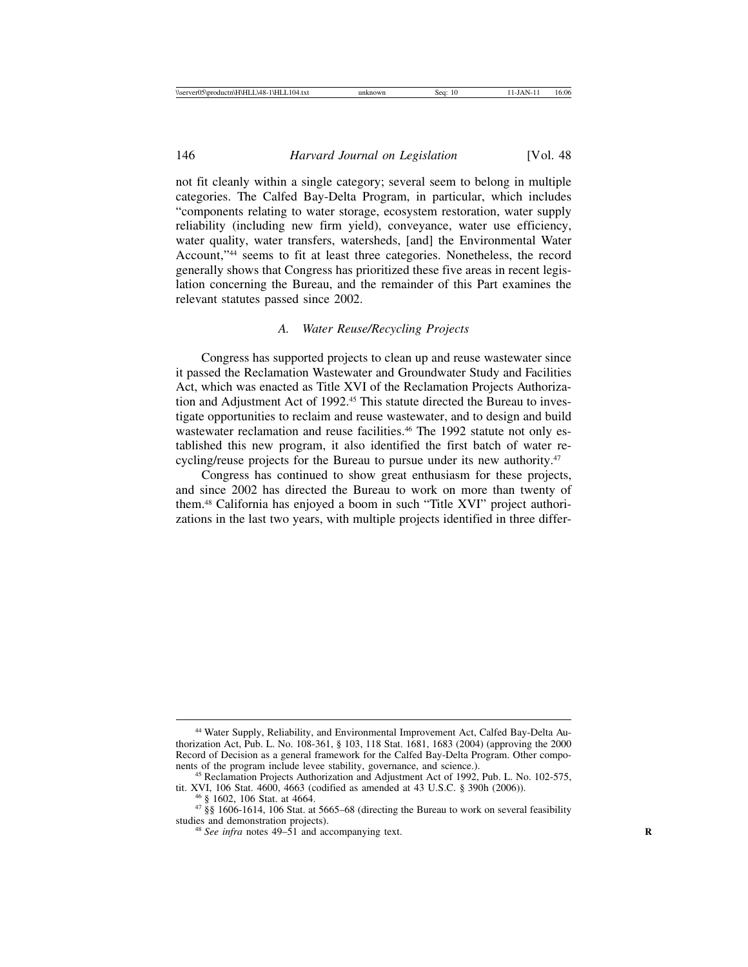not fit cleanly within a single category; several seem to belong in multiple categories. The Calfed Bay-Delta Program, in particular, which includes "components relating to water storage, ecosystem restoration, water supply reliability (including new firm yield), conveyance, water use efficiency, water quality, water transfers, watersheds, [and] the Environmental Water Account,"44 seems to fit at least three categories. Nonetheless, the record generally shows that Congress has prioritized these five areas in recent legislation concerning the Bureau, and the remainder of this Part examines the relevant statutes passed since 2002.

### *A. Water Reuse/Recycling Projects*

Congress has supported projects to clean up and reuse wastewater since it passed the Reclamation Wastewater and Groundwater Study and Facilities Act, which was enacted as Title XVI of the Reclamation Projects Authorization and Adjustment Act of 1992.<sup>45</sup> This statute directed the Bureau to investigate opportunities to reclaim and reuse wastewater, and to design and build wastewater reclamation and reuse facilities.<sup>46</sup> The 1992 statute not only established this new program, it also identified the first batch of water recycling/reuse projects for the Bureau to pursue under its new authority.<sup>47</sup>

Congress has continued to show great enthusiasm for these projects, and since 2002 has directed the Bureau to work on more than twenty of them.48 California has enjoyed a boom in such "Title XVI" project authorizations in the last two years, with multiple projects identified in three differ-

<sup>44</sup> Water Supply, Reliability, and Environmental Improvement Act, Calfed Bay-Delta Authorization Act, Pub. L. No. 108-361, § 103, 118 Stat. 1681, 1683 (2004) (approving the 2000 Record of Decision as a general framework for the Calfed Bay-Delta Program. Other components of the program include levee stability, governance, and science.).

<sup>&</sup>lt;sup>45</sup> Reclamation Projects Authorization and Adjustment Act of 1992, Pub. L. No. 102-575, tit. XVI, 106 Stat. 4600, 4663 (codified as amended at 43 U.S.C. § 390h (2006)).

<sup>&</sup>lt;sup>46</sup> § 1602, 106 Stat. at 4664.<br><sup>47</sup> §§ 1606-1614, 106 Stat. at 5665–68 (directing the Bureau to work on several feasibility studies and demonstration projects).

 $48$  *See infra* notes  $49-51$  and accompanying text.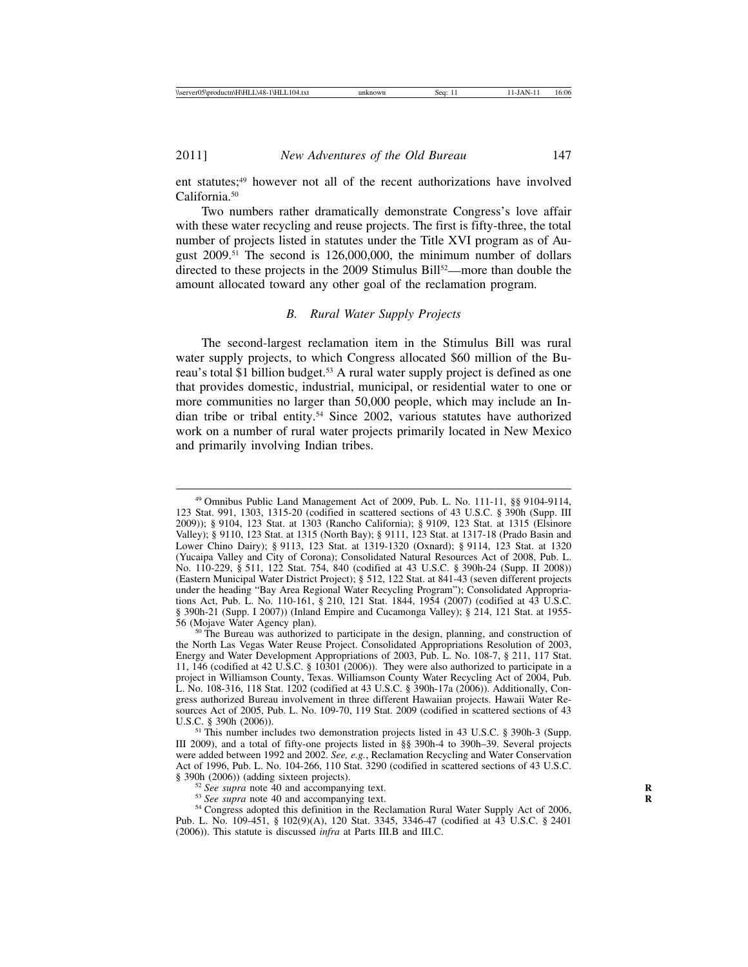ent statutes;<sup>49</sup> however not all of the recent authorizations have involved California.<sup>50</sup>

Two numbers rather dramatically demonstrate Congress's love affair with these water recycling and reuse projects. The first is fifty-three, the total number of projects listed in statutes under the Title XVI program as of August 2009.51 The second is 126,000,000, the minimum number of dollars directed to these projects in the 2009 Stimulus Bill<sup>52</sup>—more than double the amount allocated toward any other goal of the reclamation program.

# *B. Rural Water Supply Projects*

The second-largest reclamation item in the Stimulus Bill was rural water supply projects, to which Congress allocated \$60 million of the Bureau's total \$1 billion budget.<sup>53</sup> A rural water supply project is defined as one that provides domestic, industrial, municipal, or residential water to one or more communities no larger than 50,000 people, which may include an Indian tribe or tribal entity.54 Since 2002, various statutes have authorized work on a number of rural water projects primarily located in New Mexico and primarily involving Indian tribes.

<sup>49</sup> Omnibus Public Land Management Act of 2009, Pub. L. No. 111-11, §§ 9104-9114, 123 Stat. 991, 1303, 1315-20 (codified in scattered sections of 43 U.S.C. § 390h (Supp. III 2009)); § 9104, 123 Stat. at 1303 (Rancho California); § 9109, 123 Stat. at 1315 (Elsinore Valley); § 9110, 123 Stat. at 1315 (North Bay); § 9111, 123 Stat. at 1317-18 (Prado Basin and Lower Chino Dairy); § 9113, 123 Stat. at 1319-1320 (Oxnard); § 9114, 123 Stat. at 1320 (Yucaipa Valley and City of Corona); Consolidated Natural Resources Act of 2008, Pub. L. No. 110-229, § 511, 122 Stat. 754, 840 (codified at 43 U.S.C. § 390h-24 (Supp. II 2008)) (Eastern Municipal Water District Project); § 512, 122 Stat. at 841-43 (seven different projects under the heading "Bay Area Regional Water Recycling Program"); Consolidated Appropriations Act, Pub. L. No. 110-161, § 210, 121 Stat. 1844, 1954 (2007) (codified at 43 U.S.C. § 390h-21 (Supp. I 2007)) (Inland Empire and Cucamonga Valley); § 214, 121 Stat. at 1955-56 (Mojave Water Agency plan).

 $50$  The Bureau was authorized to participate in the design, planning, and construction of the North Las Vegas Water Reuse Project. Consolidated Appropriations Resolution of 2003, Energy and Water Development Appropriations of 2003, Pub. L. No. 108-7, § 211, 117 Stat. 11, 146 (codified at 42 U.S.C. § 10301 (2006)). They were also authorized to participate in a project in Williamson County, Texas. Williamson County Water Recycling Act of 2004, Pub. L. No. 108-316, 118 Stat. 1202 (codified at 43 U.S.C. § 390h-17a (2006)). Additionally, Congress authorized Bureau involvement in three different Hawaiian projects. Hawaii Water Resources Act of 2005, Pub. L. No. 109-70, 119 Stat. 2009 (codified in scattered sections of 43 U.S.C. § 390h (2006)).

 $<sup>51</sup>$  This number includes two demonstration projects listed in 43 U.S.C. § 390h-3 (Supp.</sup> III 2009), and a total of fifty-one projects listed in §§ 390h-4 to 390h–39. Several projects were added between 1992 and 2002. *See, e.g.*, Reclamation Recycling and Water Conservation Act of 1996, Pub. L. No. 104-266, 110 Stat. 3290 (codified in scattered sections of 43 U.S.C.

<sup>&</sup>lt;sup>52</sup> See supra note 40 and accompanying text.<br><sup>53</sup> See supra note 40 and accompanying text.<br><sup>54</sup> Congress adopted this definition in the Reclamation Rural Water Supply Act of 2006, Pub. L. No. 109-451, § 102(9)(A), 120 Stat. 3345, 3346-47 (codified at 43 U.S.C. § 2401 (2006)). This statute is discussed *infra* at Parts III.B and III.C.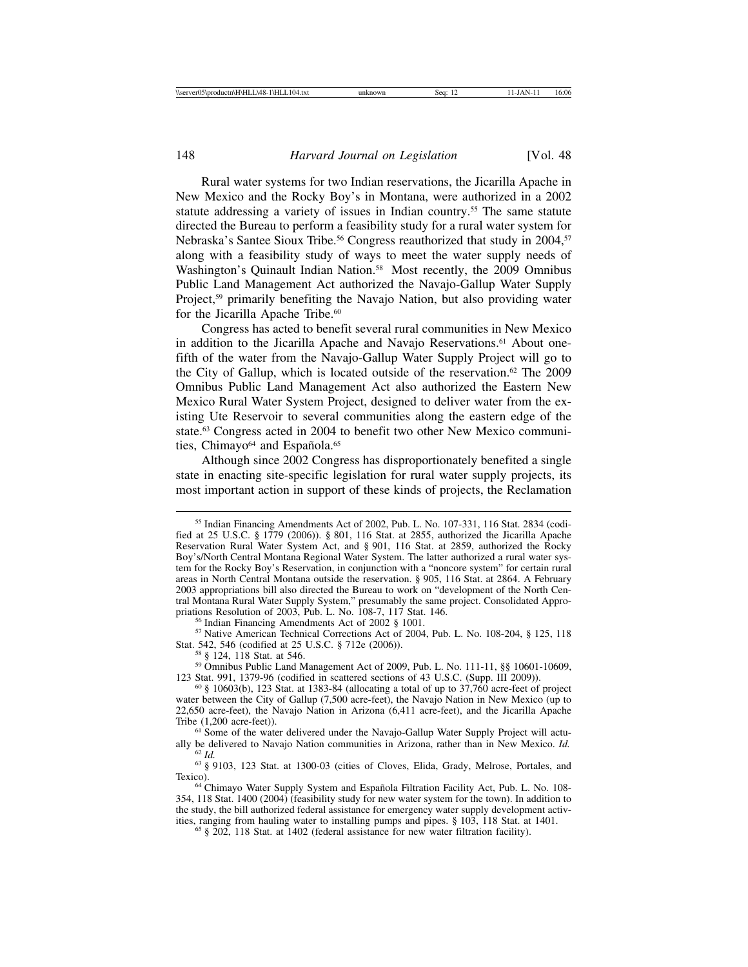Rural water systems for two Indian reservations, the Jicarilla Apache in New Mexico and the Rocky Boy's in Montana, were authorized in a 2002 statute addressing a variety of issues in Indian country.<sup>55</sup> The same statute directed the Bureau to perform a feasibility study for a rural water system for Nebraska's Santee Sioux Tribe.<sup>56</sup> Congress reauthorized that study in 2004,<sup>57</sup> along with a feasibility study of ways to meet the water supply needs of Washington's Quinault Indian Nation.<sup>58</sup> Most recently, the 2009 Omnibus Public Land Management Act authorized the Navajo-Gallup Water Supply Project,<sup>59</sup> primarily benefiting the Navajo Nation, but also providing water for the Jicarilla Apache Tribe.<sup>60</sup>

Congress has acted to benefit several rural communities in New Mexico in addition to the Jicarilla Apache and Navajo Reservations.<sup>61</sup> About onefifth of the water from the Navajo-Gallup Water Supply Project will go to the City of Gallup, which is located outside of the reservation.62 The 2009 Omnibus Public Land Management Act also authorized the Eastern New Mexico Rural Water System Project, designed to deliver water from the existing Ute Reservoir to several communities along the eastern edge of the state.63 Congress acted in 2004 to benefit two other New Mexico communities, Chimayo<sup>64</sup> and Española.<sup>65</sup>

Although since 2002 Congress has disproportionately benefited a single state in enacting site-specific legislation for rural water supply projects, its most important action in support of these kinds of projects, the Reclamation

<sup>56</sup> Indian Financing Amendments Act of 2002 § 1001.<br><sup>57</sup> Native American Technical Corrections Act of 2004, Pub. L. No. 108-204, § 125, 118<br>Stat. 542, 546 (codified at 25 U.S.C. § 712e (2006)).

<sup>58</sup> § 124, 118 Stat. at 546.<br><sup>59</sup> Omnibus Public Land Management Act of 2009, Pub. L. No. 111-11, §§ 10601-10609, 123 Stat. 991, 1379-96 (codified in scattered sections of 43 U.S.C. (Supp. III 2009)).

<sup>55</sup> Indian Financing Amendments Act of 2002, Pub. L. No. 107-331, 116 Stat. 2834 (codified at 25 U.S.C. § 1779 (2006)). § 801, 116 Stat. at 2855, authorized the Jicarilla Apache Reservation Rural Water System Act, and § 901, 116 Stat. at 2859, authorized the Rocky Boy's/North Central Montana Regional Water System. The latter authorized a rural water system for the Rocky Boy's Reservation, in conjunction with a "noncore system" for certain rural areas in North Central Montana outside the reservation. § 905, 116 Stat. at 2864. A February 2003 appropriations bill also directed the Bureau to work on "development of the North Central Montana Rural Water Supply System," presumably the same project. Consolidated Appro-

 $60 \text{ }\frac{8}{9}$  10603(b), 123 Stat. at 1383-84 (allocating a total of up to 37,760 acre-feet of project water between the City of Gallup (7,500 acre-feet), the Navajo Nation in New Mexico (up to 22,650 acre-feet), the Navajo Nation in Arizona (6,411 acre-feet), and the Jicarilla Apache

<sup>&</sup>lt;sup>61</sup> Some of the water delivered under the Navajo-Gallup Water Supply Project will actually be delivered to Navajo Nation communities in Arizona, rather than in New Mexico. *Id.* 

<sup>&</sup>lt;sup>62</sup> *Id.* <sup>63</sup> § 9103, 123 Stat. at 1300-03 (cities of Cloves, Elida, Grady, Melrose, Portales, and Texico).

<sup>&</sup>lt;sup>64</sup> Chimayo Water Supply System and Española Filtration Facility Act, Pub. L. No. 108-354, 118 Stat. 1400 (2004) (feasibility study for new water system for the town). In addition to the study, the bill authorized federal assistance for emergency water supply development activ-<br>ities, ranging from hauling water to installing pumps and pipes. § 103, 118 Stat. at 1401.

 $65$  § 202, 118 Stat. at 1402 (federal assistance for new water filtration facility).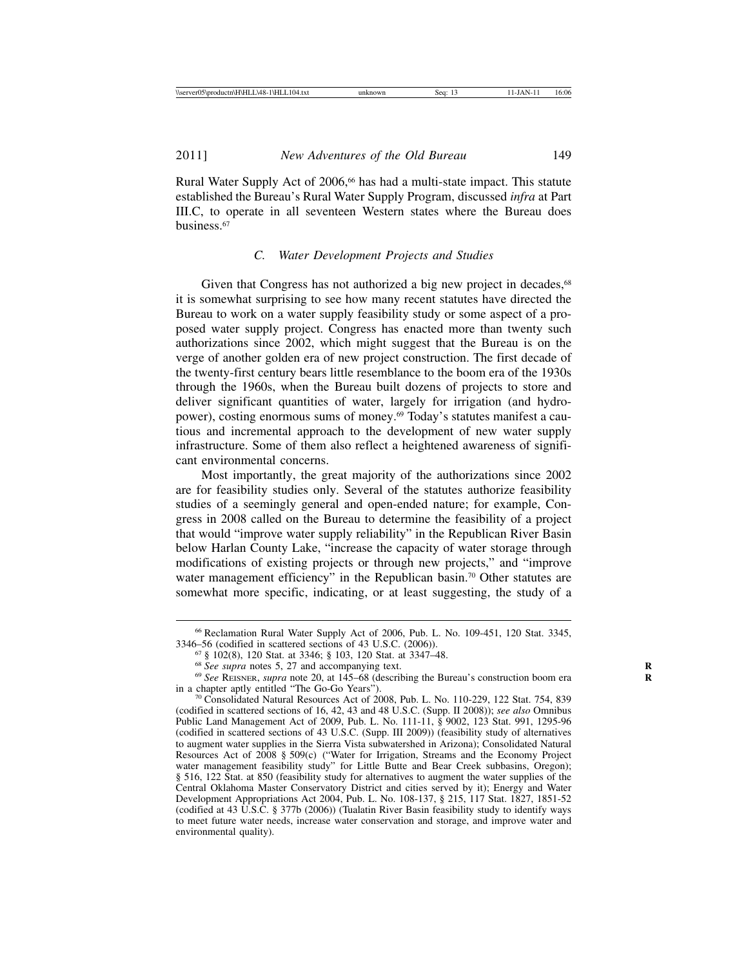Rural Water Supply Act of 2006,<sup>66</sup> has had a multi-state impact. This statute established the Bureau's Rural Water Supply Program, discussed *infra* at Part III.C, to operate in all seventeen Western states where the Bureau does business.67

# *C. Water Development Projects and Studies*

Given that Congress has not authorized a big new project in decades,<sup>68</sup> it is somewhat surprising to see how many recent statutes have directed the Bureau to work on a water supply feasibility study or some aspect of a proposed water supply project. Congress has enacted more than twenty such authorizations since 2002, which might suggest that the Bureau is on the verge of another golden era of new project construction. The first decade of the twenty-first century bears little resemblance to the boom era of the 1930s through the 1960s, when the Bureau built dozens of projects to store and deliver significant quantities of water, largely for irrigation (and hydropower), costing enormous sums of money.<sup>69</sup> Today's statutes manifest a cautious and incremental approach to the development of new water supply infrastructure. Some of them also reflect a heightened awareness of significant environmental concerns.

Most importantly, the great majority of the authorizations since 2002 are for feasibility studies only. Several of the statutes authorize feasibility studies of a seemingly general and open-ended nature; for example, Congress in 2008 called on the Bureau to determine the feasibility of a project that would "improve water supply reliability" in the Republican River Basin below Harlan County Lake, "increase the capacity of water storage through modifications of existing projects or through new projects," and "improve water management efficiency" in the Republican basin.<sup>70</sup> Other statutes are somewhat more specific, indicating, or at least suggesting, the study of a

<sup>66</sup> Reclamation Rural Water Supply Act of 2006, Pub. L. No. 109-451, 120 Stat. 3345, 3346–56 (codified in scattered sections of 43 U.S.C. (2006)).<br><sup>67</sup> § 102(8), 120 Stat. at 3346; § 103, 120 Stat. at 3347–48.

<sup>&</sup>lt;sup>68</sup> See supra notes 5, 27 and accompanying text.<br><sup>69</sup> See REISNER, *supra* note 20, at 145–68 (describing the Bureau's construction boom era in a chapter aptly entitled "The Go-Go Years").<br><sup>70</sup> Consolidated Natural Resources Act of 2008, Pub. L. No. 110-229, 122 Stat. 754, 839

<sup>(</sup>codified in scattered sections of 16, 42, 43 and 48 U.S.C. (Supp. II 2008)); *see also* Omnibus Public Land Management Act of 2009, Pub. L. No. 111-11, § 9002, 123 Stat. 991, 1295-96 (codified in scattered sections of 43 U.S.C. (Supp. III 2009)) (feasibility study of alternatives to augment water supplies in the Sierra Vista subwatershed in Arizona); Consolidated Natural Resources Act of 2008 § 509(c) ("Water for Irrigation, Streams and the Economy Project water management feasibility study" for Little Butte and Bear Creek subbasins, Oregon); § 516, 122 Stat. at 850 (feasibility study for alternatives to augment the water supplies of the Central Oklahoma Master Conservatory District and cities served by it); Energy and Water Development Appropriations Act 2004, Pub. L. No. 108-137, § 215, 117 Stat. 1827, 1851-52 (codified at 43 U.S.C. § 377b (2006)) (Tualatin River Basin feasibility study to identify ways to meet future water needs, increase water conservation and storage, and improve water and environmental quality).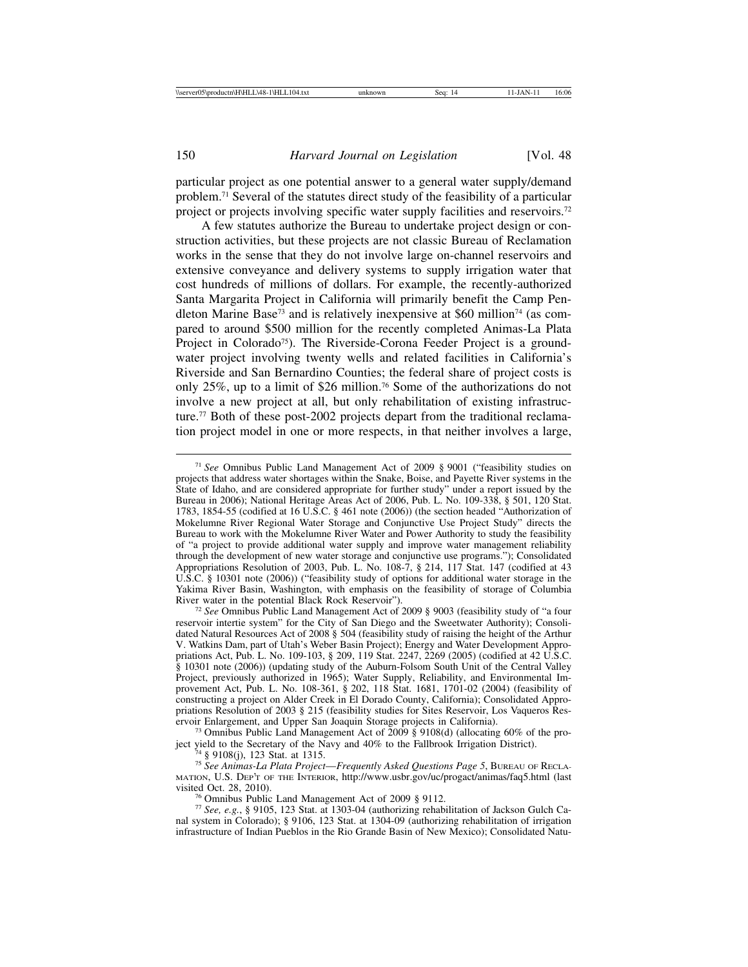particular project as one potential answer to a general water supply/demand problem.71 Several of the statutes direct study of the feasibility of a particular project or projects involving specific water supply facilities and reservoirs.72

A few statutes authorize the Bureau to undertake project design or construction activities, but these projects are not classic Bureau of Reclamation works in the sense that they do not involve large on-channel reservoirs and extensive conveyance and delivery systems to supply irrigation water that cost hundreds of millions of dollars. For example, the recently-authorized Santa Margarita Project in California will primarily benefit the Camp Pendleton Marine Base<sup>73</sup> and is relatively inexpensive at \$60 million<sup>74</sup> (as compared to around \$500 million for the recently completed Animas-La Plata Project in Colorado<sup>75</sup>). The Riverside-Corona Feeder Project is a groundwater project involving twenty wells and related facilities in California's Riverside and San Bernardino Counties; the federal share of project costs is only 25%, up to a limit of \$26 million.76 Some of the authorizations do not involve a new project at all, but only rehabilitation of existing infrastructure.77 Both of these post-2002 projects depart from the traditional reclamation project model in one or more respects, in that neither involves a large,

<sup>72</sup> See Omnibus Public Land Management Act of 2009 § 9003 (feasibility study of "a four reservoir intertie system" for the City of San Diego and the Sweetwater Authority); Consolidated Natural Resources Act of 2008 § 504 (feasibility study of raising the height of the Arthur V. Watkins Dam, part of Utah's Weber Basin Project); Energy and Water Development Appropriations Act, Pub. L. No. 109-103, § 209, 119 Stat. 2247, 2269 (2005) (codified at 42 U.S.C. § 10301 note (2006)) (updating study of the Auburn-Folsom South Unit of the Central Valley Project, previously authorized in 1965); Water Supply, Reliability, and Environmental Improvement Act, Pub. L. No. 108-361, § 202, 118 Stat. 1681, 1701-02 (2004) (feasibility of constructing a project on Alder Creek in El Dorado County, California); Consolidated Appropriations Resolution of 2003 § 215 (feasibility studies for Sites Reservoir, Los Vaqueros Reservoir Enlargement, and Upper San Joaquin Storage projects in California).

<sup>73</sup> Omnibus Public Land Management Act of  $\overline{2009}$   $\frac{8}{9}$  9108(d) (allocating 60% of the project yield to the Secretary of the Navy and 40% to the Fallbrook Irrigation District). <sup>74</sup> § 9108(j), 123 Stat. at 1315. <sup>75</sup> *See Animas-La Plata Project*—*Frequently Asked Questions Page 5*, BUREAU OF RECLA-

MATION, U.S. DEP'T OF THE INTERIOR, http://www.usbr.gov/uc/progact/animas/faq5.html (last visited Oct. 28, 2010).

<sup>76</sup> Omnibus Public Land Management Act of 2009 § 9112.<br><sup>77</sup> *See, e.g.*, § 9105, 123 Stat. at 1303-04 (authorizing rehabilitation of Jackson Gulch Canal system in Colorado); § 9106, 123 Stat. at 1304-09 (authorizing rehabilitation of irrigation infrastructure of Indian Pueblos in the Rio Grande Basin of New Mexico); Consolidated Natu-

<sup>71</sup> *See* Omnibus Public Land Management Act of 2009 § 9001 ("feasibility studies on projects that address water shortages within the Snake, Boise, and Payette River systems in the State of Idaho, and are considered appropriate for further study" under a report issued by the Bureau in 2006); National Heritage Areas Act of 2006, Pub. L. No. 109-338, § 501, 120 Stat. 1783, 1854-55 (codified at 16 U.S.C. § 461 note (2006)) (the section headed "Authorization of Mokelumne River Regional Water Storage and Conjunctive Use Project Study" directs the Bureau to work with the Mokelumne River Water and Power Authority to study the feasibility of "a project to provide additional water supply and improve water management reliability through the development of new water storage and conjunctive use programs."); Consolidated Appropriations Resolution of 2003, Pub. L. No. 108-7, § 214, 117 Stat. 147 (codified at 43 U.S.C. § 10301 note (2006)) ("feasibility study of options for additional water storage in the Yakima River Basin, Washington, with emphasis on the feasibility of storage of Columbia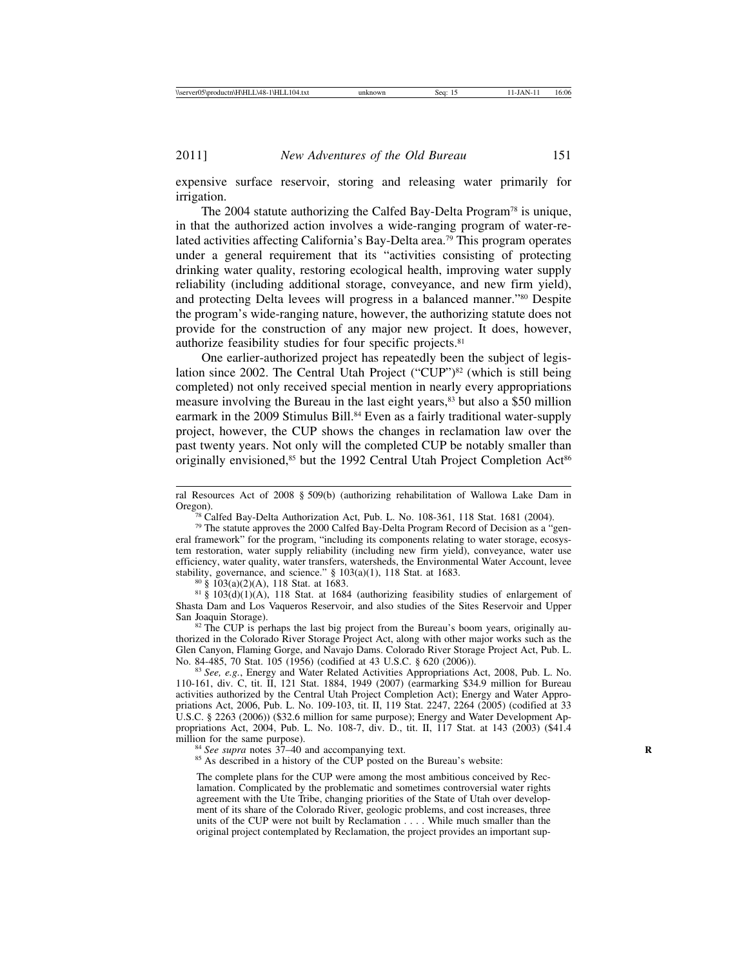expensive surface reservoir, storing and releasing water primarily for irrigation.

The 2004 statute authorizing the Calfed Bay-Delta Program<sup>78</sup> is unique, in that the authorized action involves a wide-ranging program of water-related activities affecting California's Bay-Delta area.79 This program operates under a general requirement that its "activities consisting of protecting drinking water quality, restoring ecological health, improving water supply reliability (including additional storage, conveyance, and new firm yield), and protecting Delta levees will progress in a balanced manner."80 Despite the program's wide-ranging nature, however, the authorizing statute does not provide for the construction of any major new project. It does, however, authorize feasibility studies for four specific projects.81

One earlier-authorized project has repeatedly been the subject of legislation since 2002. The Central Utah Project ("CUP")<sup>82</sup> (which is still being completed) not only received special mention in nearly every appropriations measure involving the Bureau in the last eight years,<sup>83</sup> but also a \$50 million earmark in the 2009 Stimulus Bill.<sup>84</sup> Even as a fairly traditional water-supply project, however, the CUP shows the changes in reclamation law over the past twenty years. Not only will the completed CUP be notably smaller than originally envisioned,<sup>85</sup> but the 1992 Central Utah Project Completion Act<sup>86</sup>

<sup>80</sup> § 103(a)(2)(A), 118 Stat. at 1683.<br><sup>81</sup> § 103(d)(1)(A), 118 Stat. at 1684 (authorizing feasibility studies of enlargement of Shasta Dam and Los Vaqueros Reservoir, and also studies of the Sites Reservoir and Upper

<sup>82</sup> The CUP is perhaps the last big project from the Bureau's boom years, originally authorized in the Colorado River Storage Project Act, along with other major works such as the Glen Canyon, Flaming Gorge, and Navajo Dams. Colorado River Storage Project Act, Pub. L. No. 84-485, 70 Stat. 105 (1956) (codified at 43 U.S.C. § 620 (2006)).

<sup>83</sup> See, e.g., Energy and Water Related Activities Appropriations Act, 2008, Pub. L. No. 110-161, div. C, tit. II, 121 Stat. 1884, 1949 (2007) (earmarking \$34.9 million for Bureau activities authorized by the Central Utah Project Completion Act); Energy and Water Appropriations Act, 2006, Pub. L. No. 109-103, tit. II, 119 Stat. 2247, 2264 (2005) (codified at 33 U.S.C. § 2263 (2006)) (\$32.6 million for same purpose); Energy and Water Development Appropriations Act, 2004, Pub. L. No. 108-7, div. D., tit. II,  $\overline{117}$  Stat. at 143 (2003) (\$41.4 million for the same purpose).

<sup>84</sup> *See supra* notes 37–40 and accompanying text. <sup>85</sup> As described in a history of the CUP posted on the Bureau's website:

The complete plans for the CUP were among the most ambitious conceived by Reclamation. Complicated by the problematic and sometimes controversial water rights agreement with the Ute Tribe, changing priorities of the State of Utah over development of its share of the Colorado River, geologic problems, and cost increases, three units of the CUP were not built by Reclamation . . . . While much smaller than the original project contemplated by Reclamation, the project provides an important sup-

ral Resources Act of 2008 § 509(b) (authorizing rehabilitation of Wallowa Lake Dam in Oregon).<br><sup>78</sup> Calfed Bay-Delta Authorization Act, Pub. L. No. 108-361, 118 Stat. 1681 (2004).<br><sup>79</sup> The statute approves the 2000 Calfed Bay-Delta Program Record of Decision as a "gen-

eral framework" for the program, "including its components relating to water storage, ecosystem restoration, water supply reliability (including new firm yield), conveyance, water use efficiency, water quality, water transfers, watersheds, the Environmental Water Account, levee stability, governance, and science."  $\S 103(a)(1)$ , 118 Stat. at 1683.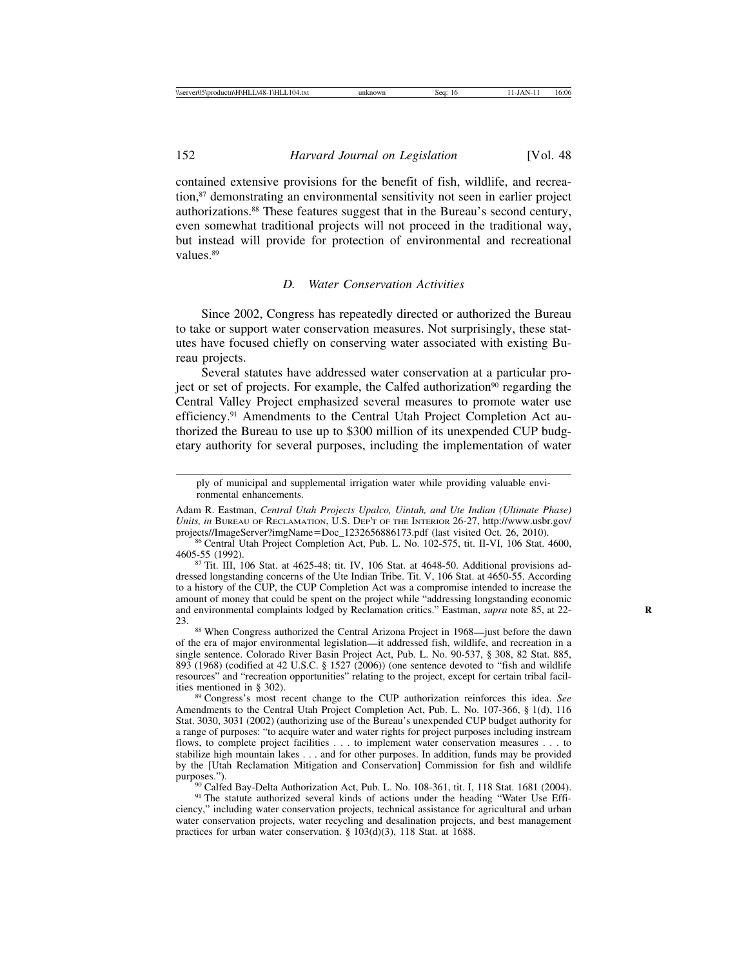contained extensive provisions for the benefit of fish, wildlife, and recreation,87 demonstrating an environmental sensitivity not seen in earlier project authorizations.88 These features suggest that in the Bureau's second century, even somewhat traditional projects will not proceed in the traditional way, but instead will provide for protection of environmental and recreational values.89

## *D. Water Conservation Activities*

Since 2002, Congress has repeatedly directed or authorized the Bureau to take or support water conservation measures. Not surprisingly, these statutes have focused chiefly on conserving water associated with existing Bureau projects.

Several statutes have addressed water conservation at a particular project or set of projects. For example, the Calfed authorization<sup>90</sup> regarding the Central Valley Project emphasized several measures to promote water use efficiency.<sup>91</sup> Amendments to the Central Utah Project Completion Act authorized the Bureau to use up to \$300 million of its unexpended CUP budgetary authority for several purposes, including the implementation of water

ply of municipal and supplemental irrigation water while providing valuable environmental enhancements.

Adam R. Eastman, *Central Utah Projects Upalco, Uintah, and Ute Indian (Ultimate Phase) Units, in BUREAU OF RECLAMATION, U.S. DEP'T OF THE INTERIOR 26-27, http://www.usbr.gov/* projects//ImageServer?imgName=Doc\_1232656886173.pdf (last visited Oct. 26, 2010).

 $87$  Tit. III, 106 Stat. at 4625-48; tit. IV, 106 Stat. at 4648-50. Additional provisions addressed longstanding concerns of the Ute Indian Tribe. Tit. V, 106 Stat. at 4650-55. According to a history of the CUP, the CUP Completion Act was a compromise intended to increase the amount of money that could be spent on the project while "addressing longstanding economic and environmental complaints lodged by Reclamation critics." Eastman, *supra* note 85, at 22-23.

<sup>88</sup> When Congress authorized the Central Arizona Project in 1968—just before the dawn of the era of major environmental legislation—it addressed fish, wildlife, and recreation in a single sentence. Colorado River Basin Project Act, Pub. L. No. 90-537, § 308, 82 Stat. 885, 893 (1968) (codified at 42 U.S.C. § 1527 (2006)) (one sentence devoted to "fish and wildlife resources" and "recreation opportunities" relating to the project, except for certain tribal facil-<br>ities mentioned in § 302).

<sup>89</sup> Congress's most recent change to the CUP authorization reinforces this idea. See Amendments to the Central Utah Project Completion Act, Pub. L. No. 107-366, § 1(d), 116 Stat. 3030, 3031 (2002) (authorizing use of the Bureau's unexpended CUP budget authority for a range of purposes: "to acquire water and water rights for project purposes including instream flows, to complete project facilities . . . to implement water conservation measures . . . to stabilize high mountain lakes . . . and for other purposes. In addition, funds may be provided by the [Utah Reclamation Mitigation and Conservation] Commission for fish and wildlife

<sup>90</sup> Calfed Bay-Delta Authorization Act, Pub. L. No. 108-361, tit. I, 118 Stat. 1681 (2004). <sup>91</sup> The statute authorized several kinds of actions under the heading "Water Use Efficiency," including water conservation projects, technical assistance for agricultural and urban water conservation projects, water recycling and desalination projects, and best management practices for urban water conservation. § 103(d)(3), 118 Stat. at 1688.

<sup>&</sup>lt;sup>86</sup> Central Utah Project Completion Act, Pub. L. No. 102-575, tit. II-VI, 106 Stat. 4600, 4605-55 (1992).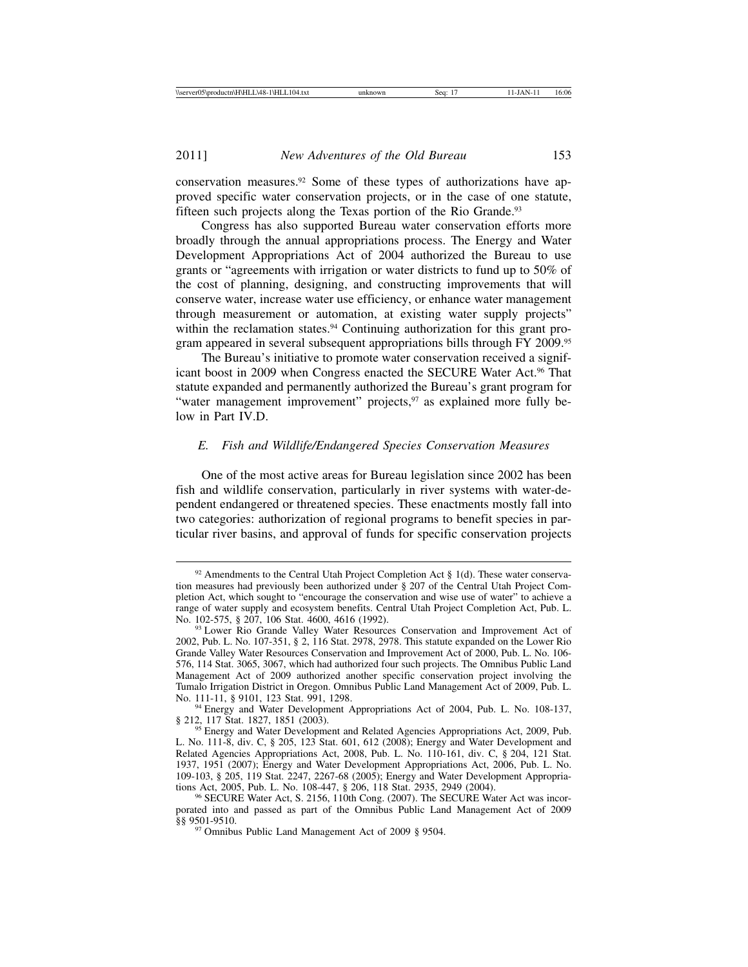conservation measures.92 Some of these types of authorizations have approved specific water conservation projects, or in the case of one statute, fifteen such projects along the Texas portion of the Rio Grande.<sup>93</sup>

Congress has also supported Bureau water conservation efforts more broadly through the annual appropriations process. The Energy and Water Development Appropriations Act of 2004 authorized the Bureau to use grants or "agreements with irrigation or water districts to fund up to 50% of the cost of planning, designing, and constructing improvements that will conserve water, increase water use efficiency, or enhance water management through measurement or automation, at existing water supply projects" within the reclamation states.<sup>94</sup> Continuing authorization for this grant program appeared in several subsequent appropriations bills through FY 2009.95

The Bureau's initiative to promote water conservation received a significant boost in 2009 when Congress enacted the SECURE Water Act.<sup>96</sup> That statute expanded and permanently authorized the Bureau's grant program for "water management improvement" projects, $97$  as explained more fully below in Part IV.D.

# *E. Fish and Wildlife/Endangered Species Conservation Measures*

One of the most active areas for Bureau legislation since 2002 has been fish and wildlife conservation, particularly in river systems with water-dependent endangered or threatened species. These enactments mostly fall into two categories: authorization of regional programs to benefit species in particular river basins, and approval of funds for specific conservation projects

 $92$  Amendments to the Central Utah Project Completion Act § 1(d). These water conservation measures had previously been authorized under § 207 of the Central Utah Project Completion Act, which sought to "encourage the conservation and wise use of water" to achieve a range of water supply and ecosystem benefits. Central Utah Project Completion Act, Pub. L. No. 102-575, § 207, 106 Stat. 4600, 4616 (1992).

<sup>&</sup>lt;sup>93</sup> Lower Rio Grande Valley Water Resources Conservation and Improvement Act of 2002, Pub. L. No. 107-351, § 2, 116 Stat. 2978, 2978. This statute expanded on the Lower Rio Grande Valley Water Resources Conservation and Improvement Act of 2000, Pub. L. No. 106- 576, 114 Stat. 3065, 3067, which had authorized four such projects. The Omnibus Public Land Management Act of 2009 authorized another specific conservation project involving the Tumalo Irrigation District in Oregon. Omnibus Public Land Management Act of 2009, Pub. L.

 $94$  Energy and Water Development Appropriations Act of 2004, Pub. L. No. 108-137, § 212, 117 Stat. 1827, 1851 (2003).

<sup>&</sup>lt;sup>95</sup> Energy and Water Development and Related Agencies Appropriations Act, 2009, Pub. L. No. 111-8, div. C, § 205, 123 Stat. 601, 612 (2008); Energy and Water Development and Related Agencies Appropriations Act, 2008, Pub. L. No. 110-161, div. C, § 204, 121 Stat. 1937, 1951 (2007); Energy and Water Development Appropriations Act, 2006, Pub. L. No. 109-103, § 205, 119 Stat. 2247, 2267-68 (2005); Energy and Water Development Appropria-

<sup>&</sup>lt;sup>96</sup> SECURE Water Act, S. 2156, 110th Cong. (2007). The SECURE Water Act was incorporated into and passed as part of the Omnibus Public Land Management Act of 2009

<sup>&</sup>lt;sup>97</sup> Omnibus Public Land Management Act of 2009 § 9504.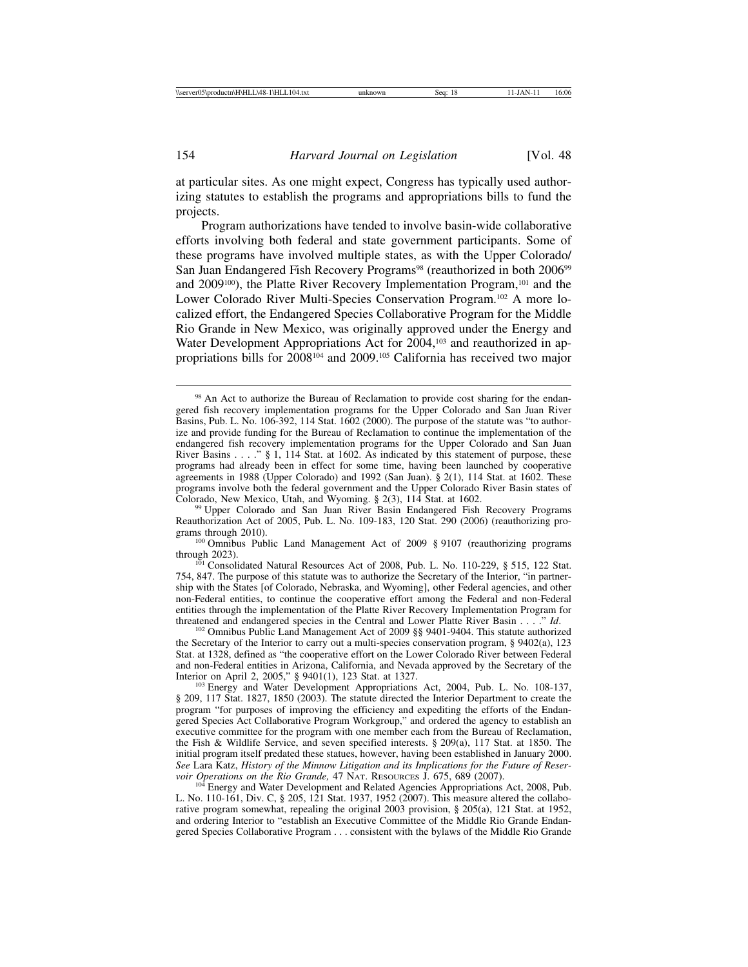at particular sites. As one might expect, Congress has typically used authorizing statutes to establish the programs and appropriations bills to fund the projects.

Program authorizations have tended to involve basin-wide collaborative efforts involving both federal and state government participants. Some of these programs have involved multiple states, as with the Upper Colorado/ San Juan Endangered Fish Recovery Programs<sup>98</sup> (reauthorized in both 2006<sup>99</sup>) and 2009<sup>100</sup>), the Platte River Recovery Implementation Program,<sup>101</sup> and the Lower Colorado River Multi-Species Conservation Program.102 A more localized effort, the Endangered Species Collaborative Program for the Middle Rio Grande in New Mexico, was originally approved under the Energy and Water Development Appropriations Act for 2004,<sup>103</sup> and reauthorized in appropriations bills for 2008104 and 2009.105 California has received two major

<sup>99</sup> Upper Colorado and San Juan River Basin Endangered Fish Recovery Programs Reauthorization Act of 2005, Pub. L. No. 109-183, 120 Stat. 290 (2006) (reauthorizing pro-

<sup>102</sup> Omnibus Public Land Management Act of 2009 §§ 9401-9404. This statute authorized the Secretary of the Interior to carry out a multi-species conservation program, § 9402(a), 123 Stat. at 1328, defined as "the cooperative effort on the Lower Colorado River between Federal and non-Federal entities in Arizona, California, and Nevada approved by the Secretary of the Interior on April 2, 2005," § 9401(1), 123 Stat. at 1327.

<sup>103</sup> Energy and Water Development Appropriations Act, 2004, Pub. L. No. 108-137, § 209, 117 Stat. 1827, 1850 (2003). The statute directed the Interior Department to create the program "for purposes of improving the efficiency and expediting the efforts of the Endangered Species Act Collaborative Program Workgroup," and ordered the agency to establish an executive committee for the program with one member each from the Bureau of Reclamation, the Fish & Wildlife Service, and seven specified interests.  $\S$  209(a), 117 Stat. at 1850. The initial program itself predated these statues, however, having been established in January 2000. See Lara Katz, *History of the Minnow Litigation and its Implications for the Future of Reservoir Operations on the Rio Grande, 47 NAT. RESOURCES J. 675, 689 (2007).* 

<sup>104</sup> Energy and Water Development and Related Agencies Appropriations Act, 2008, Pub. L. No. 110-161, Div. C, § 205, 121 Stat. 1937, 1952 (2007). This measure altered the collaborative program somewhat, repealing the original 2003 provision, § 205(a), 121 Stat. at 1952, and ordering Interior to "establish an Executive Committee of the Middle Rio Grande Endangered Species Collaborative Program . . . consistent with the bylaws of the Middle Rio Grande

<sup>98</sup> An Act to authorize the Bureau of Reclamation to provide cost sharing for the endangered fish recovery implementation programs for the Upper Colorado and San Juan River Basins, Pub. L. No. 106-392, 114 Stat. 1602 (2000). The purpose of the statute was "to authorize and provide funding for the Bureau of Reclamation to continue the implementation of the endangered fish recovery implementation programs for the Upper Colorado and San Juan River Basins . . . . " § 1, 114 Stat. at 1602. As indicated by this statement of purpose, these programs had already been in effect for some time, having been launched by cooperative agreements in 1988 (Upper Colorado) and 1992 (San Juan). § 2(1), 114 Stat. at 1602. These programs involve both the federal government and the Upper Colorado River Basin states of Colorado, New Mexico, Utah, and Wyoming. § 2(3), 114 Stat. at 1602.

<sup>&</sup>lt;sup>100</sup> Omnibus Public Land Management Act of 2009 § 9107 (reauthorizing programs through 2023).

 $t^{101}$  Consolidated Natural Resources Act of 2008, Pub. L. No. 110-229, § 515, 122 Stat. 754, 847. The purpose of this statute was to authorize the Secretary of the Interior, "in partnership with the States [of Colorado, Nebraska, and Wyoming], other Federal agencies, and other non-Federal entities, to continue the cooperative effort among the Federal and non-Federal entities through the implementation of the Platte River Recovery Implementation Program for threatened and endangered species in the Central and Lower Platte River Basin  $\dots$  " Id.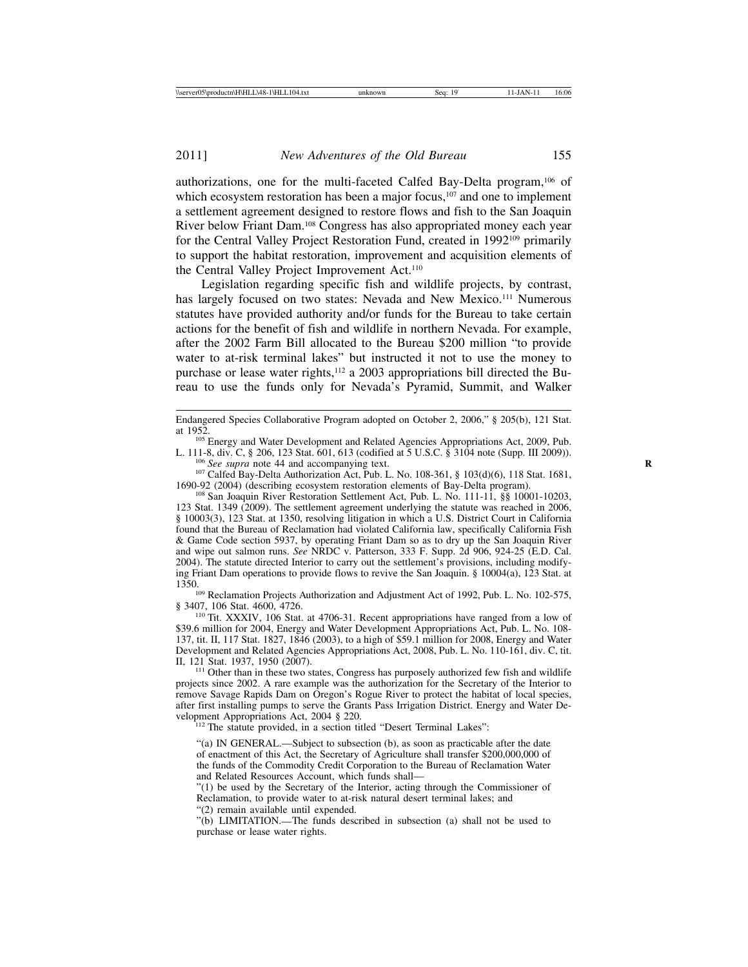authorizations, one for the multi-faceted Calfed Bay-Delta program,106 of which ecosystem restoration has been a major focus,<sup>107</sup> and one to implement a settlement agreement designed to restore flows and fish to the San Joaquin River below Friant Dam.108 Congress has also appropriated money each year for the Central Valley Project Restoration Fund, created in 1992<sup>109</sup> primarily to support the habitat restoration, improvement and acquisition elements of the Central Valley Project Improvement Act.110

Legislation regarding specific fish and wildlife projects, by contrast, has largely focused on two states: Nevada and New Mexico.<sup>111</sup> Numerous statutes have provided authority and/or funds for the Bureau to take certain actions for the benefit of fish and wildlife in northern Nevada. For example, after the 2002 Farm Bill allocated to the Bureau \$200 million "to provide water to at-risk terminal lakes" but instructed it not to use the money to purchase or lease water rights,<sup>112</sup> a 2003 appropriations bill directed the Bureau to use the funds only for Nevada's Pyramid, Summit, and Walker

<sup>105</sup> Energy and Water Development and Related Agencies Appropriations Act, 2009, Pub. L. 111-8, div. C, § 206, 123 Stat. 601, 613 (codified at 5 U.S.C. § 3104 note (Supp. III 2009)).

<sup>106</sup> See supra note 44 and accompanying text.<br><sup>107</sup> Calfed Bay-Delta Authorization Act, Pub. L. No. 108-361, § 103(d)(6), 118 Stat. 1681, 1690-92 (2004) (describing ecosystem restoration elements of Bay-Delta program).

<sup>108</sup> San Joaquin River Restoration Settlement Act, Pub. L. No. 111-11, §§ 10001-10203, 123 Stat. 1349 (2009). The settlement agreement underlying the statute was reached in 2006, § 10003(3), 123 Stat. at 1350, resolving litigation in which a U.S. District Court in California found that the Bureau of Reclamation had violated California law, specifically California Fish & Game Code section 5937, by operating Friant Dam so as to dry up the San Joaquin River and wipe out salmon runs. *See* NRDC v. Patterson, 333 F. Supp. 2d 906, 924-25 (E.D. Cal. 2004). The statute directed Interior to carry out the settlement's provisions, including modifying Friant Dam operations to provide flows to revive the San Joaquin. § 10004(a), 123 Stat. at

<sup>109</sup> Reclamation Projects Authorization and Adjustment Act of 1992, Pub. L. No. 102-575, § 3407, 106 Stat. 4600, 4726.

<sup>110</sup> Tit. XXXIV, 106 Stat. at 4706-31. Recent appropriations have ranged from a low of \$39.6 million for 2004, Energy and Water Development Appropriations Act, Pub. L. No. 108- 137, tit. II, 117 Stat. 1827, 1846 (2003), to a high of \$59.1 million for 2008, Energy and Water Development and Related Agencies Appropriations Act, 2008, Pub. L. No. 110-161, div. C, tit.

<sup>111</sup> Other than in these two states, Congress has purposely authorized few fish and wildlife projects since 2002. A rare example was the authorization for the Secretary of the Interior to remove Savage Rapids Dam on Oregon's Rogue River to protect the habitat of local species, after first installing pumps to serve the Grants Pass Irrigation District. Energy and Water Development Appropriations Act, 2004 § 220.

<sup>112</sup> The statute provided, in a section titled "Desert Terminal Lakes":

"(a) IN GENERAL.—Subject to subsection (b), as soon as practicable after the date of enactment of this Act, the Secretary of Agriculture shall transfer \$200,000,000 of the funds of the Commodity Credit Corporation to the Bureau of Reclamation Water and Related Resources Account, which funds shall—

"(1) be used by the Secretary of the Interior, acting through the Commissioner of Reclamation, to provide water to at-risk natural desert terminal lakes; and

"(2) remain available until expended.

"(b) LIMITATION.—The funds described in subsection (a) shall not be used to purchase or lease water rights.

Endangered Species Collaborative Program adopted on October 2, 2006," § 205(b), 121 Stat.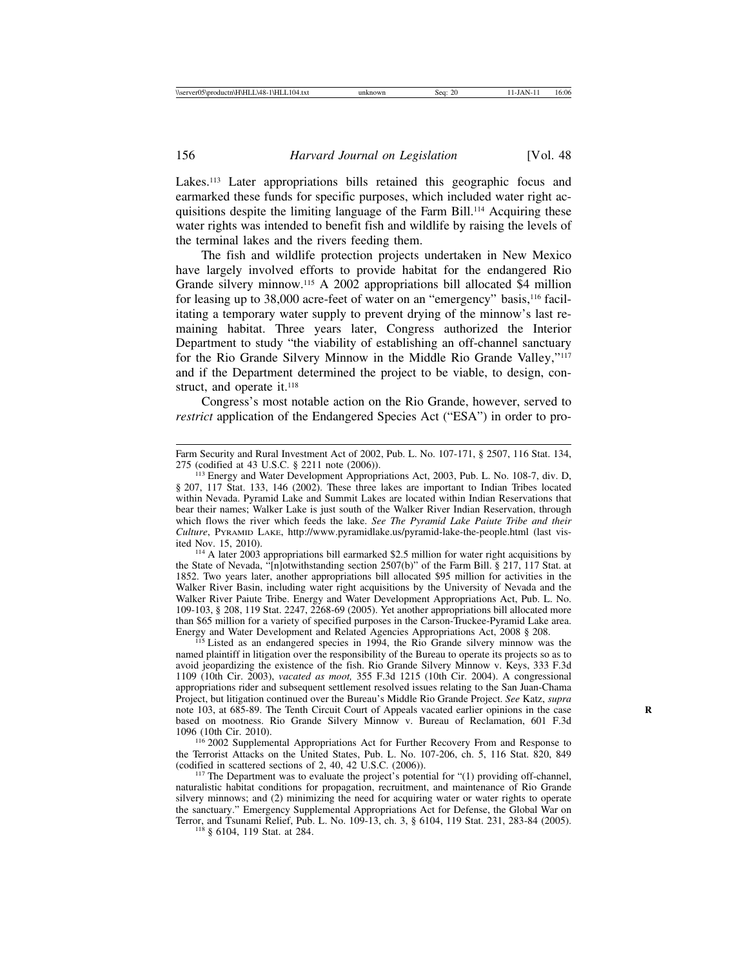Lakes.<sup>113</sup> Later appropriations bills retained this geographic focus and earmarked these funds for specific purposes, which included water right acquisitions despite the limiting language of the Farm Bill.<sup>114</sup> Acquiring these water rights was intended to benefit fish and wildlife by raising the levels of the terminal lakes and the rivers feeding them.

The fish and wildlife protection projects undertaken in New Mexico have largely involved efforts to provide habitat for the endangered Rio Grande silvery minnow.115 A 2002 appropriations bill allocated \$4 million for leasing up to 38,000 acre-feet of water on an "emergency" basis,<sup>116</sup> facilitating a temporary water supply to prevent drying of the minnow's last remaining habitat. Three years later, Congress authorized the Interior Department to study "the viability of establishing an off-channel sanctuary for the Rio Grande Silvery Minnow in the Middle Rio Grande Valley,"117 and if the Department determined the project to be viable, to design, construct, and operate it.<sup>118</sup>

Congress's most notable action on the Rio Grande, however, served to *restrict* application of the Endangered Species Act ("ESA") in order to pro-

<sup>114</sup> A later 2003 appropriations bill earmarked \$2.5 million for water right acquisitions by the State of Nevada, "[n]otwithstanding section 2507(b)" of the Farm Bill. § 217, 117 Stat. at 1852. Two years later, another appropriations bill allocated \$95 million for activities in the Walker River Basin, including water right acquisitions by the University of Nevada and the Walker River Paiute Tribe. Energy and Water Development Appropriations Act, Pub. L. No. 109-103, § 208, 119 Stat. 2247, 2268-69 (2005). Yet another appropriations bill allocated more than \$65 million for a variety of specified purposes in the Carson-Truckee-Pyramid Lake area. Energy and Water Development and Related Agencies Appropriations Act, 2008 § 208. <sup>115</sup> Listed as an endangered species in 1994, the Rio Grande silvery minnow was the

named plaintiff in litigation over the responsibility of the Bureau to operate its projects so as to avoid jeopardizing the existence of the fish. Rio Grande Silvery Minnow v. Keys, 333 F.3d 1109 (10th Cir. 2003), *vacated as moot,* 355 F.3d 1215 (10th Cir. 2004). A congressional appropriations rider and subsequent settlement resolved issues relating to the San Juan-Chama Project, but litigation continued over the Bureau's Middle Rio Grande Project. *See* Katz, *supra* note 103, at 685-89. The Tenth Circuit Court of Appeals vacated earlier opinions in the case **R** based on mootness. Rio Grande Silvery Minnow v. Bureau of Reclamation, 601 F.3d

<sup>116</sup> 2002 Supplemental Appropriations Act for Further Recovery From and Response to the Terrorist Attacks on the United States, Pub. L. No. 107-206, ch. 5, 116 Stat. 820, 849 (codified in scattered sections of 2, 40, 42 U.S.C. (2006)).

 $^{117}$  The Department was to evaluate the project's potential for "(1) providing off-channel, naturalistic habitat conditions for propagation, recruitment, and maintenance of Rio Grande silvery minnows; and (2) minimizing the need for acquiring water or water rights to operate the sanctuary." Emergency Supplemental Appropriations Act for Defense, the Global War on Terror, and Tsunami Relief, Pub. L. No. 109-13, ch. 3, § 6104, 119 Stat. 231, 283-84 (2005). <sup>118</sup> § 6104, 119 Stat. at 284.

Farm Security and Rural Investment Act of 2002, Pub. L. No. 107-171, § 2507, 116 Stat. 134, 275 (codified at 43 U.S.C. § 2211 note (2006)).

<sup>&</sup>lt;sup>113</sup> Energy and Water Development Appropriations Act, 2003, Pub. L. No. 108-7, div. D, § 207, 117 Stat. 133, 146 (2002). These three lakes are important to Indian Tribes located within Nevada. Pyramid Lake and Summit Lakes are located within Indian Reservations that bear their names; Walker Lake is just south of the Walker River Indian Reservation, through which flows the river which feeds the lake. *See The Pyramid Lake Paiute Tribe and their Culture*, PYRAMID LAKE, http://www.pyramidlake.us/pyramid-lake-the-people.html (last vis-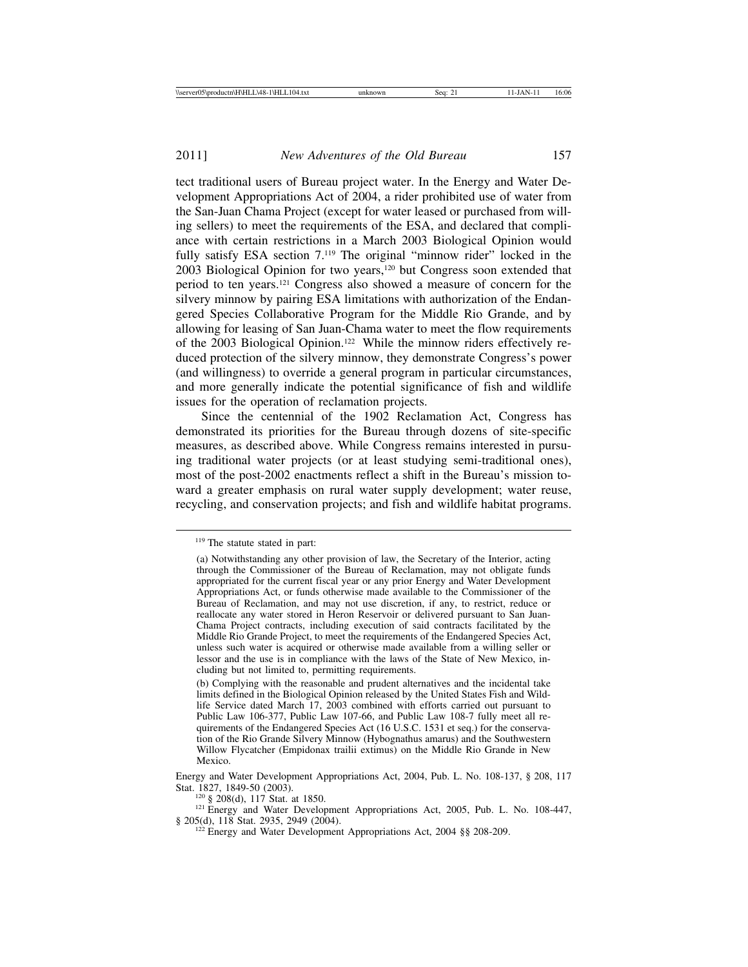tect traditional users of Bureau project water. In the Energy and Water Development Appropriations Act of 2004, a rider prohibited use of water from the San-Juan Chama Project (except for water leased or purchased from willing sellers) to meet the requirements of the ESA, and declared that compliance with certain restrictions in a March 2003 Biological Opinion would fully satisfy ESA section 7.<sup>119</sup> The original "minnow rider" locked in the 2003 Biological Opinion for two years,120 but Congress soon extended that period to ten years.121 Congress also showed a measure of concern for the silvery minnow by pairing ESA limitations with authorization of the Endangered Species Collaborative Program for the Middle Rio Grande, and by allowing for leasing of San Juan-Chama water to meet the flow requirements of the 2003 Biological Opinion.<sup>122</sup> While the minnow riders effectively reduced protection of the silvery minnow, they demonstrate Congress's power (and willingness) to override a general program in particular circumstances, and more generally indicate the potential significance of fish and wildlife issues for the operation of reclamation projects.

Since the centennial of the 1902 Reclamation Act, Congress has demonstrated its priorities for the Bureau through dozens of site-specific measures, as described above. While Congress remains interested in pursuing traditional water projects (or at least studying semi-traditional ones), most of the post-2002 enactments reflect a shift in the Bureau's mission toward a greater emphasis on rural water supply development; water reuse, recycling, and conservation projects; and fish and wildlife habitat programs.

<sup>120</sup> § 208(d), 117 Stat. at 1850.<br><sup>121</sup> Energy and Water Development Appropriations Act, 2005, Pub. L. No. 108-447, § 205(d), 118 Stat. 2935, 2949 (2004).

<sup>122</sup> Energy and Water Development Appropriations Act, 2004 §§ 208-209.

<sup>119</sup> The statute stated in part:

<sup>(</sup>a) Notwithstanding any other provision of law, the Secretary of the Interior, acting through the Commissioner of the Bureau of Reclamation, may not obligate funds appropriated for the current fiscal year or any prior Energy and Water Development Appropriations Act, or funds otherwise made available to the Commissioner of the Bureau of Reclamation, and may not use discretion, if any, to restrict, reduce or reallocate any water stored in Heron Reservoir or delivered pursuant to San Juan-Chama Project contracts, including execution of said contracts facilitated by the Middle Rio Grande Project, to meet the requirements of the Endangered Species Act, unless such water is acquired or otherwise made available from a willing seller or lessor and the use is in compliance with the laws of the State of New Mexico, including but not limited to, permitting requirements.

<sup>(</sup>b) Complying with the reasonable and prudent alternatives and the incidental take limits defined in the Biological Opinion released by the United States Fish and Wildlife Service dated March 17, 2003 combined with efforts carried out pursuant to Public Law 106-377, Public Law 107-66, and Public Law 108-7 fully meet all requirements of the Endangered Species Act (16 U.S.C. 1531 et seq.) for the conservation of the Rio Grande Silvery Minnow (Hybognathus amarus) and the Southwestern Willow Flycatcher (Empidonax trailii extimus) on the Middle Rio Grande in New Mexico.

Energy and Water Development Appropriations Act, 2004, Pub. L. No. 108-137, § 208, 117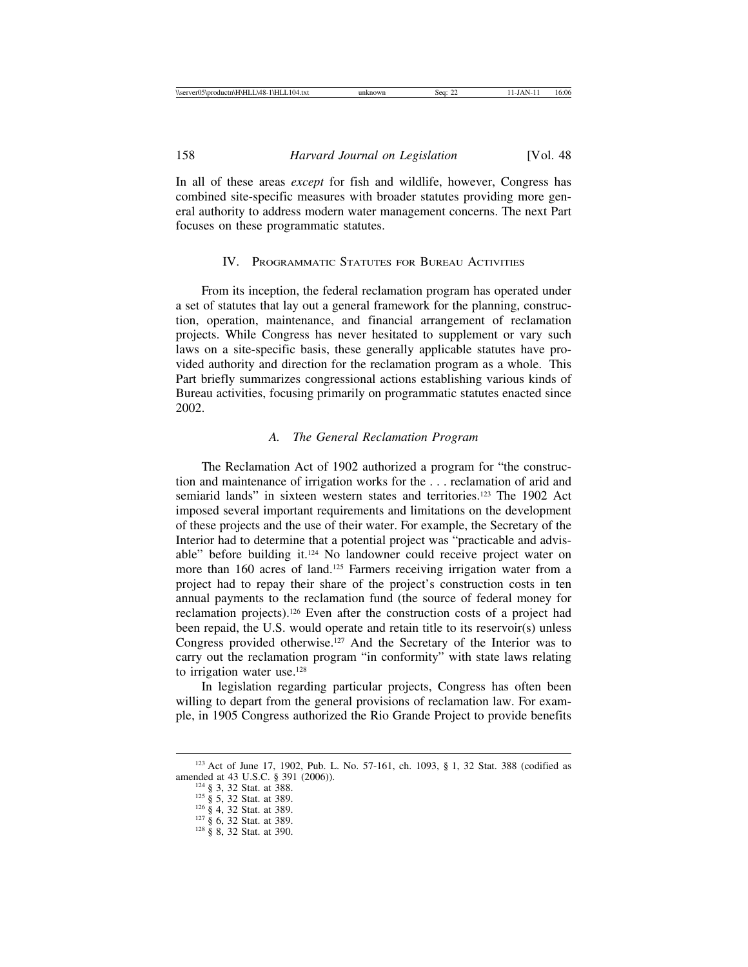In all of these areas *except* for fish and wildlife, however, Congress has combined site-specific measures with broader statutes providing more general authority to address modern water management concerns. The next Part focuses on these programmatic statutes.

# IV. PROGRAMMATIC STATUTES FOR BUREAU ACTIVITIES

From its inception, the federal reclamation program has operated under a set of statutes that lay out a general framework for the planning, construction, operation, maintenance, and financial arrangement of reclamation projects. While Congress has never hesitated to supplement or vary such laws on a site-specific basis, these generally applicable statutes have provided authority and direction for the reclamation program as a whole. This Part briefly summarizes congressional actions establishing various kinds of Bureau activities, focusing primarily on programmatic statutes enacted since 2002.

### *A. The General Reclamation Program*

The Reclamation Act of 1902 authorized a program for "the construction and maintenance of irrigation works for the . . . reclamation of arid and semiarid lands" in sixteen western states and territories.<sup>123</sup> The 1902 Act imposed several important requirements and limitations on the development of these projects and the use of their water. For example, the Secretary of the Interior had to determine that a potential project was "practicable and advisable" before building it.124 No landowner could receive project water on more than 160 acres of land.<sup>125</sup> Farmers receiving irrigation water from a project had to repay their share of the project's construction costs in ten annual payments to the reclamation fund (the source of federal money for reclamation projects).126 Even after the construction costs of a project had been repaid, the U.S. would operate and retain title to its reservoir(s) unless Congress provided otherwise.127 And the Secretary of the Interior was to carry out the reclamation program "in conformity" with state laws relating to irrigation water use.<sup>128</sup>

In legislation regarding particular projects, Congress has often been willing to depart from the general provisions of reclamation law. For example, in 1905 Congress authorized the Rio Grande Project to provide benefits

<sup>&</sup>lt;sup>123</sup> Act of June 17, 1902, Pub. L. No. 57-161, ch. 1093, § 1, 32 Stat. 388 (codified as amended at 43 U.S.C. § 391 (2006)).

<sup>124 § 3, 32</sup> Stat. at 388.<br><sup>125</sup> § 5, 32 Stat. at 389.<br><sup>126</sup> § 4, 32 Stat. at 389.<br><sup>127</sup> § 6, 32 Stat. at 389.<br><sup>128</sup> § 8, 32 Stat. at 390.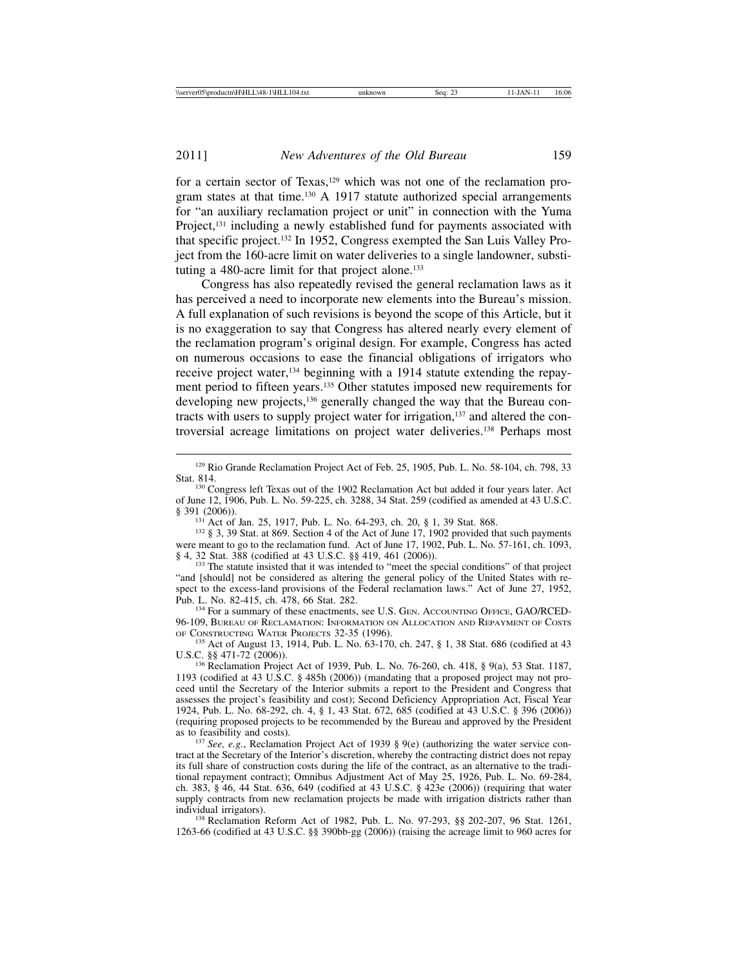for a certain sector of Texas,<sup>129</sup> which was not one of the reclamation program states at that time.<sup>130</sup> A 1917 statute authorized special arrangements for "an auxiliary reclamation project or unit" in connection with the Yuma Project,<sup>131</sup> including a newly established fund for payments associated with that specific project.132 In 1952, Congress exempted the San Luis Valley Project from the 160-acre limit on water deliveries to a single landowner, substituting a 480-acre limit for that project alone.<sup>133</sup>

Congress has also repeatedly revised the general reclamation laws as it has perceived a need to incorporate new elements into the Bureau's mission. A full explanation of such revisions is beyond the scope of this Article, but it is no exaggeration to say that Congress has altered nearly every element of the reclamation program's original design. For example, Congress has acted on numerous occasions to ease the financial obligations of irrigators who receive project water,<sup>134</sup> beginning with a 1914 statute extending the repayment period to fifteen years.135 Other statutes imposed new requirements for developing new projects,<sup>136</sup> generally changed the way that the Bureau contracts with users to supply project water for irrigation,<sup>137</sup> and altered the controversial acreage limitations on project water deliveries.138 Perhaps most

<sup>131</sup> Act of Jan. 25, 1917, Pub. L. No. 64-293, ch. 20, § 1, 39 Stat. 868.<br><sup>132</sup> § 3, 39 Stat. at 869. Section 4 of the Act of June 17, 1902 provided that such payments were meant to go to the reclamation fund. Act of June 17, 1902, Pub. L. No. 57-161, ch. 1093, § 4, 32 Stat. 388 (codified at 43 U.S.C. §§ 419, 461 (2006)).

 $<sup>133</sup>$  The statute insisted that it was intended to "meet the special conditions" of that project</sup> "and [should] not be considered as altering the general policy of the United States with respect to the excess-land provisions of the Federal reclamation laws." Act of June 27, 1952, Pub. L. No. 82-415, ch. 478, 66 Stat. 282.

134 For a summary of these enactments, see U.S. GEN. ACCOUNTING OFFICE, GAO/RCED-96-109, BUREAU OF RECLAMATION: INFORMATION ON ALLOCATION AND REPAYMENT OF COSTS OF CONSTRUCTING WATER PROJECTS 32-35 (1996).

<sup>135</sup> Act of August 13, 1914, Pub. L. No.  $63-170$ , ch. 247, § 1, 38 Stat. 686 (codified at 43 U.S.C. §§ 471-72 (2006)). <sup>136</sup> Reclamation Project Act of 1939, Pub. L. No. 76-260, ch. 418, § 9(a), 53 Stat. 1187,

1193 (codified at 43 U.S.C. § 485h (2006)) (mandating that a proposed project may not proceed until the Secretary of the Interior submits a report to the President and Congress that assesses the project's feasibility and cost); Second Deficiency Appropriation Act, Fiscal Year 1924, Pub. L. No. 68-292, ch. 4, § 1, 43 Stat. 672, 685 (codified at 43 U.S.C. § 396 (2006)) (requiring proposed projects to be recommended by the Bureau and approved by the President

<sup>137</sup> *See, e.g.*, Reclamation Project Act of 1939 § 9(e) (authorizing the water service contract at the Secretary of the Interior's discretion, whereby the contracting district does not repay its full share of construction costs during the life of the contract, as an alternative to the traditional repayment contract); Omnibus Adjustment Act of May 25, 1926, Pub. L. No. 69-284, ch. 383, § 46, 44 Stat. 636, 649 (codified at 43 U.S.C. § 423e (2006)) (requiring that water supply contracts from new reclamation projects be made with irrigation districts rather than individual irrigators).

<sup>138</sup> Reclamation Reform Act of 1982, Pub. L. No. 97-293, §§ 202-207, 96 Stat. 1261, 1263-66 (codified at 43 U.S.C. §§ 390bb-gg (2006)) (raising the acreage limit to 960 acres for

<sup>129</sup> Rio Grande Reclamation Project Act of Feb. 25, 1905, Pub. L. No. 58-104, ch. 798, 33

<sup>&</sup>lt;sup>130</sup> Congress left Texas out of the 1902 Reclamation Act but added it four years later. Act of June 12, 1906, Pub. L. No. 59-225, ch. 3288, 34 Stat. 259 (codified as amended at 43 U.S.C.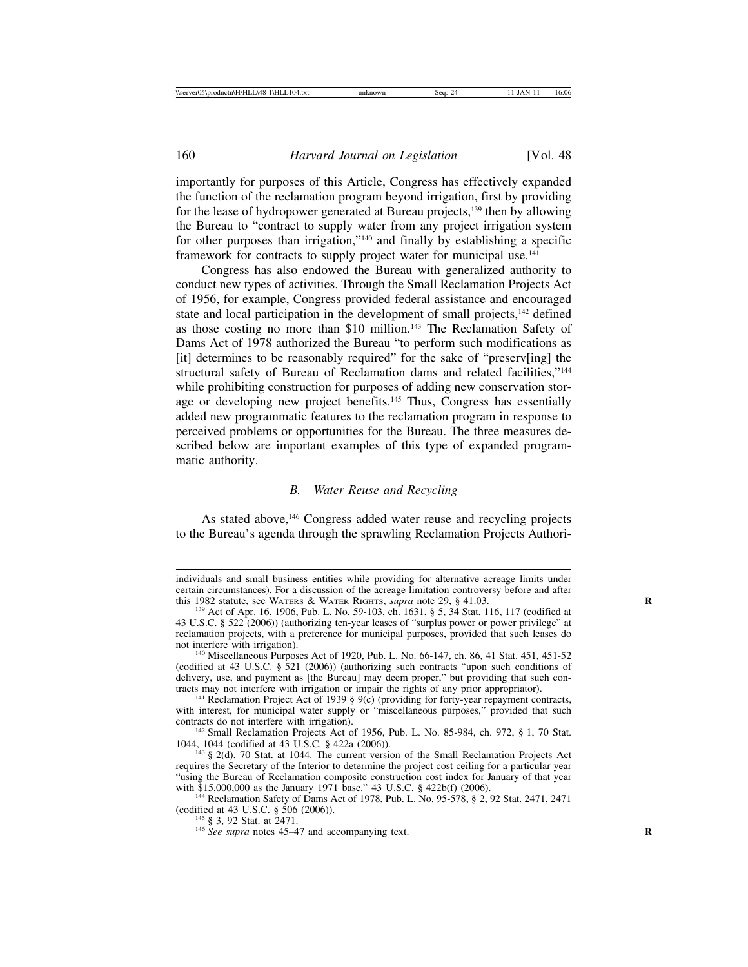importantly for purposes of this Article, Congress has effectively expanded the function of the reclamation program beyond irrigation, first by providing for the lease of hydropower generated at Bureau projects,139 then by allowing the Bureau to "contract to supply water from any project irrigation system for other purposes than irrigation,"140 and finally by establishing a specific framework for contracts to supply project water for municipal use.<sup>141</sup>

Congress has also endowed the Bureau with generalized authority to conduct new types of activities. Through the Small Reclamation Projects Act of 1956, for example, Congress provided federal assistance and encouraged state and local participation in the development of small projects,<sup>142</sup> defined as those costing no more than \$10 million.<sup>143</sup> The Reclamation Safety of Dams Act of 1978 authorized the Bureau "to perform such modifications as [it] determines to be reasonably required" for the sake of "preserv[ing] the structural safety of Bureau of Reclamation dams and related facilities,"<sup>144</sup> while prohibiting construction for purposes of adding new conservation storage or developing new project benefits.145 Thus, Congress has essentially added new programmatic features to the reclamation program in response to perceived problems or opportunities for the Bureau. The three measures described below are important examples of this type of expanded programmatic authority.

### *B. Water Reuse and Recycling*

As stated above,<sup>146</sup> Congress added water reuse and recycling projects to the Bureau's agenda through the sprawling Reclamation Projects Authori-

<sup>141</sup> Reclamation Project Act of 1939 § 9(c) (providing for forty-year repayment contracts, with interest, for municipal water supply or "miscellaneous purposes," provided that such contracts do not interfere with irrigation).

<sup>142</sup> Small Reclamation Projects Act of 1956, Pub. L. No. 85-984, ch. 972, § 1, 70 Stat. 1044, 1044 (codified at 43 U.S.C. § 422a (2006)).

 $143$  § 2(d), 70 Stat. at 1044. The current version of the Small Reclamation Projects Act requires the Secretary of the Interior to determine the project cost ceiling for a particular year "using the Bureau of Reclamation composite construction cost index for January of that year with \$15,000,000 as the January 1971 base." 43 U.S.C. § 422b(f) (2006).

<sup>144</sup> Reclamation Safety of Dams Act of 1978, Pub. L. No.  $95-578$ , § 2, 92 Stat. 2471, 2471 (codified at 43 U.S.C. § 506 (2006)).<br><sup>145</sup> § 3, 92 Stat. at 2471.<br><sup>146</sup> *See supra* notes 45–47 and accompanying text.

individuals and small business entities while providing for alternative acreage limits under certain circumstances). For a discussion of the acreage limitation controversy before and after this 1982 statute, see WATERS & WATER RIGHTS, *supra* note 29,  $\S$  41.03.

<sup>&</sup>lt;sup>139</sup> Act of Apr. 16, 1906, Pub. L. No. 59-103, ch. 1631, § 5, 34 Stat. 116, 117 (codified at 43 U.S.C. § 522 (2006)) (authorizing ten-year leases of "surplus power or power privilege" at reclamation projects, with a preference for municipal purposes, provided that such leases do

<sup>&</sup>lt;sup>140</sup> Miscellaneous Purposes Act of 1920, Pub. L. No. 66-147, ch. 86, 41 Stat. 451, 451-52 (codified at 43 U.S.C. § 521 (2006)) (authorizing such contracts "upon such conditions of delivery, use, and payment as [the Bureau] may deem proper," but providing that such contracts may not interfere with irrigation or impair the rights of any prior appropriator).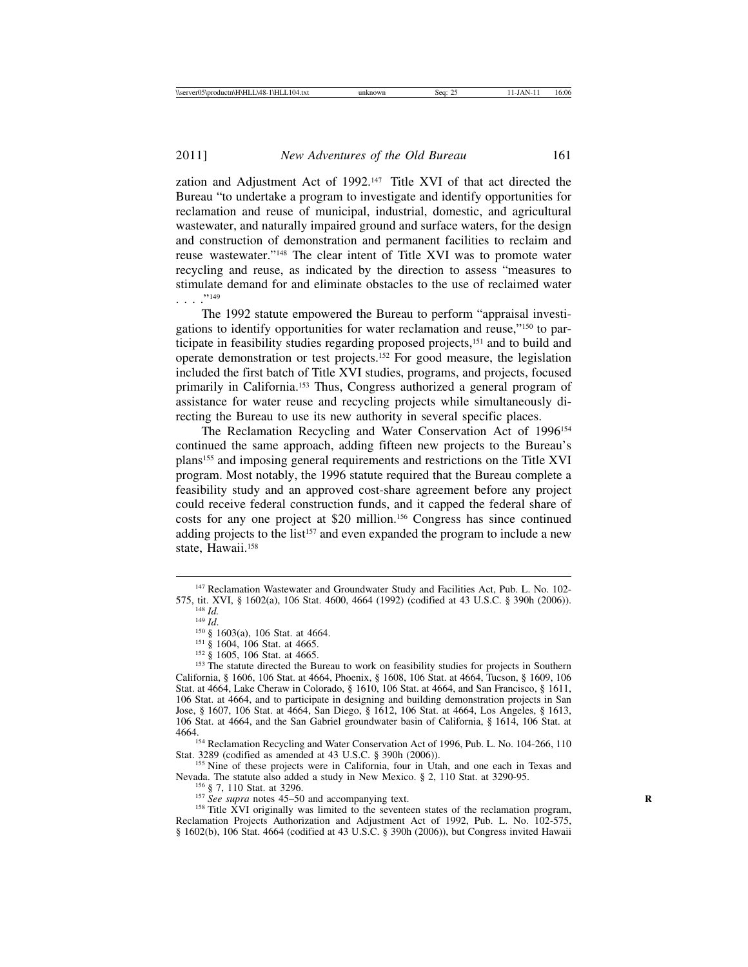zation and Adjustment Act of 1992.<sup>147</sup> Title XVI of that act directed the Bureau "to undertake a program to investigate and identify opportunities for reclamation and reuse of municipal, industrial, domestic, and agricultural wastewater, and naturally impaired ground and surface waters, for the design and construction of demonstration and permanent facilities to reclaim and reuse wastewater."148 The clear intent of Title XVI was to promote water recycling and reuse, as indicated by the direction to assess "measures to stimulate demand for and eliminate obstacles to the use of reclaimed water . . . ."149

The 1992 statute empowered the Bureau to perform "appraisal investigations to identify opportunities for water reclamation and reuse,"150 to participate in feasibility studies regarding proposed projects,<sup>151</sup> and to build and operate demonstration or test projects.152 For good measure, the legislation included the first batch of Title XVI studies, programs, and projects, focused primarily in California.<sup>153</sup> Thus, Congress authorized a general program of assistance for water reuse and recycling projects while simultaneously directing the Bureau to use its new authority in several specific places.

The Reclamation Recycling and Water Conservation Act of 1996<sup>154</sup> continued the same approach, adding fifteen new projects to the Bureau's plans155 and imposing general requirements and restrictions on the Title XVI program. Most notably, the 1996 statute required that the Bureau complete a feasibility study and an approved cost-share agreement before any project could receive federal construction funds, and it capped the federal share of costs for any one project at \$20 million.156 Congress has since continued adding projects to the list<sup>157</sup> and even expanded the program to include a new state, Hawaii.<sup>158</sup>

<sup>154</sup> Reclamation Recycling and Water Conservation Act of 1996, Pub. L. No. 104-266, 110<br>Stat. 3289 (codified as amended at 43 U.S.C. § 390h (2006)).

<sup>155</sup> Nine of these projects were in California, four in Utah, and one each in Texas and Nevada. The statute also added a study in New Mexico. § 2, 110 Stat. at 3290-95.

<sup>156</sup> § 7, 110 Stat. at 3296.<br><sup>157</sup> See supra notes 45–50 and accompanying text.<br><sup>158</sup> Title XVI originally was limited to the seventeen states of the reclamation program, Reclamation Projects Authorization and Adjustment Act of 1992, Pub. L. No. 102-575, § 1602(b), 106 Stat. 4664 (codified at 43 U.S.C. § 390h (2006)), but Congress invited Hawaii

<sup>&</sup>lt;sup>147</sup> Reclamation Wastewater and Groundwater Study and Facilities Act, Pub. L. No. 102-575, tit. XVI, § 1602(a), 106 Stat. 4600, 4664 (1992) (codified at 43 U.S.C. § 390h (2006)).

<sup>&</sup>lt;sup>148</sup> *Id.*<br>
<sup>148</sup> *Id.*<br>
<sup>149</sup> *Id.*<br>
<sup>150</sup> § 1603(a), 106 Stat. at 4664.<br>
<sup>151</sup> § 1604, 106 Stat. at 4665.<br>
<sup>152</sup> § 1605, 106 Stat. at 4665.<br>
<sup>152</sup> § 1605, 106 Stat. at 4665. California, § 1606, 106 Stat. at 4664, Phoenix, § 1608, 106 Stat. at 4664, Tucson, § 1609, 106 Stat. at 4664, Lake Cheraw in Colorado, § 1610, 106 Stat. at 4664, and San Francisco, § 1611, 106 Stat. at 4664, and to participate in designing and building demonstration projects in San Jose, § 1607, 106 Stat. at 4664, San Diego, § 1612, 106 Stat. at 4664, Los Angeles, § 1613, 106 Stat. at 4664, and the San Gabriel groundwater basin of California, § 1614, 106 Stat. at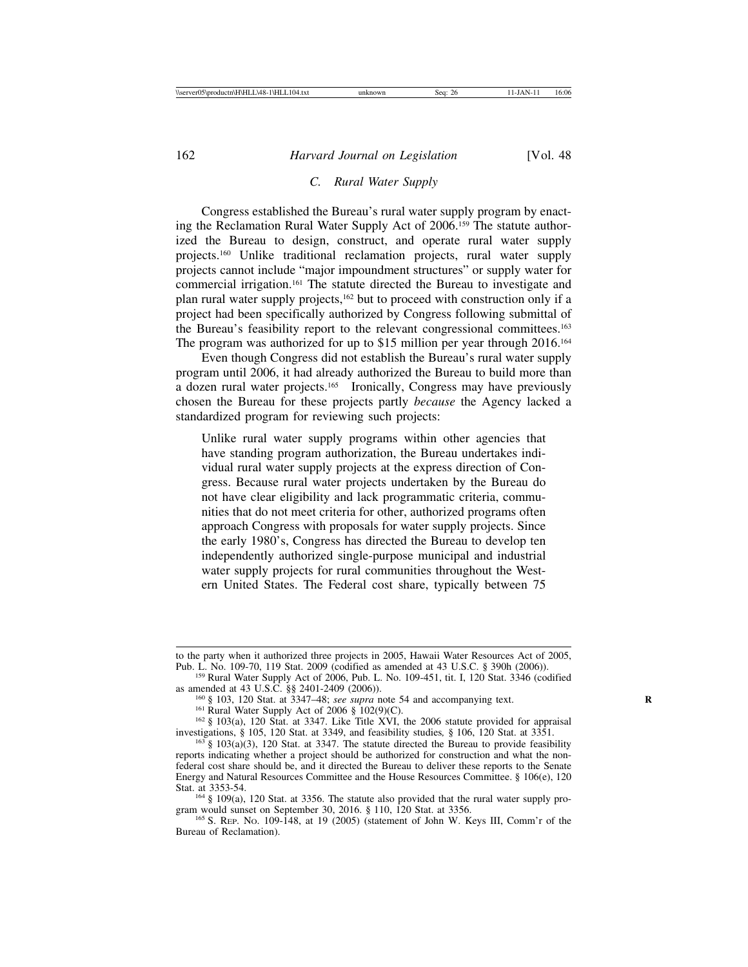### *C. Rural Water Supply*

Congress established the Bureau's rural water supply program by enacting the Reclamation Rural Water Supply Act of 2006.159 The statute authorized the Bureau to design, construct, and operate rural water supply projects.160 Unlike traditional reclamation projects, rural water supply projects cannot include "major impoundment structures" or supply water for commercial irrigation.161 The statute directed the Bureau to investigate and plan rural water supply projects,162 but to proceed with construction only if a project had been specifically authorized by Congress following submittal of the Bureau's feasibility report to the relevant congressional committees.163 The program was authorized for up to \$15 million per year through 2016.164

Even though Congress did not establish the Bureau's rural water supply program until 2006, it had already authorized the Bureau to build more than a dozen rural water projects.<sup>165</sup> Ironically, Congress may have previously chosen the Bureau for these projects partly *because* the Agency lacked a standardized program for reviewing such projects:

Unlike rural water supply programs within other agencies that have standing program authorization, the Bureau undertakes individual rural water supply projects at the express direction of Congress. Because rural water projects undertaken by the Bureau do not have clear eligibility and lack programmatic criteria, communities that do not meet criteria for other, authorized programs often approach Congress with proposals for water supply projects. Since the early 1980's, Congress has directed the Bureau to develop ten independently authorized single-purpose municipal and industrial water supply projects for rural communities throughout the Western United States. The Federal cost share, typically between 75

to the party when it authorized three projects in 2005, Hawaii Water Resources Act of 2005, Pub. L. No. 109-70, 119 Stat. 2009 (codified as amended at 43 U.S.C. § 390h (2006)).

<sup>&</sup>lt;sup>159</sup> Rural Water Supply Act of 2006, Pub. L. No. 109-451, tit. I, 120 Stat. 3346 (codified as amended at 43 U.S.C. §§ 2401-2409 (2006)).

<sup>&</sup>lt;sup>160</sup> § 103, 120 Stat. at 3347–48; *see supra* note 54 and accompanying text.<br><sup>161</sup> Rural Water Supply Act of 2006 § 102(9)(C).<br><sup>162</sup> § 103(a), 120 Stat. at 3347. Like Title XVI, the 2006 statute provided for appraisal in

<sup>&</sup>lt;sup>163</sup>§ 103(a)(3), 120 Stat. at 3347. The statute directed the Bureau to provide feasibility reports indicating whether a project should be authorized for construction and what the nonfederal cost share should be, and it directed the Bureau to deliver these reports to the Senate Energy and Natural Resources Committee and the House Resources Committee. § 106(e), 120

<sup>&</sup>lt;sup>164</sup> § 109(a), 120 Stat. at 3356. The statute also provided that the rural water supply program would sunset on September 30, 2016. § 110, 120 Stat. at 3356.

<sup>&</sup>lt;sup>165</sup> S. REP. No. 109-148, at 19 (2005) (statement of John W. Keys III, Comm'r of the Bureau of Reclamation).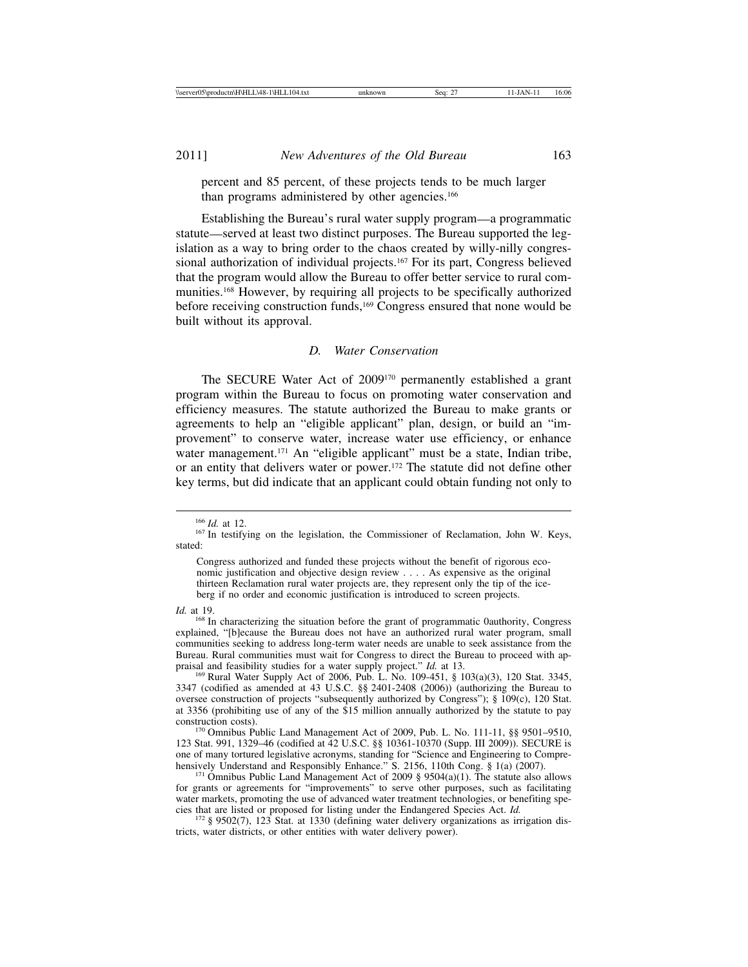percent and 85 percent, of these projects tends to be much larger than programs administered by other agencies.<sup>166</sup>

Establishing the Bureau's rural water supply program—a programmatic statute—served at least two distinct purposes. The Bureau supported the legislation as a way to bring order to the chaos created by willy-nilly congressional authorization of individual projects.<sup>167</sup> For its part, Congress believed that the program would allow the Bureau to offer better service to rural communities.168 However, by requiring all projects to be specifically authorized before receiving construction funds,169 Congress ensured that none would be built without its approval.

### *D. Water Conservation*

The SECURE Water Act of 2009170 permanently established a grant program within the Bureau to focus on promoting water conservation and efficiency measures. The statute authorized the Bureau to make grants or agreements to help an "eligible applicant" plan, design, or build an "improvement" to conserve water, increase water use efficiency, or enhance water management.<sup>171</sup> An "eligible applicant" must be a state, Indian tribe, or an entity that delivers water or power.172 The statute did not define other key terms, but did indicate that an applicant could obtain funding not only to

*Id.* at 19. <sup>168</sup> In characterizing the situation before the grant of programmatic 0authority, Congress explained, "[b]ecause the Bureau does not have an authorized rural water program, small communities seeking to address long-term water needs are unable to seek assistance from the Bureau. Rural communities must wait for Congress to direct the Bureau to proceed with ap-<br>praisal and feasibility studies for a water supply project."  $Id$ . at 13.

<sup>169</sup> Rural Water Supply Act of 2006, Pub. L. No. 109-451, § 103(a)(3), 120 Stat. 3345, 3347 (codified as amended at 43 U.S.C. §§ 2401-2408 (2006)) (authorizing the Bureau to oversee construction of projects "subsequently authorized by Congress"); § 109(c), 120 Stat. at 3356 (prohibiting use of any of the \$15 million annually authorized by the statute to pay

<sup>170</sup> Omnibus Public Land Management Act of 2009, Pub. L. No. 111-11, §§ 9501-9510, 123 Stat. 991, 1329–46 (codified at 42 U.S.C. §§ 10361-10370 (Supp. III 2009)). SECURE is one of many tortured legislative acronyms, standing for "Science and Engineering to Comprehensively Understand and Responsibly Enhance." S. 2156, 110th Cong. § 1(a) (2007).

<sup>171</sup> Omnibus Public Land Management Act of 2009 § 9504(a)(1). The statute also allows for grants or agreements for "improvements" to serve other purposes, such as facilitating water markets, promoting the use of advanced water treatment technologies, or benefiting species that are listed or proposed for listing under the Endangered Species Act.  $Id$ .

<sup>172</sup> § 9502(7), 123 Stat. at 1330 (defining water delivery organizations as irrigation districts, water districts, or other entities with water delivery power).

<sup>&</sup>lt;sup>166</sup> *Id.* at 12.<br><sup>167</sup> In testifying on the legislation, the Commissioner of Reclamation, John W. Keys, stated:

Congress authorized and funded these projects without the benefit of rigorous economic justification and objective design review . . . . As expensive as the original thirteen Reclamation rural water projects are, they represent only the tip of the iceberg if no order and economic justification is introduced to screen projects.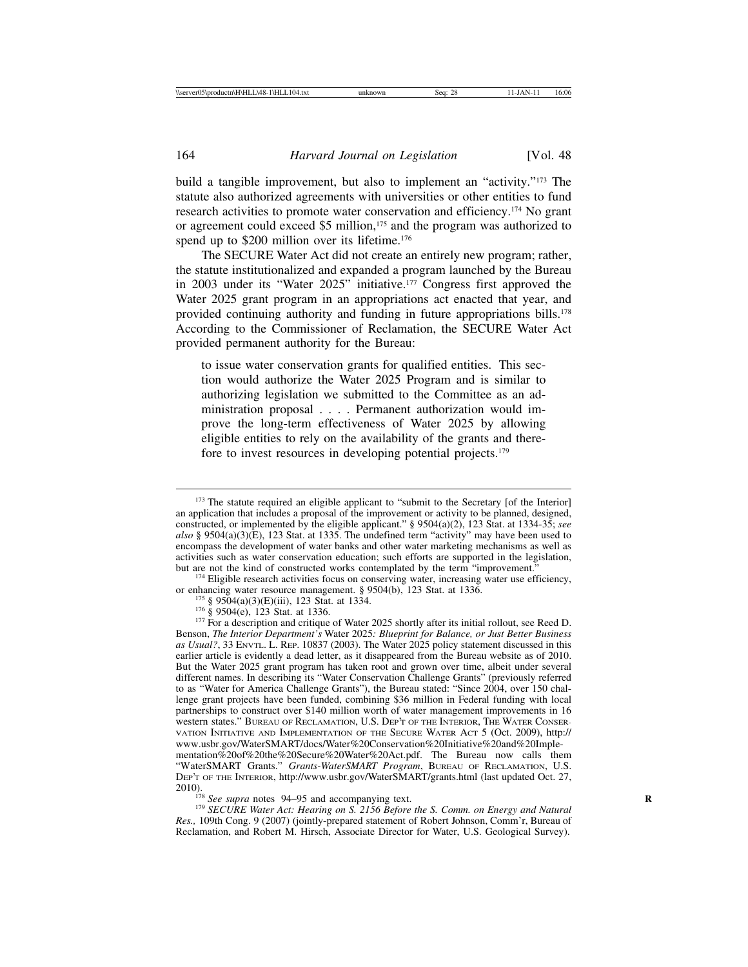build a tangible improvement, but also to implement an "activity."173 The statute also authorized agreements with universities or other entities to fund research activities to promote water conservation and efficiency.174 No grant or agreement could exceed \$5 million,<sup>175</sup> and the program was authorized to spend up to \$200 million over its lifetime.<sup>176</sup>

The SECURE Water Act did not create an entirely new program; rather, the statute institutionalized and expanded a program launched by the Bureau in 2003 under its "Water 2025" initiative.177 Congress first approved the Water 2025 grant program in an appropriations act enacted that year, and provided continuing authority and funding in future appropriations bills.178 According to the Commissioner of Reclamation, the SECURE Water Act provided permanent authority for the Bureau:

to issue water conservation grants for qualified entities. This section would authorize the Water 2025 Program and is similar to authorizing legislation we submitted to the Committee as an administration proposal . . . . Permanent authorization would improve the long-term effectiveness of Water 2025 by allowing eligible entities to rely on the availability of the grants and therefore to invest resources in developing potential projects.179

*Res.,* 109th Cong. 9 (2007) (jointly-prepared statement of Robert Johnson, Comm'r, Bureau of Reclamation, and Robert M. Hirsch, Associate Director for Water, U.S. Geological Survey).

<sup>&</sup>lt;sup>173</sup> The statute required an eligible applicant to "submit to the Secretary [of the Interior] an application that includes a proposal of the improvement or activity to be planned, designed, constructed, or implemented by the eligible applicant." § 9504(a)(2), 123 Stat. at 1334-35; *see also* § 9504(a)(3)(E), 123 Stat. at 1335. The undefined term "activity" may have been used to encompass the development of water banks and other water marketing mechanisms as well as activities such as water conservation education; such efforts are supported in the legislation, but are not the kind of constructed works contemplated by the term "improvement."

<sup>&</sup>lt;sup>174</sup> Eligible research activities focus on conserving water, increasing water use efficiency, or enhancing water resource management.  $\S$  9504(b), 123 Stat. at 1336.

<sup>&</sup>lt;sup>175</sup> § 9504(a)(3)(E)(iii), 123 Stat. at 1334.<br><sup>176</sup> § 9504(e), 123 Stat. at 1336.<br><sup>176</sup> § 9504(e), 123 Stat. at 1336.<br><sup>177</sup> For a description and critique of Water 2025 shortly after its initial rollout, see Reed D. Benson, *The Interior Department's* Water 2025*: Blueprint for Balance, or Just Better Business as Usual?*, 33 ENVTL. L. REP. 10837 (2003). The Water 2025 policy statement discussed in this earlier article is evidently a dead letter, as it disappeared from the Bureau website as of 2010. But the Water 2025 grant program has taken root and grown over time, albeit under several different names. In describing its "Water Conservation Challenge Grants" (previously referred to as "Water for America Challenge Grants"), the Bureau stated: "Since 2004, over 150 challenge grant projects have been funded, combining \$36 million in Federal funding with local partnerships to construct over \$140 million worth of water management improvements in 16 western states." BUREAU OF RECLAMATION, U.S. DEP'T OF THE INTERIOR, THE WATER CONSER-VATION INITIATIVE AND IMPLEMENTATION OF THE SECURE WATER ACT 5 (Oct. 2009), http:// www.usbr.gov/WaterSMART/docs/Water%20Conservation%20Initiative%20and%20Implementation%20of%20the%20Secure%20Water%20Act.pdf. The Bureau now calls them

<sup>&</sup>quot;WaterSMART Grants." *Grants-WaterSMART Program*, BUREAU OF RECLAMATION, U.S. DEP'T OF THE INTERIOR, http://www.usbr.gov/WaterSMART/grants.html (last updated Oct. 27, 2010).<br><sup>178</sup> *See supra* notes 94–95 and accompanying text.<br><sup>179</sup> *SECURE Water Act: Hearing on S. 2156 Before the S. Comm. on Energy and Natural*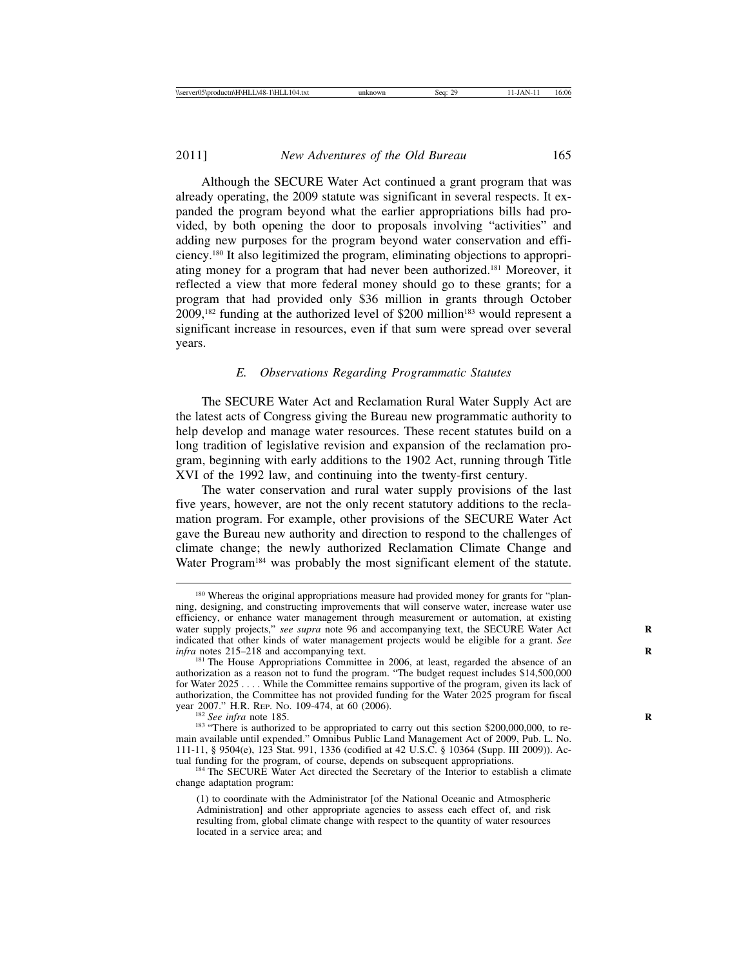Although the SECURE Water Act continued a grant program that was already operating, the 2009 statute was significant in several respects. It expanded the program beyond what the earlier appropriations bills had provided, by both opening the door to proposals involving "activities" and adding new purposes for the program beyond water conservation and efficiency.180 It also legitimized the program, eliminating objections to appropriating money for a program that had never been authorized.181 Moreover, it reflected a view that more federal money should go to these grants; for a program that had provided only \$36 million in grants through October  $2009$ ,<sup>182</sup> funding at the authorized level of \$200 million<sup>183</sup> would represent a significant increase in resources, even if that sum were spread over several years.

# *E. Observations Regarding Programmatic Statutes*

The SECURE Water Act and Reclamation Rural Water Supply Act are the latest acts of Congress giving the Bureau new programmatic authority to help develop and manage water resources. These recent statutes build on a long tradition of legislative revision and expansion of the reclamation program, beginning with early additions to the 1902 Act, running through Title XVI of the 1992 law, and continuing into the twenty-first century.

The water conservation and rural water supply provisions of the last five years, however, are not the only recent statutory additions to the reclamation program. For example, other provisions of the SECURE Water Act gave the Bureau new authority and direction to respond to the challenges of climate change; the newly authorized Reclamation Climate Change and Water Program<sup>184</sup> was probably the most significant element of the statute.

<sup>&</sup>lt;sup>180</sup> Whereas the original appropriations measure had provided money for grants for "planning, designing, and constructing improvements that will conserve water, increase water use efficiency, or enhance water management through measurement or automation, at existing water supply projects," *see supra* note 96 and accompanying text, the SECURE Water Act indicated that other kinds of water management projects would be eligible for a grant. *See*

<sup>&</sup>lt;sup>181</sup> The House Appropriations Committee in 2006, at least, regarded the absence of an authorization as a reason not to fund the program. "The budget request includes \$14,500,000 for Water 2025 . . . . While the Committee remains supportive of the program, given its lack of authorization, the Committee has not provided funding for the Water 2025 program for fiscal

<sup>&</sup>lt;sup>182</sup> See infra note 185.<br><sup>183</sup> "There is authorized to be appropriated to carry out this section \$200,000,000, to remain available until expended." Omnibus Public Land Management Act of 2009, Pub. L. No. 111-11, § 9504(e), 123 Stat. 991, 1336 (codified at 42 U.S.C. § 10364 (Supp. III 2009)). Ac-

<sup>&</sup>lt;sup>184</sup> The SECURE Water Act directed the Secretary of the Interior to establish a climate change adaptation program:

<sup>(1)</sup> to coordinate with the Administrator [of the National Oceanic and Atmospheric Administration] and other appropriate agencies to assess each effect of, and risk resulting from, global climate change with respect to the quantity of water resources located in a service area; and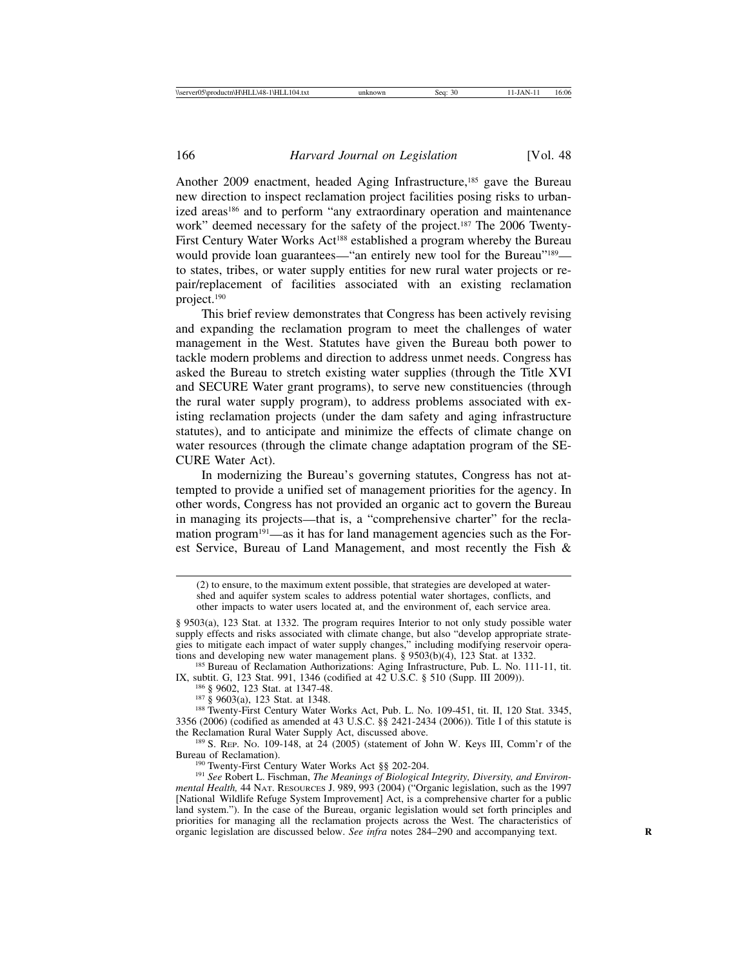Another 2009 enactment, headed Aging Infrastructure,<sup>185</sup> gave the Bureau new direction to inspect reclamation project facilities posing risks to urbanized areas<sup>186</sup> and to perform "any extraordinary operation and maintenance work" deemed necessary for the safety of the project.<sup>187</sup> The 2006 Twenty-First Century Water Works Act<sup>188</sup> established a program whereby the Bureau would provide loan guarantees—"an entirely new tool for the Bureau"<sup>189</sup> to states, tribes, or water supply entities for new rural water projects or repair/replacement of facilities associated with an existing reclamation project.190

This brief review demonstrates that Congress has been actively revising and expanding the reclamation program to meet the challenges of water management in the West. Statutes have given the Bureau both power to tackle modern problems and direction to address unmet needs. Congress has asked the Bureau to stretch existing water supplies (through the Title XVI and SECURE Water grant programs), to serve new constituencies (through the rural water supply program), to address problems associated with existing reclamation projects (under the dam safety and aging infrastructure statutes), and to anticipate and minimize the effects of climate change on water resources (through the climate change adaptation program of the SE-CURE Water Act).

In modernizing the Bureau's governing statutes, Congress has not attempted to provide a unified set of management priorities for the agency. In other words, Congress has not provided an organic act to govern the Bureau in managing its projects—that is, a "comprehensive charter" for the reclamation program<sup>191</sup>—as it has for land management agencies such as the Forest Service, Bureau of Land Management, and most recently the Fish &

IX, subtit. G, 123 Stat. 991, 1346 (codified at 42 U.S.C. § 510 (Supp. III 2009)).<br><sup>186</sup> § 9602, 123 Stat. at 1347-48.<br><sup>187</sup> § 9603(a), 123 Stat. at 1348.<br><sup>187</sup> § 9603(a), 123 Stat. at 1348.<br><sup>188</sup> Twenty-First Century Wate

3356 (2006) (codified as amended at 43 U.S.C. §§ 2421-2434 (2006)). Title I of this statute is

<sup>189</sup> S. Rep. No. 109-148, at  $24$  (2005) (statement of John W. Keys III, Comm'r of the Bureau of Reclamation).

<sup>190</sup> Twenty-First Century Water Works Act §§ 202-204.<br><sup>191</sup> See Robert L. Fischman, *The Meanings of Biological Integrity, Diversity, and Environmental Health,* 44 NAT. RESOURCES J. 989, 993 (2004) ("Organic legislation, such as the 1997 [National Wildlife Refuge System Improvement] Act, is a comprehensive charter for a public land system."). In the case of the Bureau, organic legislation would set forth principles and priorities for managing all the reclamation projects across the West. The characteristics of organic legislation are discussed below. *See infra* notes 284–290 and accompanying text. **R**

<sup>(2)</sup> to ensure, to the maximum extent possible, that strategies are developed at watershed and aquifer system scales to address potential water shortages, conflicts, and other impacts to water users located at, and the environment of, each service area.

<sup>§ 9503(</sup>a), 123 Stat. at 1332. The program requires Interior to not only study possible water supply effects and risks associated with climate change, but also "develop appropriate strategies to mitigate each impact of water supply changes," including modifying reservoir operations and developing new water management plans. §  $9503(b)(4)$ , 123 Stat. at 1332.<br><sup>185</sup> Bureau of Reclamation Authorizations: Aging Infrastructure, Pub. L. No. 111-11, tit.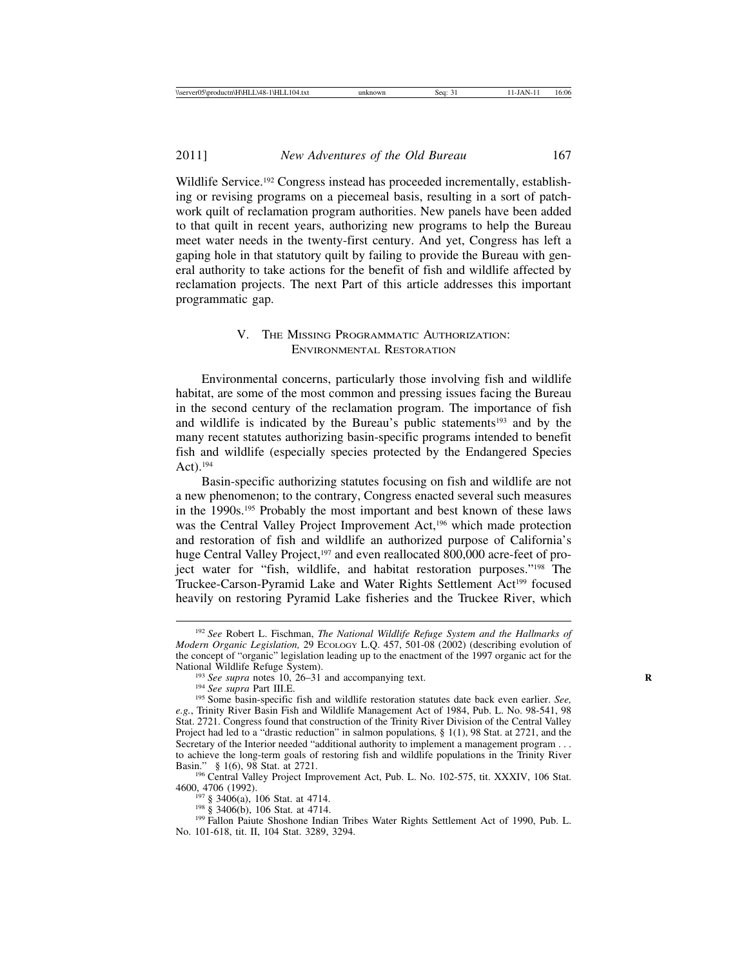2011] *New Adventures of the Old Bureau* 167

Wildlife Service.<sup>192</sup> Congress instead has proceeded incrementally, establishing or revising programs on a piecemeal basis, resulting in a sort of patchwork quilt of reclamation program authorities. New panels have been added to that quilt in recent years, authorizing new programs to help the Bureau meet water needs in the twenty-first century. And yet, Congress has left a gaping hole in that statutory quilt by failing to provide the Bureau with general authority to take actions for the benefit of fish and wildlife affected by reclamation projects. The next Part of this article addresses this important programmatic gap.

# V. THE MISSING PROGRAMMATIC AUTHORIZATION: ENVIRONMENTAL RESTORATION

Environmental concerns, particularly those involving fish and wildlife habitat, are some of the most common and pressing issues facing the Bureau in the second century of the reclamation program. The importance of fish and wildlife is indicated by the Bureau's public statements<sup>193</sup> and by the many recent statutes authorizing basin-specific programs intended to benefit fish and wildlife (especially species protected by the Endangered Species Act).194

Basin-specific authorizing statutes focusing on fish and wildlife are not a new phenomenon; to the contrary, Congress enacted several such measures in the 1990s.195 Probably the most important and best known of these laws was the Central Valley Project Improvement Act,196 which made protection and restoration of fish and wildlife an authorized purpose of California's huge Central Valley Project,<sup>197</sup> and even reallocated 800,000 acre-feet of project water for "fish, wildlife, and habitat restoration purposes."198 The Truckee-Carson-Pyramid Lake and Water Rights Settlement Act<sup>199</sup> focused heavily on restoring Pyramid Lake fisheries and the Truckee River, which

<sup>192</sup> *See* Robert L. Fischman, *The National Wildlife Refuge System and the Hallmarks of Modern Organic Legislation, 29 ECOLOGY L.Q. 457, 501-08 (2002) (describing evolution of* the concept of "organic" legislation leading up to the enactment of the 1997 organic act for the

<sup>&</sup>lt;sup>193</sup> See supra notes 10, 26–31 and accompanying text.<br><sup>194</sup> See supra Part III.E.<br><sup>195</sup> Some basin-specific fish and wildlife restoration statutes date back even earlier. See, *e.g.*, Trinity River Basin Fish and Wildlife Management Act of 1984, Pub. L. No. 98-541, 98 Stat. 2721. Congress found that construction of the Trinity River Division of the Central Valley Project had led to a "drastic reduction" in salmon populations*,* § 1(1), 98 Stat. at 2721, and the Secretary of the Interior needed "additional authority to implement a management program . . . to achieve the long-term goals of restoring fish and wildlife populations in the Trinity River Basin."  $§$  1(6), 98 Stat. at 2721.

<sup>&</sup>lt;sup>196</sup> Central Valley Project Improvement Act, Pub. L. No. 102-575, tit. XXXIV, 106 Stat. 4600, 4706 (1992).

<sup>&</sup>lt;sup>197</sup> § 3406(a), 106 Stat. at 4714.<br><sup>198</sup> § 3406(b), 106 Stat. at 4714.<br><sup>199</sup> Fallon Paiute Shoshone Indian Tribes Water Rights Settlement Act of 1990, Pub. L. No. 101-618, tit. II, 104 Stat. 3289, 3294.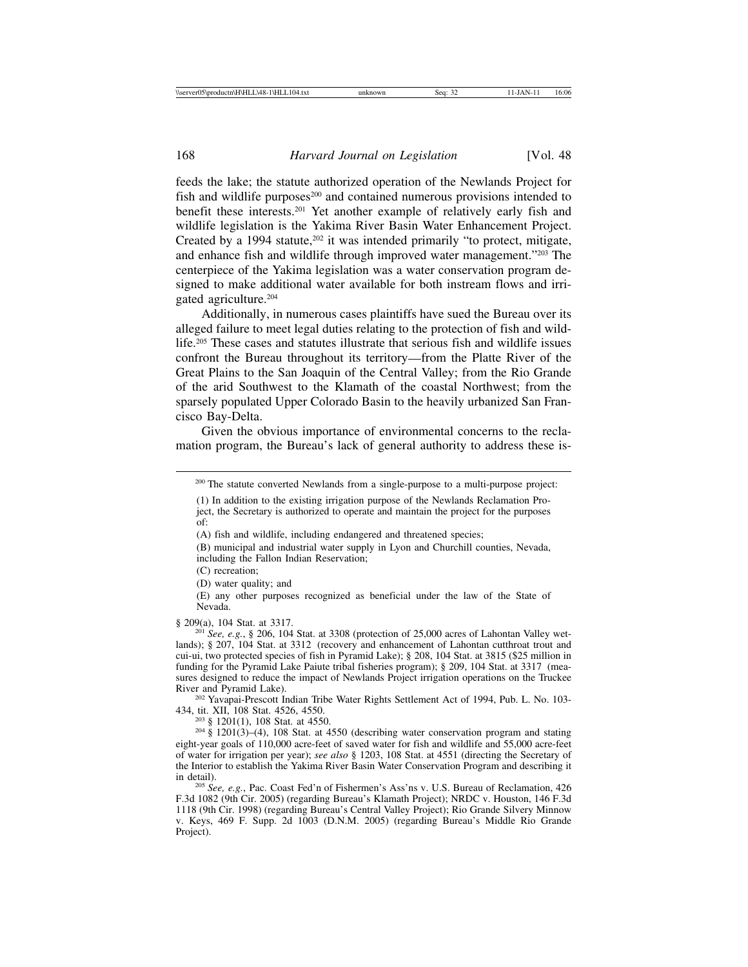feeds the lake; the statute authorized operation of the Newlands Project for fish and wildlife purposes<sup>200</sup> and contained numerous provisions intended to benefit these interests.201 Yet another example of relatively early fish and wildlife legislation is the Yakima River Basin Water Enhancement Project. Created by a 1994 statute, $202$  it was intended primarily "to protect, mitigate, and enhance fish and wildlife through improved water management."203 The centerpiece of the Yakima legislation was a water conservation program designed to make additional water available for both instream flows and irrigated agriculture.204

Additionally, in numerous cases plaintiffs have sued the Bureau over its alleged failure to meet legal duties relating to the protection of fish and wildlife.205 These cases and statutes illustrate that serious fish and wildlife issues confront the Bureau throughout its territory—from the Platte River of the Great Plains to the San Joaquin of the Central Valley; from the Rio Grande of the arid Southwest to the Klamath of the coastal Northwest; from the sparsely populated Upper Colorado Basin to the heavily urbanized San Francisco Bay-Delta.

Given the obvious importance of environmental concerns to the reclamation program, the Bureau's lack of general authority to address these is-

(C) recreation;

(D) water quality; and

(E) any other purposes recognized as beneficial under the law of the State of Nevada.

§ 209(a), 104 Stat. at 3317. <sup>201</sup> *See, e.g.*, § 206, 104 Stat. at 3308 (protection of 25,000 acres of Lahontan Valley wetlands); § 207, 104 Stat. at 3312 (recovery and enhancement of Lahontan cutthroat trout and cui-ui, two protected species of fish in Pyramid Lake); § 208, 104 Stat. at 3815 (\$25 million in funding for the Pyramid Lake Paiute tribal fisheries program); § 209, 104 Stat. at 3317 (measures designed to reduce the impact of Newlands Project irrigation operations on the Truckee River and Pyramid Lake).

<sup>202</sup> Yavapai-Prescott Indian Tribe Water Rights Settlement Act of 1994, Pub. L. No. 103-434, tit. XII, 108 Stat. 4526, 4550.

<sup>203</sup> § 1201(1), 108 Stat. at 4550.<br><sup>204</sup> § 1201(3)–(4), 108 Stat. at 4550 (describing water conservation program and stating eight-year goals of 110,000 acre-feet of saved water for fish and wildlife and 55,000 acre-feet of water for irrigation per year); *see also* § 1203, 108 Stat. at 4551 (directing the Secretary of the Interior to establish the Yakima River Basin Water Conservation Program and describing it

<sup>205</sup> See, e.g., Pac. Coast Fed'n of Fishermen's Ass'ns v. U.S. Bureau of Reclamation, 426 F.3d 1082 (9th Cir. 2005) (regarding Bureau's Klamath Project); NRDC v. Houston, 146 F.3d 1118 (9th Cir. 1998) (regarding Bureau's Central Valley Project); Rio Grande Silvery Minnow v. Keys, 469 F. Supp. 2d 1003 (D.N.M. 2005) (regarding Bureau's Middle Rio Grande Project).

<sup>&</sup>lt;sup>200</sup> The statute converted Newlands from a single-purpose to a multi-purpose project:

<sup>(1)</sup> In addition to the existing irrigation purpose of the Newlands Reclamation Project, the Secretary is authorized to operate and maintain the project for the purposes of:

<sup>(</sup>A) fish and wildlife, including endangered and threatened species;

<sup>(</sup>B) municipal and industrial water supply in Lyon and Churchill counties, Nevada, including the Fallon Indian Reservation;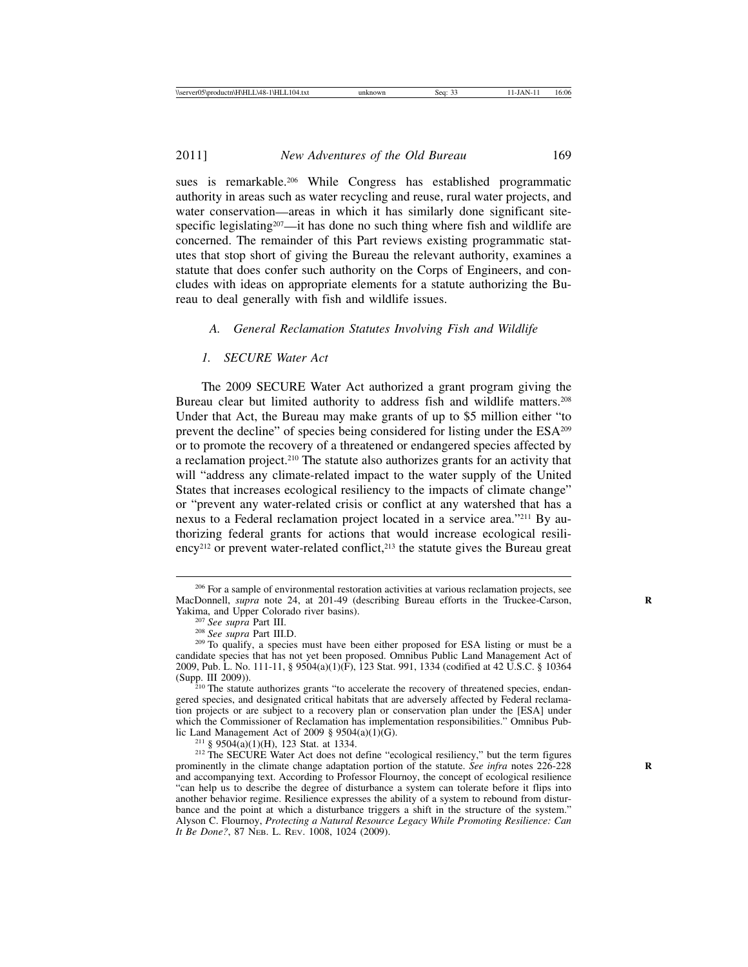sues is remarkable.206 While Congress has established programmatic authority in areas such as water recycling and reuse, rural water projects, and water conservation—areas in which it has similarly done significant sitespecific legislating<sup>207</sup>—it has done no such thing where fish and wildlife are concerned. The remainder of this Part reviews existing programmatic statutes that stop short of giving the Bureau the relevant authority, examines a statute that does confer such authority on the Corps of Engineers, and concludes with ideas on appropriate elements for a statute authorizing the Bureau to deal generally with fish and wildlife issues.

### *A. General Reclamation Statutes Involving Fish and Wildlife*

#### *1. SECURE Water Act*

The 2009 SECURE Water Act authorized a grant program giving the Bureau clear but limited authority to address fish and wildlife matters.208 Under that Act, the Bureau may make grants of up to \$5 million either "to prevent the decline" of species being considered for listing under the ESA209 or to promote the recovery of a threatened or endangered species affected by a reclamation project.210 The statute also authorizes grants for an activity that will "address any climate-related impact to the water supply of the United States that increases ecological resiliency to the impacts of climate change" or "prevent any water-related crisis or conflict at any watershed that has a nexus to a Federal reclamation project located in a service area."211 By authorizing federal grants for actions that would increase ecological resili- $\text{ency}^{212}$  or prevent water-related conflict,<sup>213</sup> the statute gives the Bureau great

<sup>&</sup>lt;sup>206</sup> For a sample of environmental restoration activities at various reclamation projects, see MacDonnell, *supra* note 24, at 201-49 (describing Bureau efforts in the Truckee-Carson, Yakima, and Upper Colorado river basins).

<sup>&</sup>lt;sup>207</sup> *See supra* Part III.<br><sup>208</sup> *See supra* Part III.D.<br><sup>209</sup> To qualify, a species must have been either proposed for ESA listing or must be a candidate species that has not yet been proposed. Omnibus Public Land Management Act of 2009, Pub. L. No. 111-11, § 9504(a)(1)(F), 123 Stat. 991, 1334 (codified at 42 U.S.C. § 10364 (Supp. III 2009)). <sup>210</sup> The statute authorizes grants "to accelerate the recovery of threatened species, endan-

gered species, and designated critical habitats that are adversely affected by Federal reclamation projects or are subject to a recovery plan or conservation plan under the [ESA] under which the Commissioner of Reclamation has implementation responsibilities." Omnibus Pub-<br>lic Land Management Act of 2009 §  $9504(a)(1)(G)$ .

<sup>&</sup>lt;sup>211</sup> § 9504(a)(1)(H), 123 Stat. at 1334. 212 The SECURE Water Act does not define "ecological resiliency," but the term figures prominently in the climate change adaptation portion of the statute. *See infra* notes 226-228 **R** and accompanying text. According to Professor Flournoy, the concept of ecological resilience "can help us to describe the degree of disturbance a system can tolerate before it flips into another behavior regime. Resilience expresses the ability of a system to rebound from disturbance and the point at which a disturbance triggers a shift in the structure of the system." Alyson C. Flournoy, *Protecting a Natural Resource Legacy While Promoting Resilience: Can It Be Done?*, 87 NEB. L. REV. 1008, 1024 (2009).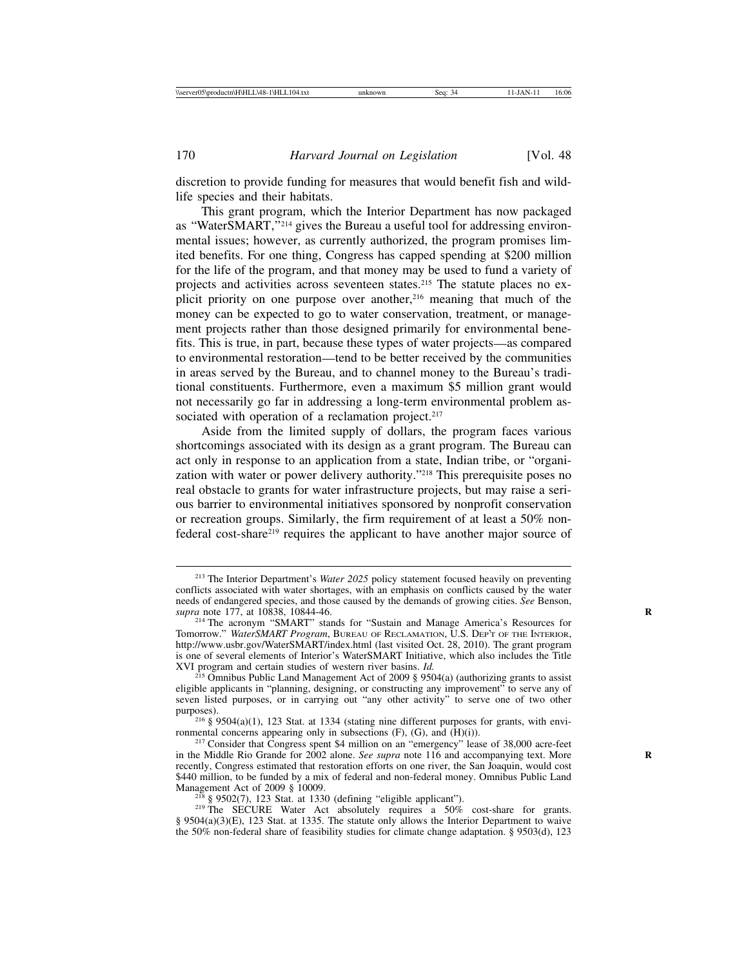discretion to provide funding for measures that would benefit fish and wildlife species and their habitats.

This grant program, which the Interior Department has now packaged as "WaterSMART,"214 gives the Bureau a useful tool for addressing environmental issues; however, as currently authorized, the program promises limited benefits. For one thing, Congress has capped spending at \$200 million for the life of the program, and that money may be used to fund a variety of projects and activities across seventeen states.<sup>215</sup> The statute places no explicit priority on one purpose over another,<sup>216</sup> meaning that much of the money can be expected to go to water conservation, treatment, or management projects rather than those designed primarily for environmental benefits. This is true, in part, because these types of water projects—as compared to environmental restoration—tend to be better received by the communities in areas served by the Bureau, and to channel money to the Bureau's traditional constituents. Furthermore, even a maximum \$5 million grant would not necessarily go far in addressing a long-term environmental problem associated with operation of a reclamation project.<sup>217</sup>

Aside from the limited supply of dollars, the program faces various shortcomings associated with its design as a grant program. The Bureau can act only in response to an application from a state, Indian tribe, or "organization with water or power delivery authority."218 This prerequisite poses no real obstacle to grants for water infrastructure projects, but may raise a serious barrier to environmental initiatives sponsored by nonprofit conservation or recreation groups. Similarly, the firm requirement of at least a 50% nonfederal cost-share219 requires the applicant to have another major source of

<sup>218</sup> § 9502(7), 123 Stat. at 1330 (defining "eligible applicant"). <sup>219</sup> The SECURE Water Act absolutely requires a 50% cost-share for grants. § 9504(a)(3)(E), 123 Stat. at 1335. The statute only allows the Interior Department to waive the 50% non-federal share of feasibility studies for climate change adaptation. § 9503(d), 123

<sup>213</sup> The Interior Department's *Water 2025* policy statement focused heavily on preventing conflicts associated with water shortages, with an emphasis on conflicts caused by the water needs of endangered species, and those caused by the demands of growing cities. *See* Benson,

<sup>&</sup>lt;sup>214</sup> The acronym "SMART" stands for "Sustain and Manage America's Resources for Tomorrow." *WaterSMART Program*, BUREAU OF RECLAMATION, U.S. DEP'T OF THE INTERIOR, http://www.usbr.gov/WaterSMART/index.html (last visited Oct. 28, 2010). The grant program is one of several elements of Interior's WaterSMART Initiative, which also includes the Title XVI program and certain studies of western river basins.  $Id$ .

<sup>&</sup>lt;sup>215</sup> Omnibus Public Land Management Act of 2009 § 9504(a) (authorizing grants to assist eligible applicants in "planning, designing, or constructing any improvement" to serve any of seven listed purposes, or in carrying out "any other activity" to serve one of two other

purposes). <sup>216</sup> § 9504(a)(1), 123 Stat. at 1334 (stating nine different purposes for grants, with envi-<br>ronmental concerns appearing only in subsections (F), (G), and (H)(i)).

 $2^{17}$  Consider that Congress spent \$4 million on an "emergency" lease of 38,000 acre-feet in the Middle Rio Grande for 2002 alone. *See supra* note 116 and accompanying text. More **R** recently, Congress estimated that restoration efforts on one river, the San Joaquin, would cost \$440 million, to be funded by a mix of federal and non-federal money. Omnibus Public Land Management Act of 2009 § 10009.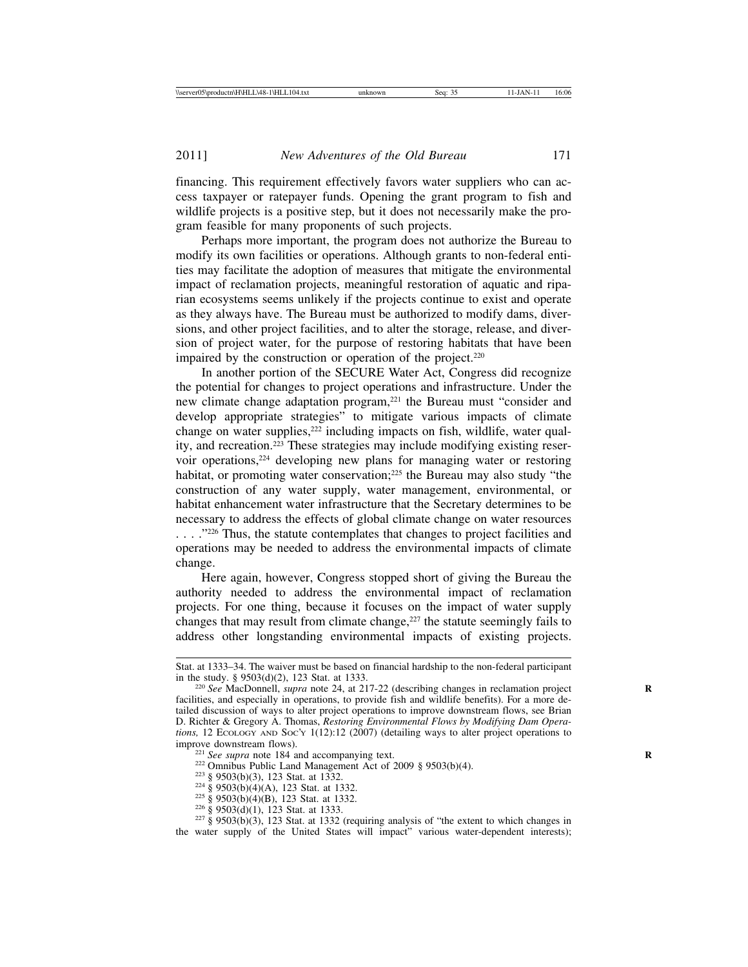financing. This requirement effectively favors water suppliers who can access taxpayer or ratepayer funds. Opening the grant program to fish and wildlife projects is a positive step, but it does not necessarily make the program feasible for many proponents of such projects.

Perhaps more important, the program does not authorize the Bureau to modify its own facilities or operations. Although grants to non-federal entities may facilitate the adoption of measures that mitigate the environmental impact of reclamation projects, meaningful restoration of aquatic and riparian ecosystems seems unlikely if the projects continue to exist and operate as they always have. The Bureau must be authorized to modify dams, diversions, and other project facilities, and to alter the storage, release, and diversion of project water, for the purpose of restoring habitats that have been impaired by the construction or operation of the project.<sup>220</sup>

In another portion of the SECURE Water Act, Congress did recognize the potential for changes to project operations and infrastructure. Under the new climate change adaptation program,<sup>221</sup> the Bureau must "consider and develop appropriate strategies" to mitigate various impacts of climate change on water supplies,<sup>222</sup> including impacts on fish, wildlife, water quality, and recreation.223 These strategies may include modifying existing reservoir operations,224 developing new plans for managing water or restoring habitat, or promoting water conservation;225 the Bureau may also study "the construction of any water supply, water management, environmental, or habitat enhancement water infrastructure that the Secretary determines to be necessary to address the effects of global climate change on water resources . . . . . . . . . . . . . . . . . . Thus, the statute contemplates that changes to project facilities and operations may be needed to address the environmental impacts of climate change.

Here again, however, Congress stopped short of giving the Bureau the authority needed to address the environmental impact of reclamation projects. For one thing, because it focuses on the impact of water supply changes that may result from climate change, $227$  the statute seemingly fails to address other longstanding environmental impacts of existing projects.

- 
- 

Stat. at 1333–34. The waiver must be based on financial hardship to the non-federal participant in the study.  $\S 9503(d)(2)$ , 123 Stat. at 1333.

<sup>&</sup>lt;sup>220</sup> See MacDonnell, *supra* note 24, at 217-22 (describing changes in reclamation project facilities, and especially in operations, to provide fish and wildlife benefits). For a more detailed discussion of ways to alter project operations to improve downstream flows, see Brian D. Richter & Gregory A. Thomas, *Restoring Environmental Flows by Modifying Dam Operations,* 12 ECOLOGY AND SOC'Y 1(12):12 (2007) (detailing ways to alter project operations to improve downstream flows).

<sup>&</sup>lt;sup>221</sup> *See supra* note 184 and accompanying text.<br><sup>222</sup> Omnibus Public Land Management Act of 2009 § 9503(b)(4).<br><sup>223</sup> § 9503(b)(3), 123 Stat. at 1332.<br><sup>224</sup> § 9503(b)(4)(A), 123 Stat. at 1332.<br><sup>225</sup> § 9503(b)(4)(B), 123 the water supply of the United States will impact" various water-dependent interests);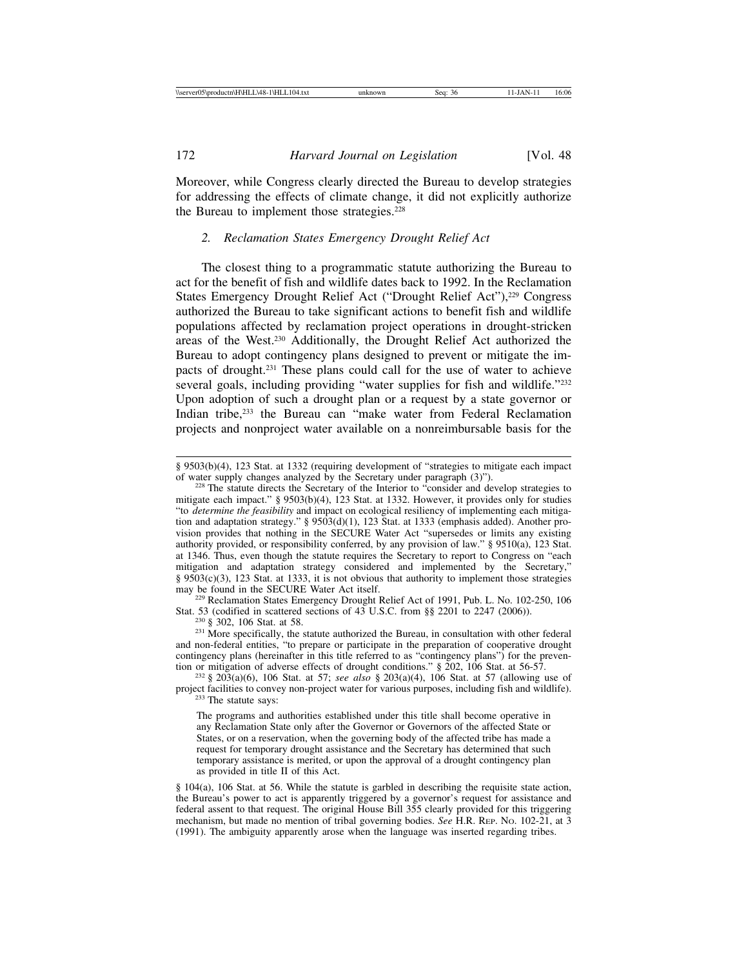Moreover, while Congress clearly directed the Bureau to develop strategies for addressing the effects of climate change, it did not explicitly authorize the Bureau to implement those strategies.<sup>228</sup>

# *2. Reclamation States Emergency Drought Relief Act*

The closest thing to a programmatic statute authorizing the Bureau to act for the benefit of fish and wildlife dates back to 1992. In the Reclamation States Emergency Drought Relief Act ("Drought Relief Act"),<sup>229</sup> Congress authorized the Bureau to take significant actions to benefit fish and wildlife populations affected by reclamation project operations in drought-stricken areas of the West.230 Additionally, the Drought Relief Act authorized the Bureau to adopt contingency plans designed to prevent or mitigate the impacts of drought.<sup>231</sup> These plans could call for the use of water to achieve several goals, including providing "water supplies for fish and wildlife."<sup>232</sup> Upon adoption of such a drought plan or a request by a state governor or Indian tribe,233 the Bureau can "make water from Federal Reclamation projects and nonproject water available on a nonreimbursable basis for the

 $\frac{229}{229}$  Reclamation States Emergency Drought Relief Act of 1991, Pub. L. No. 102-250, 106<br>Stat. 53 (codified in scattered sections of 43 U.S.C. from §§ 2201 to 2247 (2006)).

<sup>230</sup> § 302, 106 Stat. at 58. *Sale in scattered sections of the Bureau*, in consultation with other federal <sup>231</sup> More specifically, the statute authorized the Bureau, in consultation with other federal and non-federal entities, "to prepare or participate in the preparation of cooperative drought contingency plans (hereinafter in this title referred to as "contingency plans") for the prevention or mitigation of adverse effects of drought conditions." § 202, 106 Stat. at 56-57. <sup>232</sup> § 203(a)(6), 106 Stat. at 57; *see also* § 203(a)(4), 106 Stat. at 57 (allowing use of

§ 104(a), 106 Stat. at 56. While the statute is garbled in describing the requisite state action, the Bureau's power to act is apparently triggered by a governor's request for assistance and federal assent to that request. The original House Bill 355 clearly provided for this triggering mechanism, but made no mention of tribal governing bodies. *See* H.R. REP. NO. 102-21, at 3 (1991). The ambiguity apparently arose when the language was inserted regarding tribes.

<sup>§ 9503(</sup>b)(4), 123 Stat. at 1332 (requiring development of "strategies to mitigate each impact of water supply changes analyzed by the Secretary under paragraph (3)").

 $228$  The statute directs the Secretary of the Interior to "consider and develop strategies to mitigate each impact." § 9503(b)(4), 123 Stat. at 1332. However, it provides only for studies "to *determine the feasibility* and impact on ecological resiliency of implementing each mitigation and adaptation strategy." § 9503(d)(1), 123 Stat. at 1333 (emphasis added). Another provision provides that nothing in the SECURE Water Act "supersedes or limits any existing authority provided, or responsibility conferred, by any provision of law." § 9510(a), 123 Stat. at 1346. Thus, even though the statute requires the Secretary to report to Congress on "each mitigation and adaptation strategy considered and implemented by the Secretary," § 9503(c)(3), 123 Stat. at 1333, it is not obvious that authority to implement those strategies may be found in the SECURE Water Act itself.

project facilities to convey non-project water for various purposes, including fish and wildlife). <sup>233</sup> The statute says:

The programs and authorities established under this title shall become operative in any Reclamation State only after the Governor or Governors of the affected State or States, or on a reservation, when the governing body of the affected tribe has made a request for temporary drought assistance and the Secretary has determined that such temporary assistance is merited, or upon the approval of a drought contingency plan as provided in title II of this Act.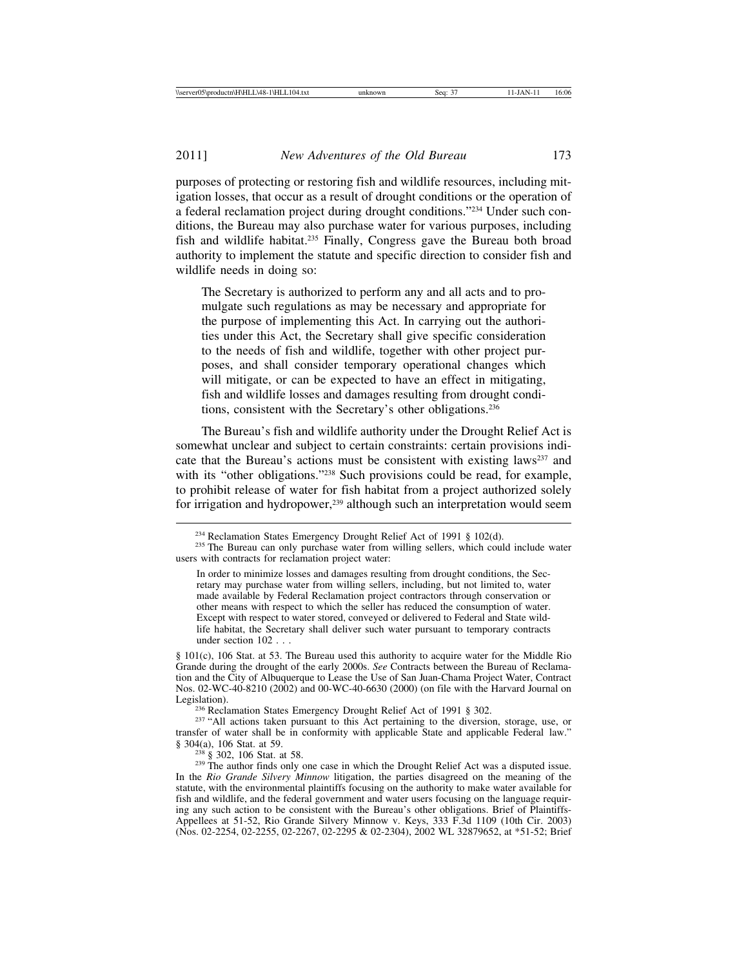purposes of protecting or restoring fish and wildlife resources, including mitigation losses, that occur as a result of drought conditions or the operation of a federal reclamation project during drought conditions."234 Under such conditions, the Bureau may also purchase water for various purposes, including fish and wildlife habitat.235 Finally, Congress gave the Bureau both broad authority to implement the statute and specific direction to consider fish and wildlife needs in doing so:

The Secretary is authorized to perform any and all acts and to promulgate such regulations as may be necessary and appropriate for the purpose of implementing this Act. In carrying out the authorities under this Act, the Secretary shall give specific consideration to the needs of fish and wildlife, together with other project purposes, and shall consider temporary operational changes which will mitigate, or can be expected to have an effect in mitigating, fish and wildlife losses and damages resulting from drought conditions, consistent with the Secretary's other obligations.236

The Bureau's fish and wildlife authority under the Drought Relief Act is somewhat unclear and subject to certain constraints: certain provisions indicate that the Bureau's actions must be consistent with existing laws<sup>237</sup> and with its "other obligations."<sup>238</sup> Such provisions could be read, for example, to prohibit release of water for fish habitat from a project authorized solely for irrigation and hydropower,<sup>239</sup> although such an interpretation would seem

§ 101(c), 106 Stat. at 53. The Bureau used this authority to acquire water for the Middle Rio Grande during the drought of the early 2000s. *See* Contracts between the Bureau of Reclamation and the City of Albuquerque to Lease the Use of San Juan-Chama Project Water, Contract Nos. 02-WC-40-8210 (2002) and 00-WC-40-6630 (2000) (on file with the Harvard Journal on Legislation).

<sup>236</sup> Reclamation States Emergency Drought Relief Act of 1991 § 302. <sup>237</sup> "All actions taken pursuant to this Act pertaining to the diversion, storage, use, or transfer of water shall be in conformity with applicable State and applicable Federal law."<br>§ 304(a), 106 Stat. at 59.

<sup>238</sup> § 302, 106 Stat. at 58. **238** and  $\frac{238}{5}$  Sasses in which the Drought Relief Act was a disputed issue. In the *Rio Grande Silvery Minnow* litigation, the parties disagreed on the meaning of the statute, with the environmental plaintiffs focusing on the authority to make water available for fish and wildlife, and the federal government and water users focusing on the language requiring any such action to be consistent with the Bureau's other obligations. Brief of Plaintiffs-Appellees at 51-52, Rio Grande Silvery Minnow v. Keys, 333 F.3d 1109 (10th Cir. 2003) (Nos. 02-2254, 02-2255, 02-2267, 02-2295 & 02-2304), 2002 WL 32879652, at \*51-52; Brief

<sup>&</sup>lt;sup>234</sup> Reclamation States Emergency Drought Relief Act of 1991 § 102(d). <sup>235</sup> The Bureau can only purchase water from willing sellers, which could include water users with contracts for reclamation project water:

In order to minimize losses and damages resulting from drought conditions, the Secretary may purchase water from willing sellers, including, but not limited to, water made available by Federal Reclamation project contractors through conservation or other means with respect to which the seller has reduced the consumption of water. Except with respect to water stored, conveyed or delivered to Federal and State wildlife habitat, the Secretary shall deliver such water pursuant to temporary contracts under section 102 . . .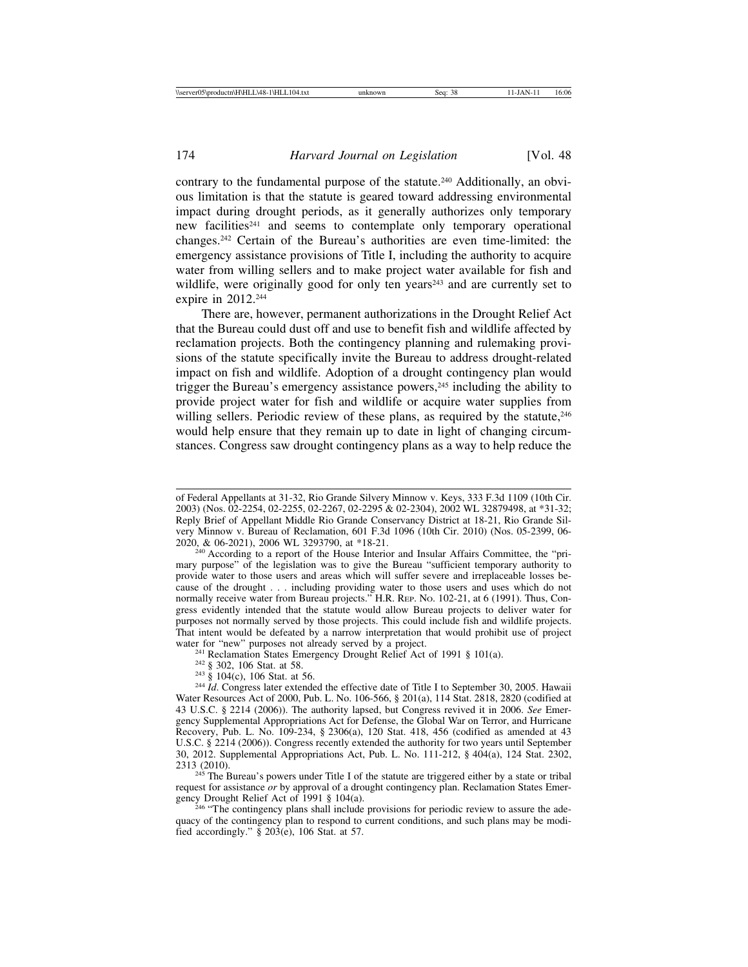contrary to the fundamental purpose of the statute.240 Additionally, an obvious limitation is that the statute is geared toward addressing environmental impact during drought periods, as it generally authorizes only temporary new facilities<sup>241</sup> and seems to contemplate only temporary operational changes.242 Certain of the Bureau's authorities are even time-limited: the emergency assistance provisions of Title I, including the authority to acquire water from willing sellers and to make project water available for fish and wildlife, were originally good for only ten years<sup>243</sup> and are currently set to expire in 2012.<sup>244</sup>

There are, however, permanent authorizations in the Drought Relief Act that the Bureau could dust off and use to benefit fish and wildlife affected by reclamation projects. Both the contingency planning and rulemaking provisions of the statute specifically invite the Bureau to address drought-related impact on fish and wildlife. Adoption of a drought contingency plan would trigger the Bureau's emergency assistance powers,<sup>245</sup> including the ability to provide project water for fish and wildlife or acquire water supplies from willing sellers. Periodic review of these plans, as required by the statute, <sup>246</sup> would help ensure that they remain up to date in light of changing circumstances. Congress saw drought contingency plans as a way to help reduce the

- 
- 

<sup>241</sup> Reclamation States Emergency Drought Relief Act of 1991 § 101(a).<br><sup>242</sup> § 302, 106 Stat. at 58.<br><sup>243</sup> § 104(c), 106 Stat. at 56.<br><sup>243</sup> § 104(c), 106 Stat. at 56.<br><sup>244</sup> *Id.* Congress later extended the effective dat Water Resources Act of 2000, Pub. L. No. 106-566, § 201(a), 114 Stat. 2818, 2820 (codified at 43 U.S.C. § 2214 (2006)). The authority lapsed, but Congress revived it in 2006. *See* Emergency Supplemental Appropriations Act for Defense, the Global War on Terror, and Hurricane Recovery, Pub. L. No. 109-234, § 2306(a), 120 Stat. 418, 456 (codified as amended at 43 U.S.C. § 2214 (2006)). Congress recently extended the authority for two years until September 30, 2012. Supplemental Appropriations Act, Pub. L. No. 111-212, § 404(a), 124 Stat. 2302,

<sup>245</sup> The Bureau's powers under Title I of the statute are triggered either by a state or tribal request for assistance *or* by approval of a drought contingency plan. Reclamation States Emergency Drought Relief Act of 1991 § 104(a).

 $^{246}$  "The contingency plans shall include provisions for periodic review to assure the adequacy of the contingency plan to respond to current conditions, and such plans may be modified accordingly." § 203(e), 106 Stat. at 57.

of Federal Appellants at 31-32, Rio Grande Silvery Minnow v. Keys, 333 F.3d 1109 (10th Cir. 2003) (Nos. 02-2254, 02-2255, 02-2267, 02-2295 & 02-2304), 2002 WL 32879498, at \*31-32; Reply Brief of Appellant Middle Rio Grande Conservancy District at 18-21, Rio Grande Silvery Minnow v. Bureau of Reclamation, 601 F.3d 1096 (10th Cir. 2010) (Nos. 05-2399, 06-

 $240$  According to a report of the House Interior and Insular Affairs Committee, the "primary purpose" of the legislation was to give the Bureau "sufficient temporary authority to provide water to those users and areas which will suffer severe and irreplaceable losses because of the drought . . . including providing water to those users and uses which do not normally receive water from Bureau projects." H.R. REP. No. 102-21, at 6 (1991). Thus, Congress evidently intended that the statute would allow Bureau projects to deliver water for purposes not normally served by those projects. This could include fish and wildlife projects. That intent would be defeated by a narrow interpretation that would prohibit use of project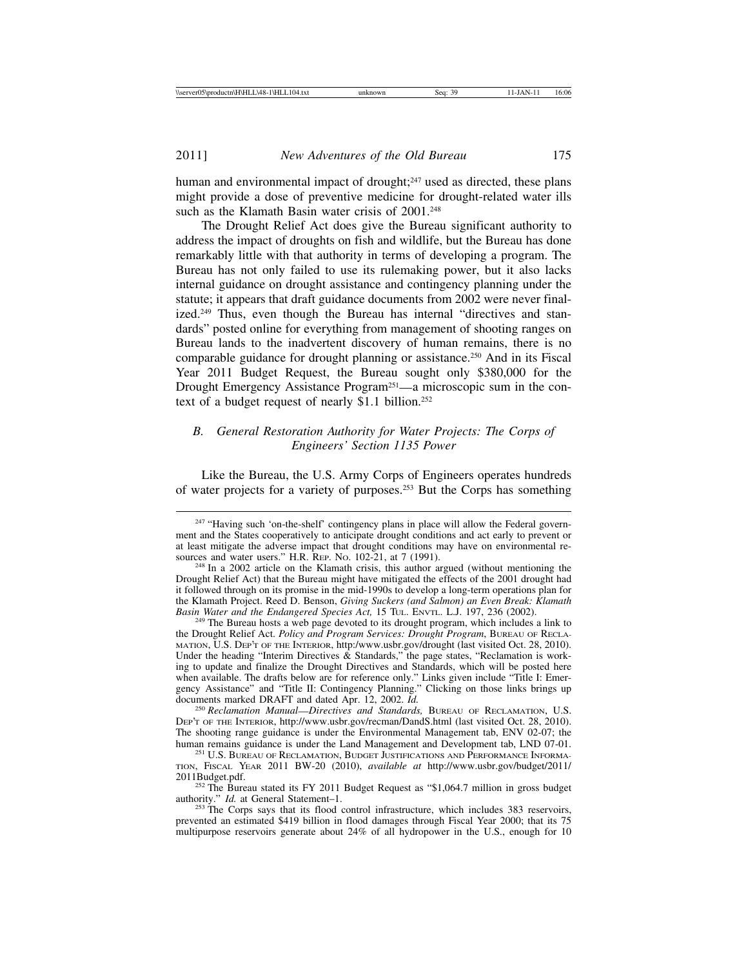human and environmental impact of drought; $247$  used as directed, these plans might provide a dose of preventive medicine for drought-related water ills such as the Klamath Basin water crisis of 2001.<sup>248</sup>

The Drought Relief Act does give the Bureau significant authority to address the impact of droughts on fish and wildlife, but the Bureau has done remarkably little with that authority in terms of developing a program. The Bureau has not only failed to use its rulemaking power, but it also lacks internal guidance on drought assistance and contingency planning under the statute; it appears that draft guidance documents from 2002 were never finalized.<sup>249</sup> Thus, even though the Bureau has internal "directives and standards" posted online for everything from management of shooting ranges on Bureau lands to the inadvertent discovery of human remains, there is no comparable guidance for drought planning or assistance.250 And in its Fiscal Year 2011 Budget Request, the Bureau sought only \$380,000 for the Drought Emergency Assistance Program<sup>251</sup>—a microscopic sum in the context of a budget request of nearly \$1.1 billion.<sup>252</sup>

# *B. General Restoration Authority for Water Projects: The Corps of Engineers' Section 1135 Power*

Like the Bureau, the U.S. Army Corps of Engineers operates hundreds of water projects for a variety of purposes.253 But the Corps has something

<sup>&</sup>lt;sup>247</sup> "Having such 'on-the-shelf' contingency plans in place will allow the Federal government and the States cooperatively to anticipate drought conditions and act early to prevent or at least mitigate the adverse impact that drought conditions may have on environmental resources and water users." H.R. REP. No. 102-21, at 7 (1991).

<sup>&</sup>lt;sup>248</sup> In a 2002 article on the Klamath crisis, this author argued (without mentioning the Drought Relief Act) that the Bureau might have mitigated the effects of the 2001 drought had it followed through on its promise in the mid-1990s to develop a long-term operations plan for the Klamath Project. Reed D. Benson, *Giving Suckers (and Salmon) an Even Break: Klamath*

<sup>&</sup>lt;sup>249</sup> The Bureau hosts a web page devoted to its drought program, which includes a link to the Drought Relief Act. *Policy and Program Services: Drought Program*, BUREAU OF RECLA-MATION, U.S. DEP'T OF THE INTERIOR, http:/www.usbr.gov/drought (last visited Oct. 28, 2010). Under the heading "Interim Directives & Standards," the page states, "Reclamation is working to update and finalize the Drought Directives and Standards, which will be posted here when available. The drafts below are for reference only." Links given include "Title I: Emergency Assistance" and "Title II: Contingency Planning." Clicking on those links brings up documents marked DRAFT and dated Apr. 12, 2002. *Id.* <sup>250</sup> *Reclamation Manual*—*Directives and Standards,* BUREAU OF RECLAMATION, U.S.

DEP'T OF THE INTERIOR, http://www.usbr.gov/recman/DandS.html (last visited Oct. 28, 2010). The shooting range guidance is under the Environmental Management tab, ENV 02-07; the human remains guidance is under the Land Management and Development tab, LND 07-01.

<sup>&</sup>lt;sup>251</sup> U.S. BUREAU OF RECLAMATION, BUDGET JUSTIFICATIONS AND PERFORMANCE INFORMA-TION, FISCAL YEAR 2011 BW-20 (2010), *available at* http://www.usbr.gov/budget/2011/

<sup>&</sup>lt;sup>252</sup> The Bureau stated its FY 2011 Budget Request as "\$1,064.7 million in gross budget authority." *Id.* at General Statement–1.

<sup>&</sup>lt;sup>253</sup> The Corps says that its flood control infrastructure, which includes 383 reservoirs, prevented an estimated \$419 billion in flood damages through Fiscal Year 2000; that its 75 multipurpose reservoirs generate about 24% of all hydropower in the U.S., enough for 10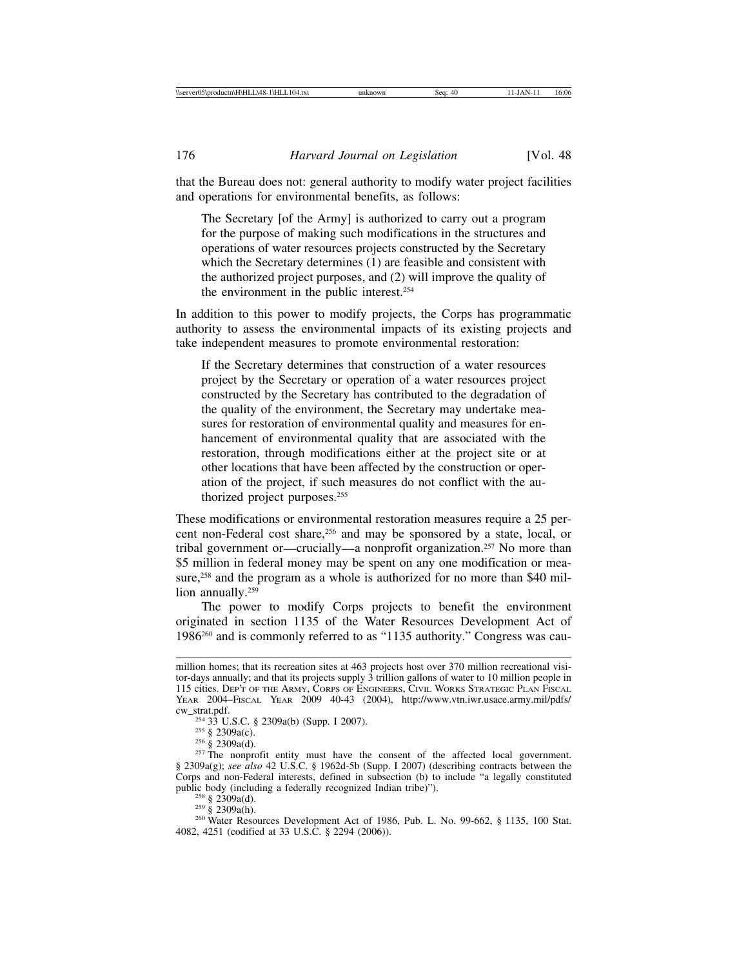that the Bureau does not: general authority to modify water project facilities and operations for environmental benefits, as follows:

The Secretary [of the Army] is authorized to carry out a program for the purpose of making such modifications in the structures and operations of water resources projects constructed by the Secretary which the Secretary determines (1) are feasible and consistent with the authorized project purposes, and (2) will improve the quality of the environment in the public interest.254

In addition to this power to modify projects, the Corps has programmatic authority to assess the environmental impacts of its existing projects and take independent measures to promote environmental restoration:

If the Secretary determines that construction of a water resources project by the Secretary or operation of a water resources project constructed by the Secretary has contributed to the degradation of the quality of the environment, the Secretary may undertake measures for restoration of environmental quality and measures for enhancement of environmental quality that are associated with the restoration, through modifications either at the project site or at other locations that have been affected by the construction or operation of the project, if such measures do not conflict with the authorized project purposes.<sup>255</sup>

These modifications or environmental restoration measures require a 25 percent non-Federal cost share,<sup>256</sup> and may be sponsored by a state, local, or tribal government or—crucially—a nonprofit organization.257 No more than \$5 million in federal money may be spent on any one modification or measure,<sup>258</sup> and the program as a whole is authorized for no more than \$40 million annually.<sup>259</sup>

The power to modify Corps projects to benefit the environment originated in section 1135 of the Water Resources Development Act of 1986260 and is commonly referred to as "1135 authority." Congress was cau-

million homes; that its recreation sites at 463 projects host over 370 million recreational visitor-days annually; and that its projects supply  $\overline{3}$  trillion gallons of water to 10 million people in 115 cities. DEP'T OF THE ARMY, CORPS OF ENGINEERS, CIVIL WORKS STRATEGIC PLAN FISCAL YEAR 2004–FISCAL YEAR 2009 40-43 (2004), http://www.vtn.iwr.usace.army.mil/pdfs/ cw\_strat.pdf.

<sup>&</sup>lt;sup>254</sup> 33 U.S.C. § 2309a(b) (Supp. I 2007). <sup>255</sup> § 2309a(c). <sup>255</sup> § 2309a(d). <sup>256</sup> § 2309a(d). <sup>257</sup> The nonprofit entity must have the consent of the affected local government. § 2309a(g); *see also* 42 U.S.C. § 1962d-5b (Supp. I 2007) (describing contracts between the Corps and non-Federal interests, defined in subsection (b) to include "a legally constituted

<sup>&</sup>lt;sup>258</sup> § 2309a(d).<br><sup>259</sup> § 2309a(h).<br><sup>260</sup> Water Resources Development Act of 1986, Pub. L. No. 99-662, § 1135, 100 Stat. 4082, 4251 (codified at 33 U.S.C. § 2294 (2006)).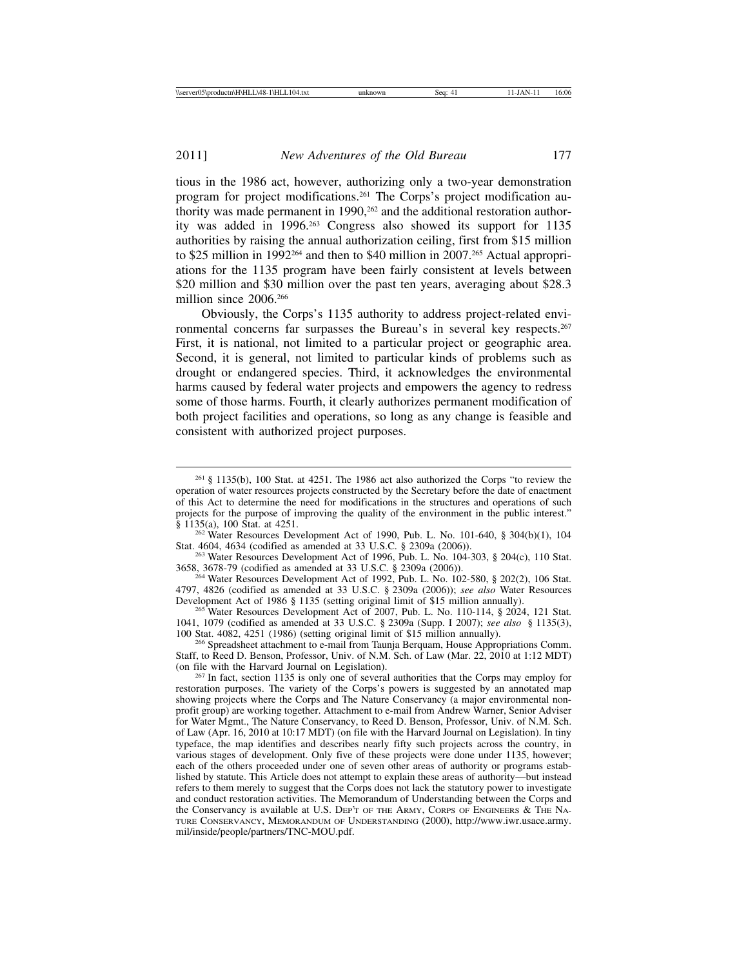tious in the 1986 act, however, authorizing only a two-year demonstration program for project modifications.261 The Corps's project modification authority was made permanent in 1990,<sup>262</sup> and the additional restoration authority was added in 1996.263 Congress also showed its support for 1135 authorities by raising the annual authorization ceiling, first from \$15 million to \$25 million in 1992264 and then to \$40 million in 2007.265 Actual appropriations for the 1135 program have been fairly consistent at levels between \$20 million and \$30 million over the past ten years, averaging about \$28.3 million since 2006.266

Obviously, the Corps's 1135 authority to address project-related environmental concerns far surpasses the Bureau's in several key respects.267 First, it is national, not limited to a particular project or geographic area. Second, it is general, not limited to particular kinds of problems such as drought or endangered species. Third, it acknowledges the environmental harms caused by federal water projects and empowers the agency to redress some of those harms. Fourth, it clearly authorizes permanent modification of both project facilities and operations, so long as any change is feasible and consistent with authorized project purposes.

<sup>263</sup> Water Resources Development Act of 1996, Pub. L. No. 104-303, § 204(c), 110 Stat. 3658, 3678-79 (codified as amended at 33 U.S.C. § 2309a (2006)).

 $^{264}$  Water Resources Development Act of 1992, Pub. L. No. 102-580, § 202(2), 106 Stat. 4797, 4826 (codified as amended at 33 U.S.C. § 2309a (2006)); *see also* Water Resources

Development Act of 1986 § 1135 (setting original limit of \$15 million annually).<br><sup>265</sup> Water Resources Development Act of 2007, Pub. L. No. 110-114, § 2024, 121 Stat. 1041, 1079 (codified as amended at 33 U.S.C. § 2309a (Supp. I 2007); *see also* § 1135(3), 100 Stat. 4082, 4251 (1986) (setting original limit of \$15 million annually). <sup>266</sup> Spreadsheet attachment to e-mail from Taunja Berquam, House Appropriations Comm.

Staff, to Reed D. Benson, Professor, Univ. of N.M. Sch. of Law (Mar. 22, 2010 at 1:12 MDT) (on file with the Harvard Journal on Legislation).

<sup>261</sup> § 1135(b), 100 Stat. at 4251. The 1986 act also authorized the Corps "to review the operation of water resources projects constructed by the Secretary before the date of enactment of this Act to determine the need for modifications in the structures and operations of such projects for the purpose of improving the quality of the environment in the public interest." § 1135(a), 100 Stat. at 4251.

<sup>&</sup>lt;sup>262</sup> Water Resources Development Act of 1990, Pub. L. No. 101-640, § 304(b)(1), 104 Stat. 4604, 4634 (codified as amended at 33 U.S.C. § 2309a (2006)).

 $^{267}$  In fact, section 1135 is only one of several authorities that the Corps may employ for restoration purposes. The variety of the Corps's powers is suggested by an annotated map showing projects where the Corps and The Nature Conservancy (a major environmental nonprofit group) are working together. Attachment to e-mail from Andrew Warner, Senior Adviser for Water Mgmt., The Nature Conservancy, to Reed D. Benson, Professor, Univ. of N.M. Sch. of Law (Apr. 16, 2010 at 10:17 MDT) (on file with the Harvard Journal on Legislation). In tiny typeface, the map identifies and describes nearly fifty such projects across the country, in various stages of development. Only five of these projects were done under 1135, however; each of the others proceeded under one of seven other areas of authority or programs established by statute. This Article does not attempt to explain these areas of authority—but instead refers to them merely to suggest that the Corps does not lack the statutory power to investigate and conduct restoration activities. The Memorandum of Understanding between the Corps and the Conservancy is available at U.S. DEP'T OF THE ARMY, CORPS OF ENGINEERS & THE NA-TURE CONSERVANCY, MEMORANDUM OF UNDERSTANDING (2000), http://www.iwr.usace.army. mil/inside/people/partners/TNC-MOU.pdf.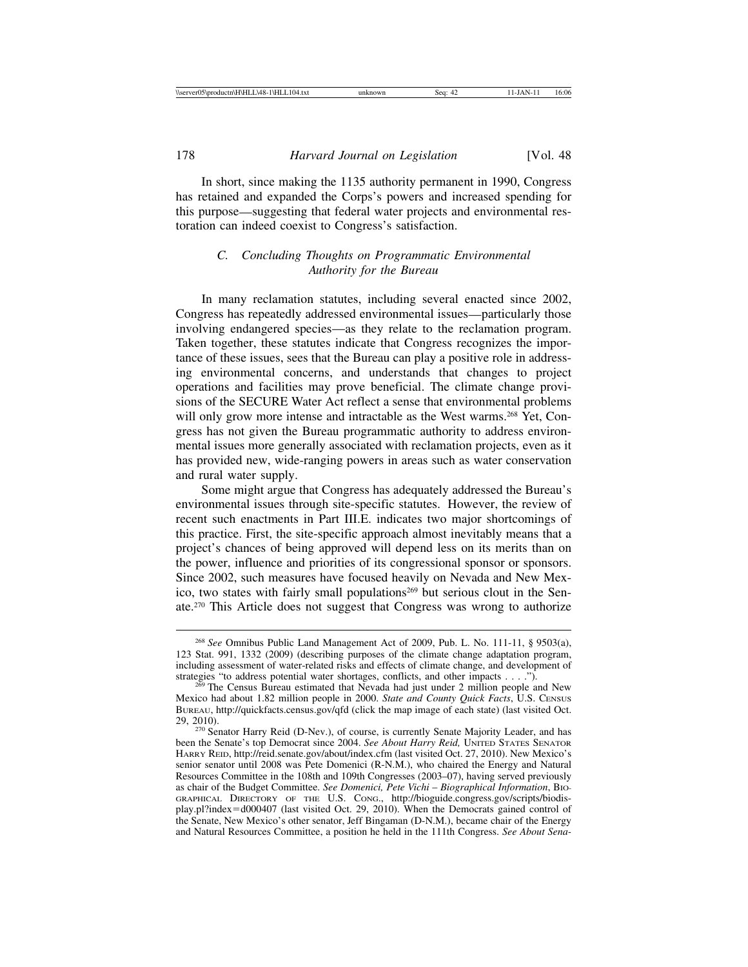In short, since making the 1135 authority permanent in 1990, Congress has retained and expanded the Corps's powers and increased spending for this purpose—suggesting that federal water projects and environmental restoration can indeed coexist to Congress's satisfaction.

# *C. Concluding Thoughts on Programmatic Environmental Authority for the Bureau*

In many reclamation statutes, including several enacted since 2002, Congress has repeatedly addressed environmental issues—particularly those involving endangered species—as they relate to the reclamation program. Taken together, these statutes indicate that Congress recognizes the importance of these issues, sees that the Bureau can play a positive role in addressing environmental concerns, and understands that changes to project operations and facilities may prove beneficial. The climate change provisions of the SECURE Water Act reflect a sense that environmental problems will only grow more intense and intractable as the West warms.<sup>268</sup> Yet, Congress has not given the Bureau programmatic authority to address environmental issues more generally associated with reclamation projects, even as it has provided new, wide-ranging powers in areas such as water conservation and rural water supply.

Some might argue that Congress has adequately addressed the Bureau's environmental issues through site-specific statutes. However, the review of recent such enactments in Part III.E. indicates two major shortcomings of this practice. First, the site-specific approach almost inevitably means that a project's chances of being approved will depend less on its merits than on the power, influence and priorities of its congressional sponsor or sponsors. Since 2002, such measures have focused heavily on Nevada and New Mexico, two states with fairly small populations<sup>269</sup> but serious clout in the Senate.270 This Article does not suggest that Congress was wrong to authorize

<sup>268</sup> *See* Omnibus Public Land Management Act of 2009, Pub. L. No. 111-11, § 9503(a), 123 Stat. 991, 1332 (2009) (describing purposes of the climate change adaptation program, including assessment of water-related risks and effects of climate change, and development of strategies "to address potential water shortages, conflicts, and other impacts . . . .").

 $^{269}$  The Census Bureau estimated that Nevada had just under 2 million people and New Mexico had about 1.82 million people in 2000. *State and County Quick Facts*, U.S. CENSUS BUREAU, http://quickfacts.census.gov/qfd (click the map image of each state) (last visited Oct. 29, 2010). <sup>270</sup> Senator Harry Reid (D-Nev.), of course, is currently Senate Majority Leader, and has

been the Senate's top Democrat since 2004. *See About Harry Reid,* UNITED STATES SENATOR HARRY REID, http://reid.senate.gov/about/index.cfm (last visited Oct. 27, 2010). New Mexico's senior senator until 2008 was Pete Domenici (R-N.M.), who chaired the Energy and Natural Resources Committee in the 108th and 109th Congresses (2003–07), having served previously as chair of the Budget Committee. *See Domenici, Pete Vichi* – *Biographical Information*, BIO-GRAPHICAL DIRECTORY OF THE U.S. CONG., http://bioguide.congress.gov/scripts/biodisplay.pl?index=d000407 (last visited Oct. 29, 2010). When the Democrats gained control of the Senate, New Mexico's other senator, Jeff Bingaman (D-N.M.), became chair of the Energy and Natural Resources Committee, a position he held in the 111th Congress. *See About Sena-*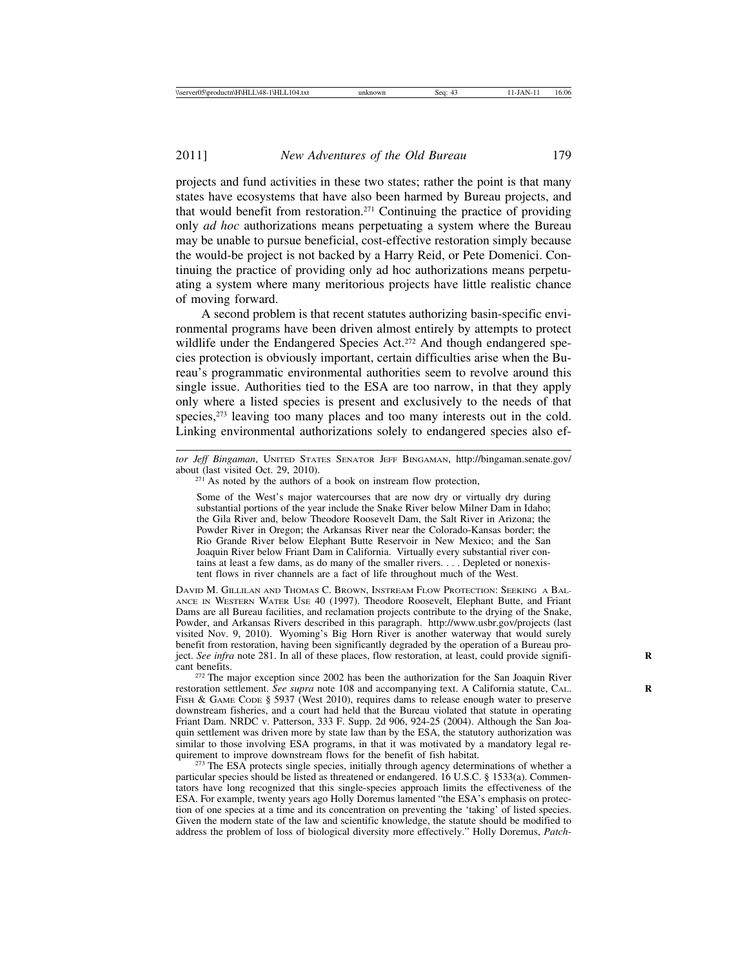projects and fund activities in these two states; rather the point is that many states have ecosystems that have also been harmed by Bureau projects, and that would benefit from restoration.271 Continuing the practice of providing only *ad hoc* authorizations means perpetuating a system where the Bureau may be unable to pursue beneficial, cost-effective restoration simply because the would-be project is not backed by a Harry Reid, or Pete Domenici. Continuing the practice of providing only ad hoc authorizations means perpetuating a system where many meritorious projects have little realistic chance of moving forward.

A second problem is that recent statutes authorizing basin-specific environmental programs have been driven almost entirely by attempts to protect wildlife under the Endangered Species Act.<sup>272</sup> And though endangered species protection is obviously important, certain difficulties arise when the Bureau's programmatic environmental authorities seem to revolve around this single issue. Authorities tied to the ESA are too narrow, in that they apply only where a listed species is present and exclusively to the needs of that species,<sup>273</sup> leaving too many places and too many interests out in the cold. Linking environmental authorizations solely to endangered species also ef-

Some of the West's major watercourses that are now dry or virtually dry during substantial portions of the year include the Snake River below Milner Dam in Idaho; the Gila River and, below Theodore Roosevelt Dam, the Salt River in Arizona; the Powder River in Oregon; the Arkansas River near the Colorado-Kansas border; the Rio Grande River below Elephant Butte Reservoir in New Mexico; and the San Joaquin River below Friant Dam in California. Virtually every substantial river contains at least a few dams, as do many of the smaller rivers. . . . Depleted or nonexistent flows in river channels are a fact of life throughout much of the West.

DAVID M. GILLILAN AND THOMAS C. BROWN, INSTREAM FLOW PROTECTION: SEEKING A BAL-ANCE IN WESTERN WATER USE 40 (1997). Theodore Roosevelt, Elephant Butte, and Friant Dams are all Bureau facilities, and reclamation projects contribute to the drying of the Snake, Powder, and Arkansas Rivers described in this paragraph. http://www.usbr.gov/projects (last visited Nov. 9, 2010). Wyoming's Big Horn River is another waterway that would surely benefit from restoration, having been significantly degraded by the operation of a Bureau project. *See infra* note 281. In all of these places, flow restoration, at least, could provide significant benefits.

 $272$  The major exception since 2002 has been the authorization for the San Joaquin River restoration settlement. *See supra* note 108 and accompanying text. A California statute, CAL. FISH & GAME CODE § 5937 (West 2010), requires dams to release enough water to preserve downstream fisheries, and a court had held that the Bureau violated that statute in operating Friant Dam. NRDC v. Patterson, 333 F. Supp. 2d 906, 924-25 (2004). Although the San Joaquin settlement was driven more by state law than by the ESA, the statutory authorization was similar to those involving ESA programs, in that it was motivated by a mandatory legal requirement to improve downstream flows for the benefit of fish habitat.

 $^{273}$  The ESA protects single species, initially through agency determinations of whether a particular species should be listed as threatened or endangered. 16 U.S.C. § 1533(a). Commentators have long recognized that this single-species approach limits the effectiveness of the ESA. For example, twenty years ago Holly Doremus lamented "the ESA's emphasis on protection of one species at a time and its concentration on preventing the 'taking' of listed species. Given the modern state of the law and scientific knowledge, the statute should be modified to address the problem of loss of biological diversity more effectively." Holly Doremus, *Patch-*

*tor Jeff Bingaman*, UNITED STATES SENATOR JEFF BINGAMAN, http://bingaman.senate.gov/

 $271$  As noted by the authors of a book on instream flow protection,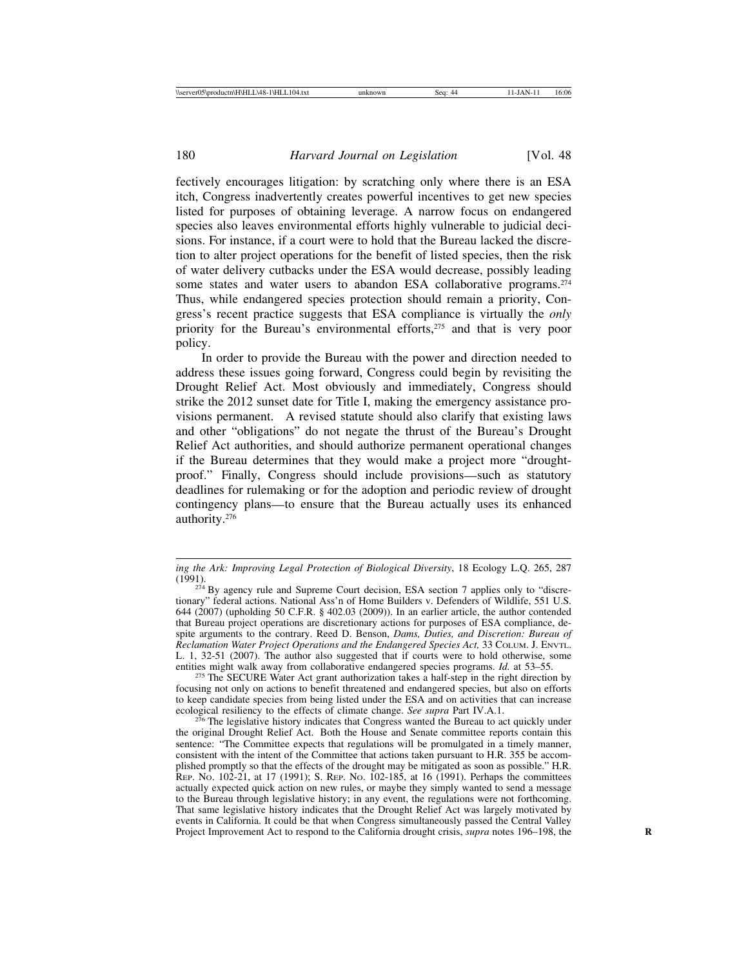fectively encourages litigation: by scratching only where there is an ESA itch, Congress inadvertently creates powerful incentives to get new species listed for purposes of obtaining leverage. A narrow focus on endangered species also leaves environmental efforts highly vulnerable to judicial decisions. For instance, if a court were to hold that the Bureau lacked the discretion to alter project operations for the benefit of listed species, then the risk of water delivery cutbacks under the ESA would decrease, possibly leading some states and water users to abandon ESA collaborative programs.<sup>274</sup> Thus, while endangered species protection should remain a priority, Congress's recent practice suggests that ESA compliance is virtually the *only* priority for the Bureau's environmental efforts,<sup>275</sup> and that is very poor policy.

In order to provide the Bureau with the power and direction needed to address these issues going forward, Congress could begin by revisiting the Drought Relief Act. Most obviously and immediately, Congress should strike the 2012 sunset date for Title I, making the emergency assistance provisions permanent. A revised statute should also clarify that existing laws and other "obligations" do not negate the thrust of the Bureau's Drought Relief Act authorities, and should authorize permanent operational changes if the Bureau determines that they would make a project more "droughtproof." Finally, Congress should include provisions—such as statutory deadlines for rulemaking or for the adoption and periodic review of drought contingency plans—to ensure that the Bureau actually uses its enhanced authority.276

<sup>275</sup> The SECURE Water Act grant authorization takes a half-step in the right direction by focusing not only on actions to benefit threatened and endangered species, but also on efforts to keep candidate species from being listed under the ESA and on activities that can increase ecological resiliency to the effects of climate change. See supra Part IV.A.1.

<sup>276</sup> The legislative history indicates that Congress wanted the Bureau to act quickly under the original Drought Relief Act. Both the House and Senate committee reports contain this sentence: "The Committee expects that regulations will be promulgated in a timely manner, consistent with the intent of the Committee that actions taken pursuant to H.R. 355 be accomplished promptly so that the effects of the drought may be mitigated as soon as possible." H.R. REP. NO. 102-21, at 17 (1991); S. REP. NO. 102-185, at 16 (1991). Perhaps the committees actually expected quick action on new rules, or maybe they simply wanted to send a message to the Bureau through legislative history; in any event, the regulations were not forthcoming. That same legislative history indicates that the Drought Relief Act was largely motivated by events in California. It could be that when Congress simultaneously passed the Central Valley Project Improvement Act to respond to the California drought crisis, *supra* notes 196–198, the **R**

*ing the Ark: Improving Legal Protection of Biological Diversity*, 18 Ecology L.Q. 265, 287

 $274$  By agency rule and Supreme Court decision, ESA section 7 applies only to "discretionary" federal actions. National Ass'n of Home Builders v. Defenders of Wildlife, 551 U.S. 644 (2007) (upholding 50 C.F.R. § 402.03 (2009)). In an earlier article, the author contended that Bureau project operations are discretionary actions for purposes of ESA compliance, despite arguments to the contrary. Reed D. Benson, *Dams, Duties, and Discretion: Bureau of Reclamation Water Project Operations and the Endangered Species Act,* 33 COLUM. J. ENVTL. L. 1, 32-51 (2007). The author also suggested that if courts were to hold otherwise, some entities might walk away from collaborative endangered species programs.  $Id$  at 53–55.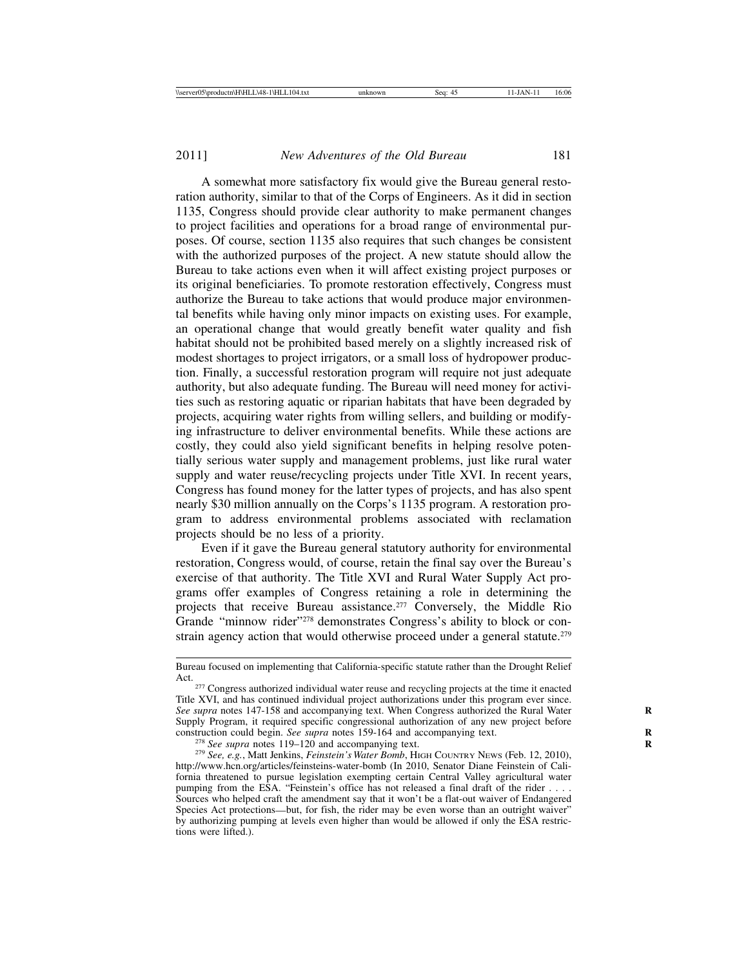A somewhat more satisfactory fix would give the Bureau general restoration authority, similar to that of the Corps of Engineers. As it did in section 1135, Congress should provide clear authority to make permanent changes to project facilities and operations for a broad range of environmental purposes. Of course, section 1135 also requires that such changes be consistent with the authorized purposes of the project. A new statute should allow the Bureau to take actions even when it will affect existing project purposes or its original beneficiaries. To promote restoration effectively, Congress must authorize the Bureau to take actions that would produce major environmental benefits while having only minor impacts on existing uses. For example, an operational change that would greatly benefit water quality and fish habitat should not be prohibited based merely on a slightly increased risk of modest shortages to project irrigators, or a small loss of hydropower production. Finally, a successful restoration program will require not just adequate authority, but also adequate funding. The Bureau will need money for activities such as restoring aquatic or riparian habitats that have been degraded by projects, acquiring water rights from willing sellers, and building or modifying infrastructure to deliver environmental benefits. While these actions are costly, they could also yield significant benefits in helping resolve potentially serious water supply and management problems, just like rural water supply and water reuse/recycling projects under Title XVI. In recent years, Congress has found money for the latter types of projects, and has also spent nearly \$30 million annually on the Corps's 1135 program. A restoration program to address environmental problems associated with reclamation projects should be no less of a priority.

Even if it gave the Bureau general statutory authority for environmental restoration, Congress would, of course, retain the final say over the Bureau's exercise of that authority. The Title XVI and Rural Water Supply Act programs offer examples of Congress retaining a role in determining the projects that receive Bureau assistance.<sup>277</sup> Conversely, the Middle Rio Grande "minnow rider"<sup>278</sup> demonstrates Congress's ability to block or constrain agency action that would otherwise proceed under a general statute.<sup>279</sup>

Bureau focused on implementing that California-specific statute rather than the Drought Relief

Act.<br><sup>277</sup> Congress authorized individual water reuse and recycling projects at the time it enacted Title XVI, and has continued individual project authorizations under this program ever since. *See supra* notes 147-158 and accompanying text. When Congress authorized the Rural Water **R** Supply Program, it required specific congressional authorization of any new project before construction could begin. See supra notes 159-164 and accompanying text.

<sup>&</sup>lt;sup>278</sup> See supra notes 119–120 and accompanying text.<br><sup>279</sup> See, e.g., Matt Jenkins, *Feinstein's Water Bomb*, HIGH COUNTRY NEWS (Feb. 12, 2010), http://www.hcn.org/articles/feinsteins-water-bomb (In 2010, Senator Diane Feinstein of California threatened to pursue legislation exempting certain Central Valley agricultural water pumping from the ESA. "Feinstein's office has not released a final draft of the rider . . . . Sources who helped craft the amendment say that it won't be a flat-out waiver of Endangered Species Act protections—but, for fish, the rider may be even worse than an outright waiver" by authorizing pumping at levels even higher than would be allowed if only the ESA restrictions were lifted.).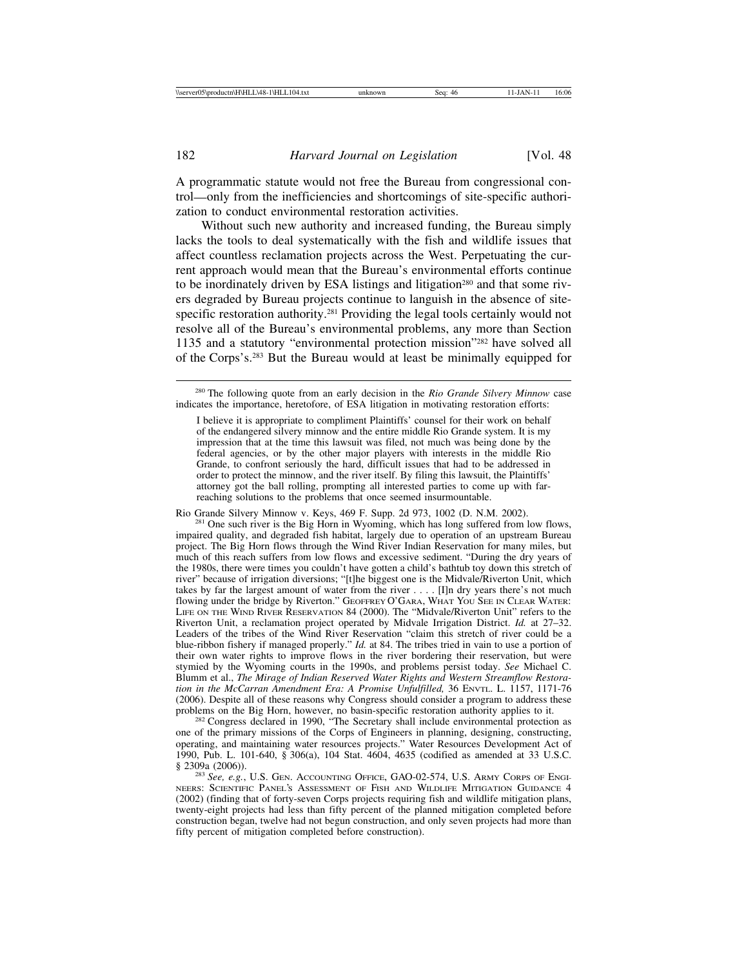A programmatic statute would not free the Bureau from congressional control—only from the inefficiencies and shortcomings of site-specific authorization to conduct environmental restoration activities.

Without such new authority and increased funding, the Bureau simply lacks the tools to deal systematically with the fish and wildlife issues that affect countless reclamation projects across the West. Perpetuating the current approach would mean that the Bureau's environmental efforts continue to be inordinately driven by ESA listings and litigation<sup>280</sup> and that some rivers degraded by Bureau projects continue to languish in the absence of sitespecific restoration authority.<sup>281</sup> Providing the legal tools certainly would not resolve all of the Bureau's environmental problems, any more than Section 1135 and a statutory "environmental protection mission"282 have solved all of the Corps's.283 But the Bureau would at least be minimally equipped for

Rio Grande Silvery Minnow v. Keys, 469 F. Supp. 2d 973, 1002 (D. N.M. 2002). <sup>281</sup> One such river is the Big Horn in Wyoming, which has long suffered from low flows, impaired quality, and degraded fish habitat, largely due to operation of an upstream Bureau project. The Big Horn flows through the Wind River Indian Reservation for many miles, but much of this reach suffers from low flows and excessive sediment. "During the dry years of the 1980s, there were times you couldn't have gotten a child's bathtub toy down this stretch of river" because of irrigation diversions; "[t]he biggest one is the Midvale/Riverton Unit, which takes by far the largest amount of water from the river . . . . [I]n dry years there's not much flowing under the bridge by Riverton." GEOFFREY O'GARA, WHAT YOU SEE IN CLEAR WATER: LIFE ON THE WIND RIVER RESERVATION 84 (2000). The "Midvale/Riverton Unit" refers to the Riverton Unit, a reclamation project operated by Midvale Irrigation District. *Id.* at 27–32. Leaders of the tribes of the Wind River Reservation "claim this stretch of river could be a blue-ribbon fishery if managed properly." *Id.* at 84. The tribes tried in vain to use a portion of their own water rights to improve flows in the river bordering their reservation, but were stymied by the Wyoming courts in the 1990s, and problems persist today. *See* Michael C. Blumm et al., *The Mirage of Indian Reserved Water Rights and Western Streamflow Restoration in the McCarran Amendment Era: A Promise Unfulfilled,* 36 ENVTL. L. 1157, 1171-76 (2006). Despite all of these reasons why Congress should consider a program to address these problems on the Big Horn, however, no basin-specific restoration authority applies to it.

<sup>282</sup> Congress declared in 1990, "The Secretary shall include environmental protection as one of the primary missions of the Corps of Engineers in planning, designing, constructing, operating, and maintaining water resources projects." Water Resources Development Act of 1990, Pub. L. 101-640, § 306(a), 104 Stat. 4604, 4635 (codified as amended at 33 U.S.C.

<sup>283</sup> See, e.g., U.S. GEN. ACCOUNTING OFFICE, GAO-02-574, U.S. ARMY CORPS OF ENGI-NEERS: SCIENTIFIC PANEL'S ASSESSMENT OF FISH AND WILDLIFE MITIGATION GUIDANCE 4 (2002) (finding that of forty-seven Corps projects requiring fish and wildlife mitigation plans, twenty-eight projects had less than fifty percent of the planned mitigation completed before construction began, twelve had not begun construction, and only seven projects had more than fifty percent of mitigation completed before construction).

<sup>280</sup> The following quote from an early decision in the *Rio Grande Silvery Minnow* case indicates the importance, heretofore, of ESA litigation in motivating restoration efforts:

I believe it is appropriate to compliment Plaintiffs' counsel for their work on behalf of the endangered silvery minnow and the entire middle Rio Grande system. It is my impression that at the time this lawsuit was filed, not much was being done by the federal agencies, or by the other major players with interests in the middle Rio Grande, to confront seriously the hard, difficult issues that had to be addressed in order to protect the minnow, and the river itself. By filing this lawsuit, the Plaintiffs' attorney got the ball rolling, prompting all interested parties to come up with farreaching solutions to the problems that once seemed insurmountable.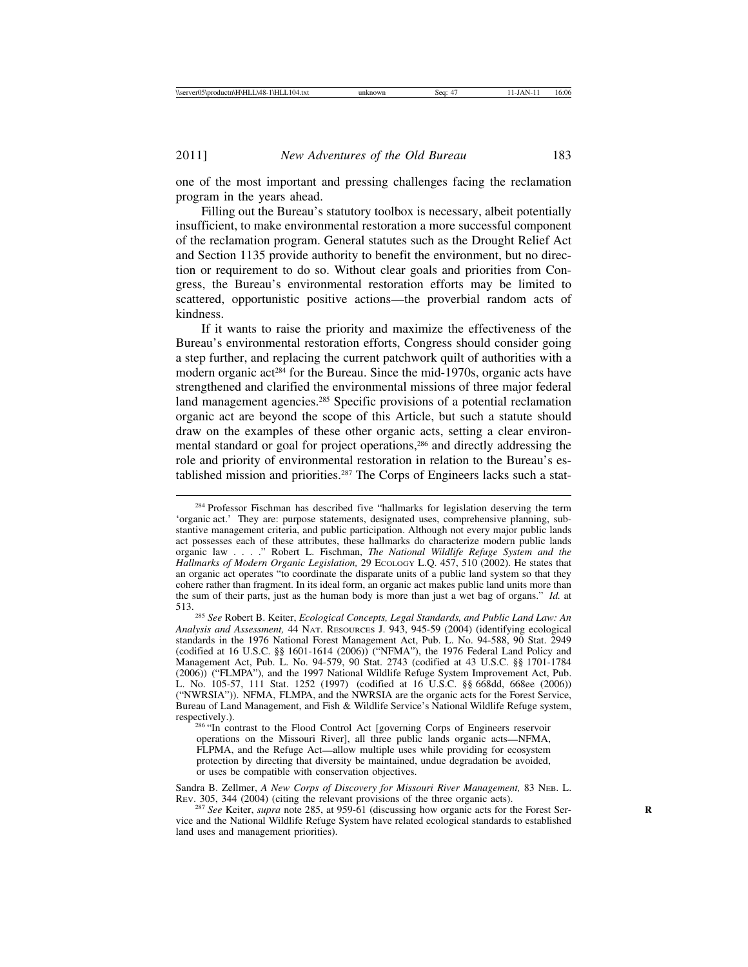one of the most important and pressing challenges facing the reclamation program in the years ahead.

Filling out the Bureau's statutory toolbox is necessary, albeit potentially insufficient, to make environmental restoration a more successful component of the reclamation program. General statutes such as the Drought Relief Act and Section 1135 provide authority to benefit the environment, but no direction or requirement to do so. Without clear goals and priorities from Congress, the Bureau's environmental restoration efforts may be limited to scattered, opportunistic positive actions—the proverbial random acts of kindness.

If it wants to raise the priority and maximize the effectiveness of the Bureau's environmental restoration efforts, Congress should consider going a step further, and replacing the current patchwork quilt of authorities with a modern organic act<sup>284</sup> for the Bureau. Since the mid-1970s, organic acts have strengthened and clarified the environmental missions of three major federal land management agencies.285 Specific provisions of a potential reclamation organic act are beyond the scope of this Article, but such a statute should draw on the examples of these other organic acts, setting a clear environmental standard or goal for project operations,<sup>286</sup> and directly addressing the role and priority of environmental restoration in relation to the Bureau's established mission and priorities.<sup>287</sup> The Corps of Engineers lacks such a stat-

Sandra B. Zellmer, *A New Corps of Discovery for Missouri River Management,* 83 NEB. L. REV. 305, 344 (2004) (citing the relevant provisions of the three organic acts).

<sup>287</sup> See Keiter, *supra* note 285, at 959-61 (discussing how organic acts for the Forest Service and the National Wildlife Refuge System have related ecological standards to established land uses and management priorities).

<sup>&</sup>lt;sup>284</sup> Professor Fischman has described five "hallmarks for legislation deserving the term 'organic act.' They are: purpose statements, designated uses, comprehensive planning, substantive management criteria, and public participation. Although not every major public lands act possesses each of these attributes, these hallmarks do characterize modern public lands organic law . . . ." Robert L. Fischman, *The National Wildlife Refuge System and the Hallmarks of Modern Organic Legislation,* 29 ECOLOGY L.Q. 457, 510 (2002). He states that an organic act operates "to coordinate the disparate units of a public land system so that they cohere rather than fragment. In its ideal form, an organic act makes public land units more than the sum of their parts, just as the human body is more than just a wet bag of organs." *Id.* at

<sup>513.</sup> <sup>285</sup> *See* Robert B. Keiter, *Ecological Concepts, Legal Standards, and Public Land Law: An Analysis and Assessment,* 44 NAT. RESOURCES J. 943, 945-59 (2004) (identifying ecological standards in the 1976 National Forest Management Act, Pub. L. No. 94-588, 90 Stat. 2949 (codified at 16 U.S.C. §§ 1601-1614 (2006)) ("NFMA"), the 1976 Federal Land Policy and Management Act, Pub. L. No. 94-579, 90 Stat. 2743 (codified at 43 U.S.C. §§ 1701-1784 (2006)) ("FLMPA"), and the 1997 National Wildlife Refuge System Improvement Act, Pub. L. No. 105-57, 111 Stat. 1252 (1997) (codified at 16 U.S.C. §§ 668dd, 668ee (2006)) ("NWRSIA")). NFMA, FLMPA, and the NWRSIA are the organic acts for the Forest Service, Bureau of Land Management, and Fish & Wildlife Service's National Wildlife Refuge system, respectively.). <sup>286</sup> "In contrast to the Flood Control Act [governing Corps of Engineers reservoir

operations on the Missouri River], all three public lands organic acts—NFMA, FLPMA, and the Refuge Act—allow multiple uses while providing for ecosystem protection by directing that diversity be maintained, undue degradation be avoided, or uses be compatible with conservation objectives.